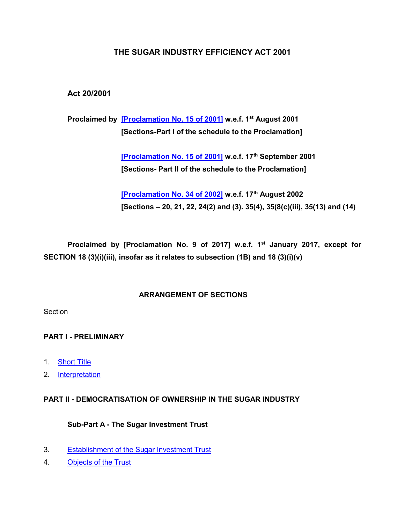### **THE SUGAR INDUSTRY EFFICIENCY ACT 2001**

### **Act 20/2001**

**Proclaimed by [\[Proclamation No. 15 of 2001\]](https://supremecourt.govmu.org/get-doc-link/Proclamation_No._15_of_2001) w.e.f. 1st August 2001 [Sections-Part I of the schedule to the Proclamation]**

> **[\[Proclamation No. 15 of 2001\]](https://supremecourt.govmu.org/get-doc-link/Proclamation_No._15_of_2001) w.e.f. 17th September 2001 [Sections- Part II of the schedule to the Proclamation]**

**[\[Proclamation No. 34 of 2002\]](https://supremecourt.govmu.org/get-doc-link/Proclamation_No._34_of_2002) w.e.f. 17th August 2002 [Sections – 20, 21, 22, 24(2) and (3). 35(4), 35(8(c)(iii), 35(13) and (14)**

**Proclaimed by [Proclamation No. 9 of 2017] w.e.f. 1st January 2017, except for SECTION 18 (3)(i)(iii), insofar as it relates to subsection (1B) and 18 (3)(i)(v)**

#### **ARRANGEMENT OF SECTIONS**

**Section** 

### **PART I - PRELIMINARY**

- 1. [Short Title](#page-3-0)
- 2. [Interpretation](#page-3-1)

#### **PART II - DEMOCRATISATION OF OWNERSHIP IN THE SUGAR INDUSTRY**

#### **Sub-Part A - The Sugar Investment Trust**

- 3. [Establishment of the Sugar Investment Trust](#page-5-0)
- 4. [Objects of the Trust](#page-6-0)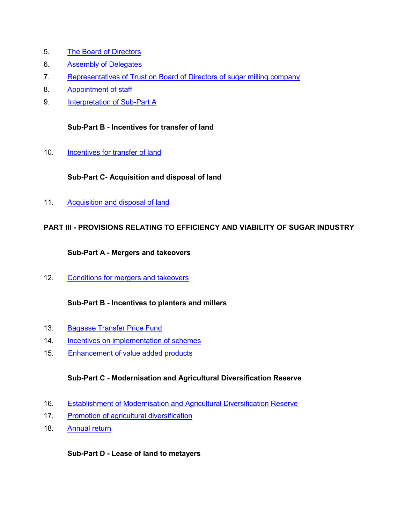- 5. [The Board of Directors](#page-7-0)
- 6. [Assembly of Delegates](#page-7-1)
- 7. [Representatives of Trust on Board of Directors of sugar milling company](#page-8-0)
- 8. [Appointment of staff](#page-9-0)
- 9. [Interpretation of Sub-Part A](#page-9-1)

#### **Sub-Part B - Incentives for transfer of land**

10. **[Incentives for transfer of land](#page-9-2)** 

### **Sub-Part C- Acquisition and disposal of land**

11. [Acquisition and disposal of land](#page-13-0)

### **PART III - PROVISIONS RELATING TO EFFICIENCY AND VIABILITY OF SUGAR INDUSTRY**

#### **Sub-Part A - Mergers and takeovers**

12. [Conditions for mergers and takeovers](#page-17-0)

### **Sub-Part B - Incentives to planters and millers**

- 13. [Bagasse Transfer Price Fund](#page-19-0)
- 14. [Incentives on implementation of schemes](#page-21-0)
- 15. Enhancement of value added products

### **Sub-Part C - Modernisation and Agricultural Diversification Reserve**

- 16. [Establishment of Modernisation and Agricultural Diversification Reserve](#page-30-0)
- 17. [Promotion of agricultural diversification](#page-30-1)
- 18. [Annual return](#page-32-0)

#### **Sub-Part D - Lease of land to metayers**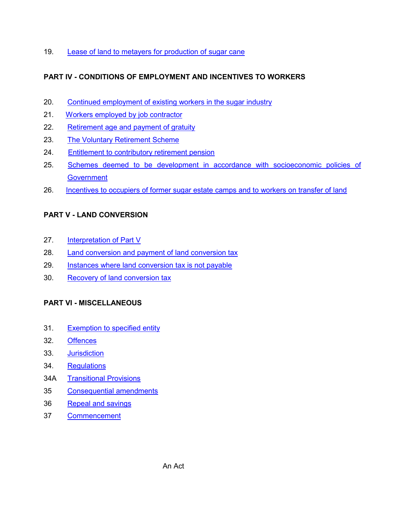19. [Lease of land to metayers for production of sugar cane](#page-32-1)

## **PART IV - CONDITIONS OF EMPLOYMENT AND INCENTIVES TO WORKERS**

- 20. [Continued employment of existing workers in the sugar industry](#page-35-0)
- 21. [Workers employed by job contractor](#page-35-1)
- 22. [Retirement age and payment of gratuity](#page-38-0)
- 23. [The Voluntary Retirement Scheme](#page-38-1)
- 24. [Entitlement to contributory retirement pension](#page-42-0)
- 25. [Schemes deemed to be development in accordance with socioeconomic policies of](#page-44-0)  **[Government](#page-44-0)**
- 26. [Incentives to occupiers of former sugar estate camps and to workers on transfer of land](#page-45-0)

# **PART V - LAND CONVERSION**

- 27. [Interpretation of Part V](#page-47-0)
- 28. [Land conversion and payment of land conversion tax](#page-50-0)
- 29. [Instances where land conversion tax is not payable](#page-64-0)
- 30. [Recovery of land conversion tax](#page-69-0)

### **PART VI - MISCELLANEOUS**

- 31. [Exemption to specified entity](#page-69-1)
- 32. [Offences](#page-69-2)
- 33. [Jurisdiction](#page-70-0)
- 34. [Regulations](#page-70-1)
- 34A [Transitional Provisions](#page-70-2)
- 35 [Consequential amendments](#page-70-3)
- 36 [Repeal and savings](#page-89-0)
- 37 [Commencement](#page-89-1)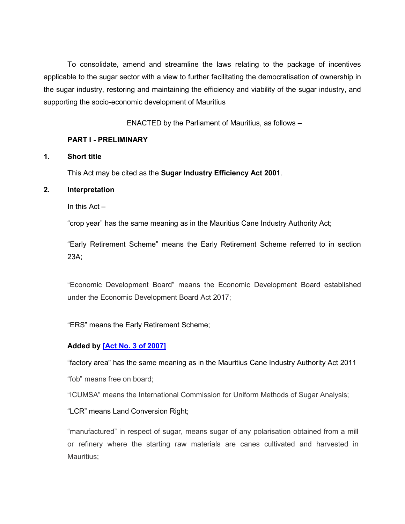To consolidate, amend and streamline the laws relating to the package of incentives applicable to the sugar sector with a view to further facilitating the democratisation of ownership in the sugar industry, restoring and maintaining the efficiency and viability of the sugar industry, and supporting the socio-economic development of Mauritius

ENACTED by the Parliament of Mauritius, as follows –

#### **PART I - PRELIMINARY**

#### <span id="page-3-0"></span>**1. Short title**

This Act may be cited as the **Sugar Industry Efficiency Act 2001**.

#### <span id="page-3-1"></span>**2. Interpretation**

In this Act –

"crop year" has the same meaning as in the Mauritius Cane Industry Authority Act;

"Early Retirement Scheme" means the Early Retirement Scheme referred to in section 23A;

"Economic Development Board" means the Economic Development Board established under the Economic Development Board Act 2017;

"ERS" means the Early Retirement Scheme;

### **Added by [\[Act No. 3 of 2007\]](https://supremecourt.govmu.org/get-doc-link/Act_No._3_of_2007)**

"factory area" has the same meaning as in the Mauritius Cane Industry Authority Act 2011

"fob" means free on board;

"ICUMSA" means the International Commission for Uniform Methods of Sugar Analysis;

"LCR" means Land Conversion Right;

"manufactured" in respect of sugar, means sugar of any polarisation obtained from a mill or refinery where the starting raw materials are canes cultivated and harvested in Mauritius;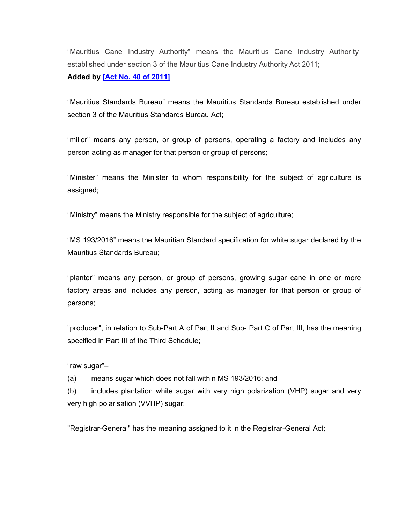"Mauritius Cane Industry Authority" means the Mauritius Cane Industry Authority established under section 3 of the Mauritius Cane Industry Authority Act 2011;

**Added by [\[Act No. 40 of 2011\]](https://supremecourt.govmu.org/get-doc-link/Act_No._40_of_2011)**

"Mauritius Standards Bureau" means the Mauritius Standards Bureau established under section 3 of the Mauritius Standards Bureau Act;

"miller" means any person, or group of persons, operating a factory and includes any person acting as manager for that person or group of persons;

"Minister" means the Minister to whom responsibility for the subject of agriculture is assigned;

"Ministry" means the Ministry responsible for the subject of agriculture;

"MS 193/2016" means the Mauritian Standard specification for white sugar declared by the Mauritius Standards Bureau;

"planter" means any person, or group of persons, growing sugar cane in one or more factory areas and includes any person, acting as manager for that person or group of persons;

"producer", in relation to Sub-Part A of Part II and Sub- Part C of Part III, has the meaning specified in Part III of the Third Schedule;

"raw sugar"–

(a) means sugar which does not fall within MS 193/2016; and

(b) includes plantation white sugar with very high polarization (VHP) sugar and very very high polarisation (VVHP) sugar;

"Registrar-General" has the meaning assigned to it in the Registrar-General Act;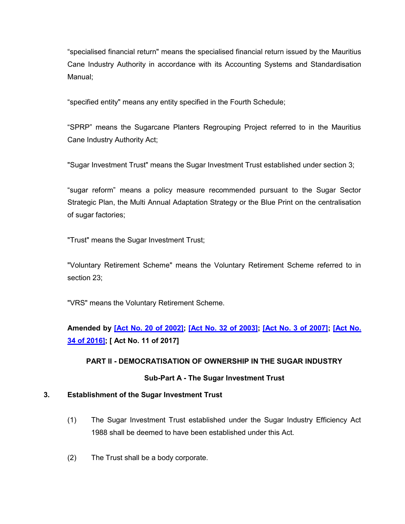"specialised financial return" means the specialised financial return issued by the Mauritius Cane Industry Authority in accordance with its Accounting Systems and Standardisation Manual;

"specified entity" means any entity specified in the Fourth Schedule;

"SPRP" means the Sugarcane Planters Regrouping Project referred to in the Mauritius Cane Industry Authority Act;

"Sugar Investment Trust" means the Sugar Investment Trust established under section 3;

"sugar reform" means a policy measure recommended pursuant to the Sugar Sector Strategic Plan, the Multi Annual Adaptation Strategy or the Blue Print on the centralisation of sugar factories;

"Trust" means the Sugar Investment Trust;

"Voluntary Retirement Scheme" means the Voluntary Retirement Scheme referred to in section 23;

"VRS" means the Voluntary Retirement Scheme.

**Amended by [\[Act No. 20 of 2002\];](https://supremecourt.govmu.org/get-doc-link/Act_No._20_of_2002) [\[Act No. 32 of 2003\];](https://supremecourt.govmu.org/get-doc-link/Act_No._32_of_2003) [\[Act No. 3 of 2007\];](https://supremecourt.govmu.org/get-doc-link/Act_No._3_of_2007) [\[Act No.](https://supremecourt.govmu.org/get-doc-link/Act_No._34_of_2016)  [34 of 2016\];](https://supremecourt.govmu.org/get-doc-link/Act_No._34_of_2016) [ Act No. 11 of 2017]**

### **PART II - DEMOCRATISATION OF OWNERSHIP IN THE SUGAR INDUSTRY**

#### **Sub-Part A - The Sugar Investment Trust**

#### <span id="page-5-0"></span>**3. Establishment of the Sugar Investment Trust**

- (1) The Sugar Investment Trust established under the Sugar Industry Efficiency Act 1988 shall be deemed to have been established under this Act.
- (2) The Trust shall be a body corporate.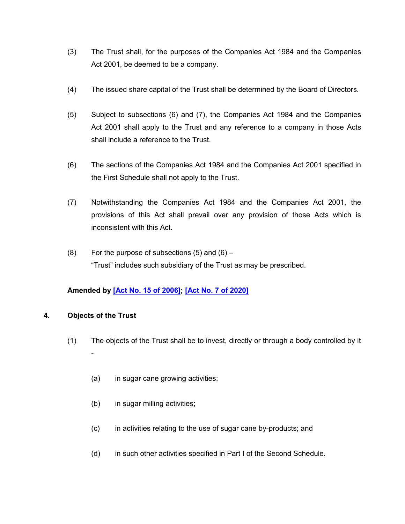- (3) The Trust shall, for the purposes of the Companies Act 1984 and the Companies Act 2001, be deemed to be a company.
- (4) The issued share capital of the Trust shall be determined by the Board of Directors.
- (5) Subject to subsections (6) and (7), the Companies Act 1984 and the Companies Act 2001 shall apply to the Trust and any reference to a company in those Acts shall include a reference to the Trust.
- (6) The sections of the Companies Act 1984 and the Companies Act 2001 specified in the First Schedule shall not apply to the Trust.
- (7) Notwithstanding the Companies Act 1984 and the Companies Act 2001, the provisions of this Act shall prevail over any provision of those Acts which is inconsistent with this Act.
- $(8)$  For the purpose of subsections  $(5)$  and  $(6)$  "Trust" includes such subsidiary of the Trust as may be prescribed.

### **Amended by [\[Act No. 15 of 2006\];](https://supremecourt.govmu.org/get-doc-link/Act_No._15_of_2006) [\[Act No. 7 of 2020\]](https://supremecourt.govmu.org/get-doc-link/Act_No._7_of_2020)**

#### <span id="page-6-0"></span>**4. Objects of the Trust**

- (1) The objects of the Trust shall be to invest, directly or through a body controlled by it -
	- (a) in sugar cane growing activities;
	- (b) in sugar milling activities;
	- (c) in activities relating to the use of sugar cane by-products; and
	- (d) in such other activities specified in Part I of the Second Schedule.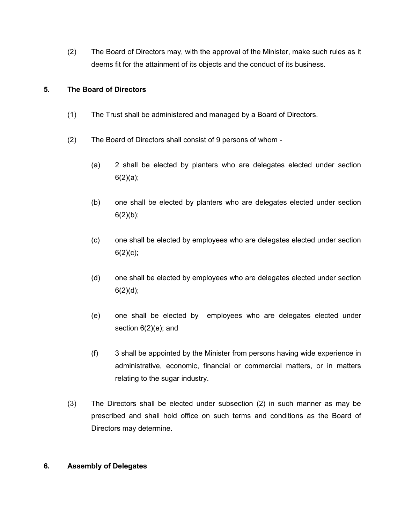(2) The Board of Directors may, with the approval of the Minister, make such rules as it deems fit for the attainment of its objects and the conduct of its business.

#### <span id="page-7-0"></span>**5. The Board of Directors**

- (1) The Trust shall be administered and managed by a Board of Directors.
- (2) The Board of Directors shall consist of 9 persons of whom
	- (a) 2 shall be elected by planters who are delegates elected under section  $6(2)(a);$
	- (b) one shall be elected by planters who are delegates elected under section  $6(2)(b)$ ;
	- (c) one shall be elected by employees who are delegates elected under section  $6(2)(c)$ ;
	- (d) one shall be elected by employees who are delegates elected under section  $6(2)(d);$
	- (e) one shall be elected by employees who are delegates elected under section 6(2)(e); and
	- (f) 3 shall be appointed by the Minister from persons having wide experience in administrative, economic, financial or commercial matters, or in matters relating to the sugar industry.
- (3) The Directors shall be elected under subsection (2) in such manner as may be prescribed and shall hold office on such terms and conditions as the Board of Directors may determine.

#### <span id="page-7-1"></span>**6. Assembly of Delegates**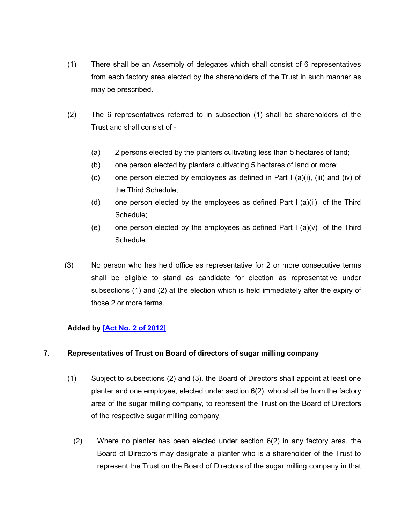- (1) There shall be an Assembly of delegates which shall consist of 6 representatives from each factory area elected by the shareholders of the Trust in such manner as may be prescribed.
- (2) The 6 representatives referred to in subsection (1) shall be shareholders of the Trust and shall consist of -
	- (a) 2 persons elected by the planters cultivating less than 5 hectares of land;
	- (b) one person elected by planters cultivating 5 hectares of land or more;
	- (c) one person elected by employees as defined in Part I (a)(i), (iii) and (iv) of the Third Schedule;
	- (d) one person elected by the employees as defined Part I (a)(ii) of the Third Schedule;
	- (e) one person elected by the employees as defined Part I (a)(v) of the Third Schedule.
- (3) No person who has held office as representative for 2 or more consecutive terms shall be eligible to stand as candidate for election as representative under subsections (1) and (2) at the election which is held immediately after the expiry of those 2 or more terms.

### **Added by [\[Act No. 2 of 2012\]](https://supremecourt.govmu.org/get-doc-link/Act_No._2_of_2012)**

#### <span id="page-8-0"></span>**7. Representatives of Trust on Board of directors of sugar milling company**

- (1) Subject to subsections (2) and (3), the Board of Directors shall appoint at least one planter and one employee, elected under section 6(2), who shall be from the factory area of the sugar milling company, to represent the Trust on the Board of Directors of the respective sugar milling company.
	- (2) Where no planter has been elected under section 6(2) in any factory area, the Board of Directors may designate a planter who is a shareholder of the Trust to represent the Trust on the Board of Directors of the sugar milling company in that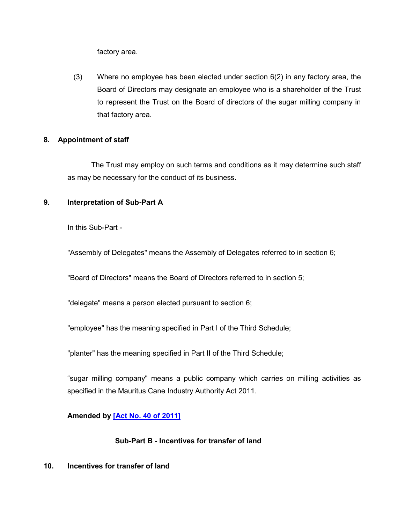factory area.

(3) Where no employee has been elected under section  $6(2)$  in any factory area, the Board of Directors may designate an employee who is a shareholder of the Trust to represent the Trust on the Board of directors of the sugar milling company in that factory area.

#### <span id="page-9-0"></span>**8. Appointment of staff**

The Trust may employ on such terms and conditions as it may determine such staff as may be necessary for the conduct of its business.

#### <span id="page-9-1"></span>**9. Interpretation of Sub-Part A**

In this Sub-Part -

"Assembly of Delegates" means the Assembly of Delegates referred to in section 6;

"Board of Directors" means the Board of Directors referred to in section 5;

"delegate" means a person elected pursuant to section 6;

"employee" has the meaning specified in Part I of the Third Schedule;

"planter" has the meaning specified in Part II of the Third Schedule;

"sugar milling company" means a public company which carries on milling activities as specified in the Mauritus Cane Industry Authority Act 2011.

**Amended by [\[Act No. 40 of 2011\]](https://supremecourt.govmu.org/get-doc-link/Act_No._40_of_2011)**

#### **Sub-Part B - Incentives for transfer of land**

#### <span id="page-9-2"></span>**10. Incentives for transfer of land**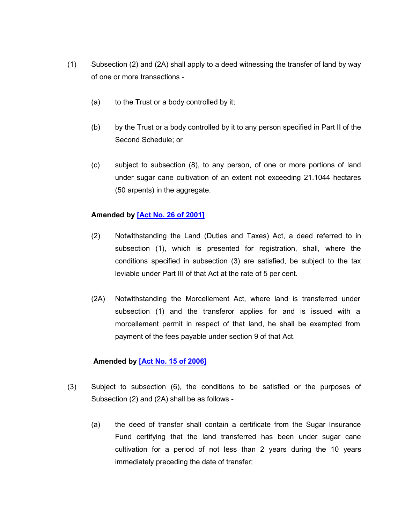- (1) Subsection (2) and (2A) shall apply to a deed witnessing the transfer of land by way of one or more transactions -
	- (a) to the Trust or a body controlled by it;
	- (b) by the Trust or a body controlled by it to any person specified in Part II of the Second Schedule; or
	- (c) subject to subsection (8), to any person, of one or more portions of land under sugar cane cultivation of an extent not exceeding 21.1044 hectares (50 arpents) in the aggregate.

#### **Amended by [\[Act No. 26 of 2001\]](https://supremecourt.govmu.org/get-doc-link/Act_No._26_of_2001)**

- (2) Notwithstanding the Land (Duties and Taxes) Act, a deed referred to in subsection (1), which is presented for registration, shall, where the conditions specified in subsection (3) are satisfied, be subject to the tax leviable under Part III of that Act at the rate of 5 per cent.
- (2A) Notwithstanding the Morcellement Act, where land is transferred under subsection (1) and the transferor applies for and is issued with a morcellement permit in respect of that land, he shall be exempted from payment of the fees payable under section 9 of that Act.

#### **Amended by [\[Act No. 15 of 2006\]](https://supremecourt.govmu.org/get-doc-link/Act_No._15_of_2006)**

- (3) Subject to subsection (6), the conditions to be satisfied or the purposes of Subsection (2) and (2A) shall be as follows -
	- (a) the deed of transfer shall contain a certificate from the Sugar Insurance Fund certifying that the land transferred has been under sugar cane cultivation for a period of not less than 2 years during the 10 years immediately preceding the date of transfer;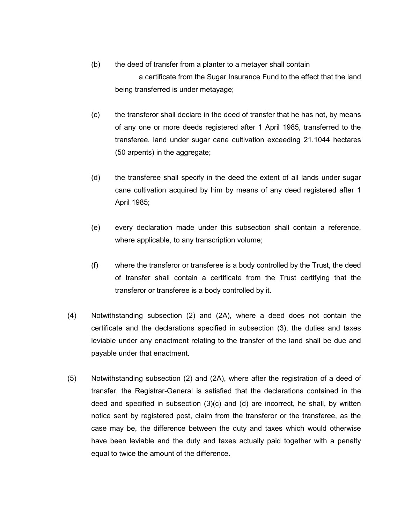- (b) the deed of transfer from a planter to a metayer shall contain a certificate from the Sugar Insurance Fund to the effect that the land being transferred is under metayage;
- (c) the transferor shall declare in the deed of transfer that he has not, by means of any one or more deeds registered after 1 April 1985, transferred to the transferee, land under sugar cane cultivation exceeding 21.1044 hectares (50 arpents) in the aggregate;
- (d) the transferee shall specify in the deed the extent of all lands under sugar cane cultivation acquired by him by means of any deed registered after 1 April 1985;
- (e) every declaration made under this subsection shall contain a reference, where applicable, to any transcription volume;
- (f) where the transferor or transferee is a body controlled by the Trust, the deed of transfer shall contain a certificate from the Trust certifying that the transferor or transferee is a body controlled by it.
- (4) Notwithstanding subsection (2) and (2A), where a deed does not contain the certificate and the declarations specified in subsection (3), the duties and taxes leviable under any enactment relating to the transfer of the land shall be due and payable under that enactment.
- (5) Notwithstanding subsection (2) and (2A), where after the registration of a deed of transfer, the Registrar-General is satisfied that the declarations contained in the deed and specified in subsection (3)(c) and (d) are incorrect, he shall, by written notice sent by registered post, claim from the transferor or the transferee, as the case may be, the difference between the duty and taxes which would otherwise have been leviable and the duty and taxes actually paid together with a penalty equal to twice the amount of the difference.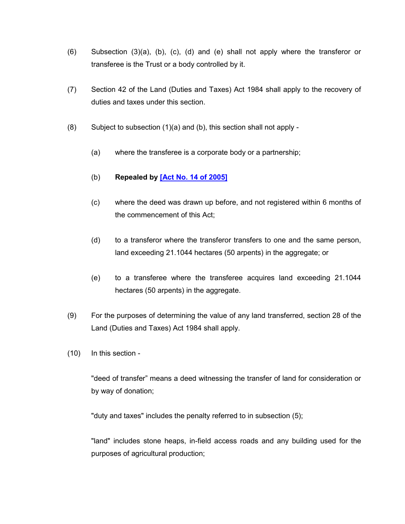- (6) Subsection (3)(a), (b), (c), (d) and (e) shall not apply where the transferor or transferee is the Trust or a body controlled by it.
- (7) Section 42 of the Land (Duties and Taxes) Act 1984 shall apply to the recovery of duties and taxes under this section.
- (8) Subject to subsection (1)(a) and (b), this section shall not apply
	- (a) where the transferee is a corporate body or a partnership;
	- (b) **Repealed by [\[Act No. 14 of 2005\]](https://supremecourt.govmu.org/get-doc-link/Act_No._14_of_2005)**
	- (c) where the deed was drawn up before, and not registered within 6 months of the commencement of this Act;
	- (d) to a transferor where the transferor transfers to one and the same person, land exceeding 21.1044 hectares (50 arpents) in the aggregate; or
	- (e) to a transferee where the transferee acquires land exceeding 21.1044 hectares (50 arpents) in the aggregate.
- (9) For the purposes of determining the value of any land transferred, section 28 of the Land (Duties and Taxes) Act 1984 shall apply.
- (10) In this section -

"deed of transfer" means a deed witnessing the transfer of land for consideration or by way of donation;

"duty and taxes" includes the penalty referred to in subsection (5);

"land" includes stone heaps, in-field access roads and any building used for the purposes of agricultural production;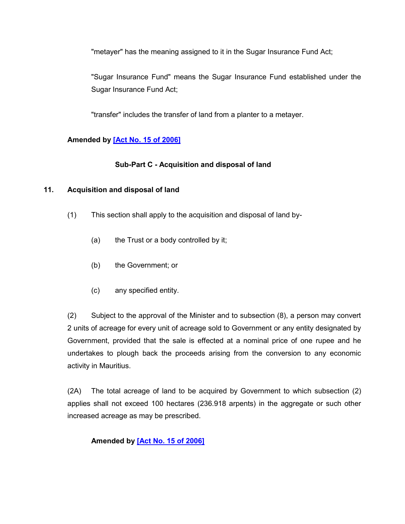"metayer" has the meaning assigned to it in the Sugar Insurance Fund Act;

"Sugar Insurance Fund" means the Sugar Insurance Fund established under the Sugar Insurance Fund Act;

"transfer" includes the transfer of land from a planter to a metayer.

### **Amended by [\[Act No. 15 of 2006\]](https://supremecourt.govmu.org/get-doc-link/Act_No._15_of_2006)**

#### **Sub-Part C - Acquisition and disposal of land**

#### <span id="page-13-0"></span>**11. Acquisition and disposal of land**

- (1) This section shall apply to the acquisition and disposal of land by-
	- (a) the Trust or a body controlled by it;
	- (b) the Government; or
	- (c) any specified entity.

(2) Subject to the approval of the Minister and to subsection (8), a person may convert 2 units of acreage for every unit of acreage sold to Government or any entity designated by Government, provided that the sale is effected at a nominal price of one rupee and he undertakes to plough back the proceeds arising from the conversion to any economic activity in Mauritius.

(2A) The total acreage of land to be acquired by Government to which subsection (2) applies shall not exceed 100 hectares (236.918 arpents) in the aggregate or such other increased acreage as may be prescribed.

#### **Amended by [\[Act No. 15 of 2006\]](https://supremecourt.govmu.org/get-doc-link/Act_No._15_of_2006)**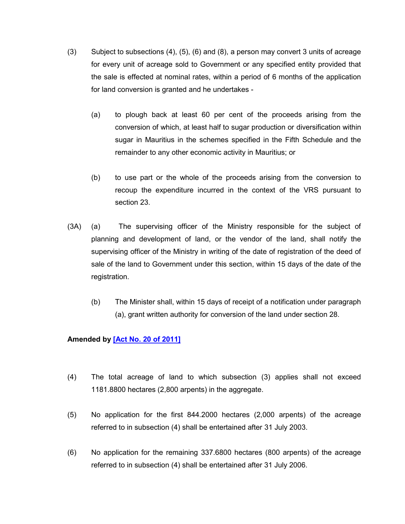- (3) Subject to subsections (4), (5), (6) and (8), a person may convert 3 units of acreage for every unit of acreage sold to Government or any specified entity provided that the sale is effected at nominal rates, within a period of 6 months of the application for land conversion is granted and he undertakes -
	- (a) to plough back at least 60 per cent of the proceeds arising from the conversion of which, at least half to sugar production or diversification within sugar in Mauritius in the schemes specified in the Fifth Schedule and the remainder to any other economic activity in Mauritius; or
	- (b) to use part or the whole of the proceeds arising from the conversion to recoup the expenditure incurred in the context of the VRS pursuant to section 23.
- (3A) (a) The supervising officer of the Ministry responsible for the subject of planning and development of land, or the vendor of the land, shall notify the supervising officer of the Ministry in writing of the date of registration of the deed of sale of the land to Government under this section, within 15 days of the date of the registration.
	- (b) The Minister shall, within 15 days of receipt of a notification under paragraph (a), grant written authority for conversion of the land under section 28.

#### **Amended by [\[Act No. 20 of 2011\]](https://supremecourt.govmu.org/get-doc-link/Act_No._20_of_2011)**

- (4) The total acreage of land to which subsection (3) applies shall not exceed 1181.8800 hectares (2,800 arpents) in the aggregate.
- (5) No application for the first 844.2000 hectares (2,000 arpents) of the acreage referred to in subsection (4) shall be entertained after 31 July 2003.
- (6) No application for the remaining 337.6800 hectares (800 arpents) of the acreage referred to in subsection (4) shall be entertained after 31 July 2006.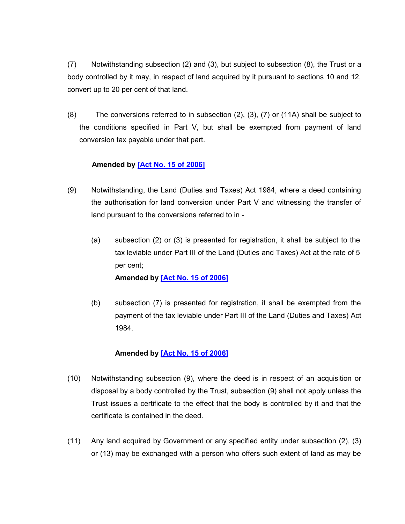(7) Notwithstanding subsection (2) and (3), but subject to subsection (8), the Trust or a body controlled by it may, in respect of land acquired by it pursuant to sections 10 and 12, convert up to 20 per cent of that land.

(8) The conversions referred to in subsection (2), (3), (7) or (11A) shall be subject to the conditions specified in Part V, but shall be exempted from payment of land conversion tax payable under that part.

#### **Amended by [\[Act No. 15 of 2006\]](https://supremecourt.govmu.org/get-doc-link/Act_No._15_of_2006)**

- (9) Notwithstanding, the Land (Duties and Taxes) Act 1984, where a deed containing the authorisation for land conversion under Part V and witnessing the transfer of land pursuant to the conversions referred to in -
	- (a) subsection (2) or (3) is presented for registration, it shall be subject to the tax leviable under Part III of the Land (Duties and Taxes) Act at the rate of 5 per cent;

**Amended by [\[Act No. 15 of 2006\]](https://supremecourt.govmu.org/get-doc-link/Act_No._15_of_2006)**

(b) subsection (7) is presented for registration, it shall be exempted from the payment of the tax leviable under Part III of the Land (Duties and Taxes) Act 1984.

#### **Amended by [\[Act No. 15 of 2006\]](https://supremecourt.govmu.org/get-doc-link/Act_No._15_of_2006)**

- (10) Notwithstanding subsection (9), where the deed is in respect of an acquisition or disposal by a body controlled by the Trust, subsection (9) shall not apply unless the Trust issues a certificate to the effect that the body is controlled by it and that the certificate is contained in the deed.
- (11) Any land acquired by Government or any specified entity under subsection (2), (3) or (13) may be exchanged with a person who offers such extent of land as may be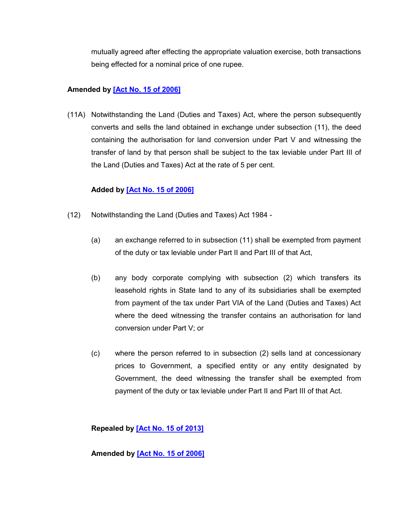mutually agreed after effecting the appropriate valuation exercise, both transactions being effected for a nominal price of one rupee.

### **Amended by [\[Act No. 15 of 2006\]](https://supremecourt.govmu.org/get-doc-link/Act_No._15_of_2006)**

(11A) Notwithstanding the Land (Duties and Taxes) Act, where the person subsequently converts and sells the land obtained in exchange under subsection (11), the deed containing the authorisation for land conversion under Part V and witnessing the transfer of land by that person shall be subject to the tax leviable under Part III of the Land (Duties and Taxes) Act at the rate of 5 per cent.

#### **Added by [\[Act No. 15 of 2006\]](https://supremecourt.govmu.org/get-doc-link/Act_No._15_of_2006)**

- (12) Notwithstanding the Land (Duties and Taxes) Act 1984
	- (a) an exchange referred to in subsection (11) shall be exempted from payment of the duty or tax leviable under Part II and Part III of that Act,
	- (b) any body corporate complying with subsection (2) which transfers its leasehold rights in State land to any of its subsidiaries shall be exempted from payment of the tax under Part VIA of the Land (Duties and Taxes) Act where the deed witnessing the transfer contains an authorisation for land conversion under Part V; or
	- (c) where the person referred to in subsection (2) sells land at concessionary prices to Government, a specified entity or any entity designated by Government, the deed witnessing the transfer shall be exempted from payment of the duty or tax leviable under Part II and Part III of that Act.

**Repealed by [\[Act No. 15 of 2013\]](https://supremecourt.govmu.org/get-doc-link/Act_No._15_of_2013)**

**Amended by [\[Act No. 15 of 2006\]](https://supremecourt.govmu.org/get-doc-link/Act_No._15_of_2006)**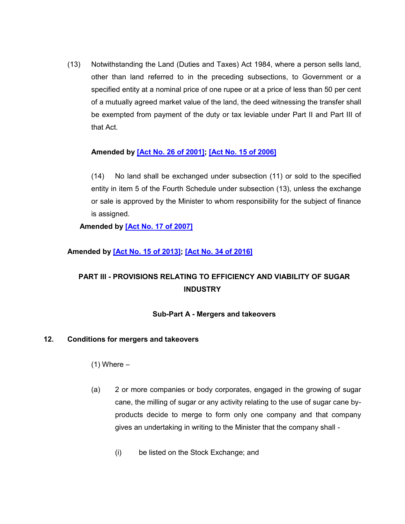(13) Notwithstanding the Land (Duties and Taxes) Act 1984, where a person sells land, other than land referred to in the preceding subsections, to Government or a specified entity at a nominal price of one rupee or at a price of less than 50 per cent of a mutually agreed market value of the land, the deed witnessing the transfer shall be exempted from payment of the duty or tax leviable under Part II and Part III of that Act.

#### **Amended by [\[Act No. 26 of 2001\];](https://supremecourt.govmu.org/get-doc-link/Act_No._26_of_2001) [\[Act No. 15 of 2006\]](https://supremecourt.govmu.org/get-doc-link/Act_No._15_of_2006)**

(14) No land shall be exchanged under subsection (11) or sold to the specified entity in item 5 of the Fourth Schedule under subsection (13), unless the exchange or sale is approved by the Minister to whom responsibility for the subject of finance is assigned.

**Amended by [\[Act No. 17 of 2007\]](https://supremecourt.govmu.org/get-doc-link/Act_No._17_of_2007)**

### **Amended by [\[Act No. 15 of 2013\];](https://supremecourt.govmu.org/get-doc-link/Act_No._15_of_2013) [\[Act No. 34 of 2016\]](https://supremecourt.govmu.org/get-doc-link/Act_No._34_of_2016)**

# **PART III - PROVISIONS RELATING TO EFFICIENCY AND VIABILITY OF SUGAR INDUSTRY**

#### **Sub-Part A - Mergers and takeovers**

#### <span id="page-17-0"></span>**12. Conditions for mergers and takeovers**

 $(1)$  Where  $-$ 

- (a) 2 or more companies or body corporates, engaged in the growing of sugar cane, the milling of sugar or any activity relating to the use of sugar cane byproducts decide to merge to form only one company and that company gives an undertaking in writing to the Minister that the company shall -
	- (i) be listed on the Stock Exchange; and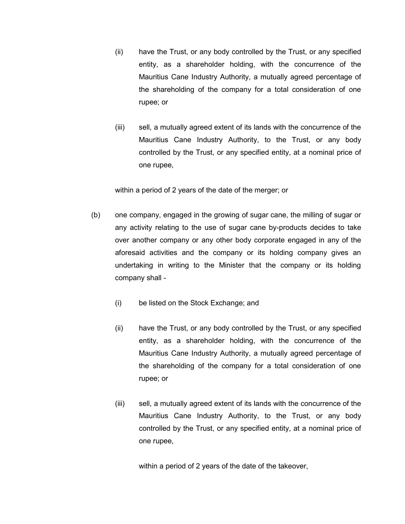- (ii) have the Trust, or any body controlled by the Trust, or any specified entity, as a shareholder holding, with the concurrence of the Mauritius Cane Industry Authority, a mutually agreed percentage of the shareholding of the company for a total consideration of one rupee; or
- (iii) sell, a mutually agreed extent of its lands with the concurrence of the Mauritius Cane Industry Authority, to the Trust, or any body controlled by the Trust, or any specified entity, at a nominal price of one rupee,

within a period of 2 years of the date of the merger; or

- (b) one company, engaged in the growing of sugar cane, the milling of sugar or any activity relating to the use of sugar cane by-products decides to take over another company or any other body corporate engaged in any of the aforesaid activities and the company or its holding company gives an undertaking in writing to the Minister that the company or its holding company shall -
	- (i) be listed on the Stock Exchange; and
	- (ii) have the Trust, or any body controlled by the Trust, or any specified entity, as a shareholder holding, with the concurrence of the Mauritius Cane Industry Authority, a mutually agreed percentage of the shareholding of the company for a total consideration of one rupee; or
	- (iii) sell, a mutually agreed extent of its lands with the concurrence of the Mauritius Cane Industry Authority, to the Trust, or any body controlled by the Trust, or any specified entity, at a nominal price of one rupee,

within a period of 2 years of the date of the takeover,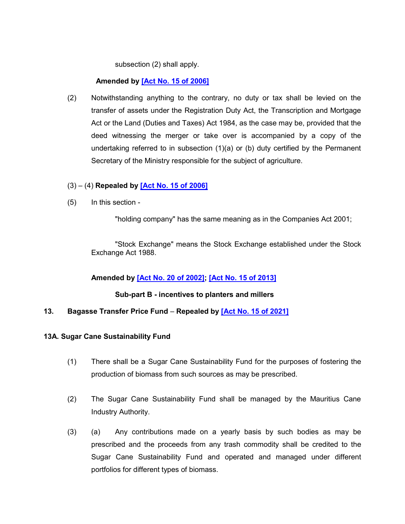subsection (2) shall apply.

### **Amended by [\[Act No. 15 of 2006\]](https://supremecourt.govmu.org/get-doc-link/Act_No._15_of_2006)**

(2) Notwithstanding anything to the contrary, no duty or tax shall be levied on the transfer of assets under the Registration Duty Act, the Transcription and Mortgage Act or the Land (Duties and Taxes) Act 1984, as the case may be, provided that the deed witnessing the merger or take over is accompanied by a copy of the undertaking referred to in subsection (1)(a) or (b) duty certified by the Permanent Secretary of the Ministry responsible for the subject of agriculture.

#### (3) – (4) **Repealed by [\[Act No. 15 of 2006\]](https://supremecourt.govmu.org/get-doc-link/Act_No._15_of_2006)**

(5) In this section -

"holding company" has the same meaning as in the Companies Act 2001;

"Stock Exchange" means the Stock Exchange established under the Stock Exchange Act 1988.

#### **Amended by [\[Act No. 20 of 2002\];](https://supremecourt.govmu.org/get-doc-link/Act_No._20_of_2002) [\[Act No. 15 of 2013\]](https://supremecourt.govmu.org/get-doc-link/Act_No._15_of_2013)**

**Sub-part B - incentives to planters and millers** 

#### <span id="page-19-0"></span>**13. Bagasse Transfer Price Fund** – **Repealed by [\[Act No. 15 of 2021\]](https://supremecourt.govmu.org/get-doc-link/Act_No._15_of_2021)**

#### **13A. Sugar Cane Sustainability Fund**

- (1) There shall be a Sugar Cane Sustainability Fund for the purposes of fostering the production of biomass from such sources as may be prescribed.
- (2) The Sugar Cane Sustainability Fund shall be managed by the Mauritius Cane Industry Authority.
- (3) (a) Any contributions made on a yearly basis by such bodies as may be prescribed and the proceeds from any trash commodity shall be credited to the Sugar Cane Sustainability Fund and operated and managed under different portfolios for different types of biomass.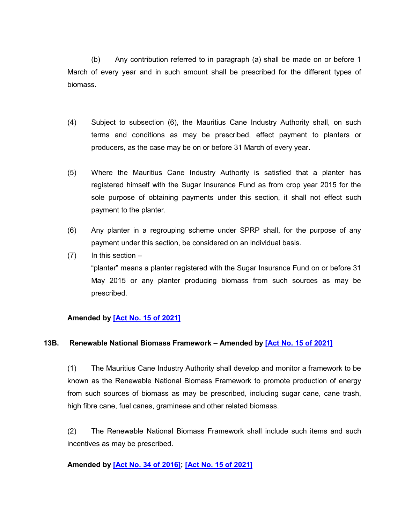(b) Any contribution referred to in paragraph (a) shall be made on or before 1 March of every year and in such amount shall be prescribed for the different types of biomass.

- (4) Subject to subsection (6), the Mauritius Cane Industry Authority shall, on such terms and conditions as may be prescribed, effect payment to planters or producers, as the case may be on or before 31 March of every year.
- (5) Where the Mauritius Cane Industry Authority is satisfied that a planter has registered himself with the Sugar Insurance Fund as from crop year 2015 for the sole purpose of obtaining payments under this section, it shall not effect such payment to the planter.
- (6) Any planter in a regrouping scheme under SPRP shall, for the purpose of any payment under this section, be considered on an individual basis.
- $(7)$  In this section –

"planter" means a planter registered with the Sugar Insurance Fund on or before 31 May 2015 or any planter producing biomass from such sources as may be prescribed.

#### **Amended by [\[Act No. 15 of 2021\]](https://supremecourt.govmu.org/get-doc-link/Act_No._15_of_2021)**

#### **13B. Renewable National Biomass Framework – Amended by [\[Act No. 15 of 2021\]](https://supremecourt.govmu.org/get-doc-link/Act_No._15_of_2021)**

(1) The Mauritius Cane Industry Authority shall develop and monitor a framework to be known as the Renewable National Biomass Framework to promote production of energy from such sources of biomass as may be prescribed, including sugar cane, cane trash, high fibre cane, fuel canes, gramineae and other related biomass.

(2) The Renewable National Biomass Framework shall include such items and such incentives as may be prescribed.

#### **Amended by [Act No. [34 of 2016\];](https://supremecourt.govmu.org/get-doc-link/Act_No._34_of_2016) [\[Act No. 15 of 2021\]](https://supremecourt.govmu.org/get-doc-link/Act_No._15_of_2021)**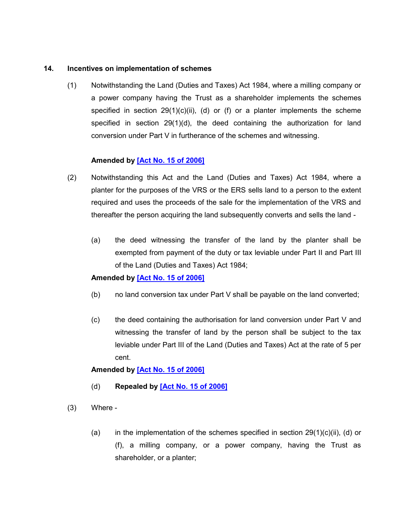#### **14. Incentives on implementation of schemes**

<span id="page-21-0"></span>(1) Notwithstanding the Land (Duties and Taxes) Act 1984, where a milling company or a power company having the Trust as a shareholder implements the schemes specified in section  $29(1)(c)(ii)$ , (d) or (f) or a planter implements the scheme specified in section 29(1)(d), the deed containing the authorization for land conversion under Part V in furtherance of the schemes and witnessing.

#### **Amended by [\[Act No. 15 of 2006\]](https://supremecourt.govmu.org/get-doc-link/Act_No._15_of_2006)**

- (2) Notwithstanding this Act and the Land (Duties and Taxes) Act 1984, where a planter for the purposes of the VRS or the ERS sells land to a person to the extent required and uses the proceeds of the sale for the implementation of the VRS and thereafter the person acquiring the land subsequently converts and sells the land -
	- (a) the deed witnessing the transfer of the land by the planter shall be exempted from payment of the duty or tax leviable under Part II and Part III of the Land (Duties and Taxes) Act 1984;

#### **Amended by [\[Act No. 15 of 2006\]](https://supremecourt.govmu.org/get-doc-link/Act_No._15_of_2006)**

- (b) no land conversion tax under Part V shall be payable on the land converted;
- (c) the deed containing the authorisation for land conversion under Part V and witnessing the transfer of land by the person shall be subject to the tax leviable under Part III of the Land (Duties and Taxes) Act at the rate of 5 per cent.

### **Amended by [\[Act No. 15 of 2006\]](https://supremecourt.govmu.org/get-doc-link/Act_No._15_of_2006)**

- (d) **Repealed by [\[Act No. 15 of 2006\]](https://supremecourt.govmu.org/get-doc-link/Act_No._15_of_2006)**
- (3) Where
	- (a) in the implementation of the schemes specified in section  $29(1)(c)(ii)$ , (d) or (f), a milling company, or a power company, having the Trust as shareholder, or a planter;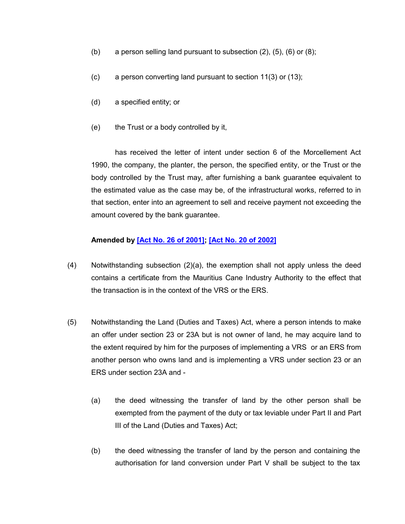- (b) a person selling land pursuant to subsection  $(2)$ ,  $(5)$ ,  $(6)$  or  $(8)$ ;
- (c) a person converting land pursuant to section 11(3) or (13);
- (d) a specified entity; or
- (e) the Trust or a body controlled by it,

has received the letter of intent under section 6 of the Morcellement Act 1990, the company, the planter, the person, the specified entity, or the Trust or the body controlled by the Trust may, after furnishing a bank guarantee equivalent to the estimated value as the case may be, of the infrastructural works, referred to in that section, enter into an agreement to sell and receive payment not exceeding the amount covered by the bank guarantee.

#### **Amended by [\[Act No. 26 of 2001\];](https://supremecourt.govmu.org/get-doc-link/Act_No._26_of_2001) [\[Act No. 20 of 2002\]](https://supremecourt.govmu.org/get-doc-link/Act_No._20_of_2002)**

- (4) Notwithstanding subsection (2)(a), the exemption shall not apply unless the deed contains a certificate from the Mauritius Cane Industry Authority to the effect that the transaction is in the context of the VRS or the ERS.
- (5) Notwithstanding the Land (Duties and Taxes) Act, where a person intends to make an offer under section 23 or 23A but is not owner of land, he may acquire land to the extent required by him for the purposes of implementing a VRS or an ERS from another person who owns land and is implementing a VRS under section 23 or an ERS under section 23A and -
	- (a) the deed witnessing the transfer of land by the other person shall be exempted from the payment of the duty or tax leviable under Part II and Part III of the Land (Duties and Taxes) Act;
	- (b) the deed witnessing the transfer of land by the person and containing the authorisation for land conversion under Part V shall be subject to the tax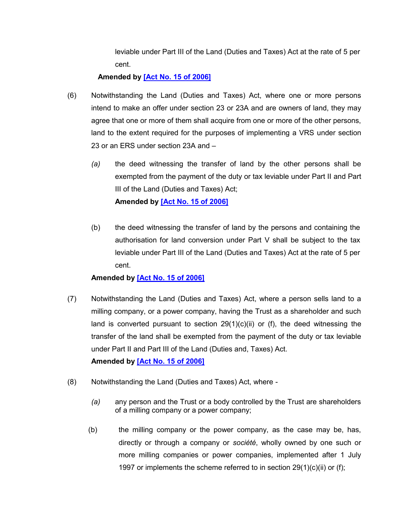leviable under Part III of the Land (Duties and Taxes) Act at the rate of 5 per cent.

### **Amended by [\[Act No. 15 of 2006\]](https://supremecourt.govmu.org/get-doc-link/Act_No._15_of_2006)**

- (6) Notwithstanding the Land (Duties and Taxes) Act, where one or more persons intend to make an offer under section 23 or 23A and are owners of land, they may agree that one or more of them shall acquire from one or more of the other persons, land to the extent required for the purposes of implementing a VRS under section 23 or an ERS under section 23A and –
	- *(a)* the deed witnessing the transfer of land by the other persons shall be exempted from the payment of the duty or tax leviable under Part II and Part III of the Land (Duties and Taxes) Act; **Amended by [\[Act No. 15 of 2006\]](https://supremecourt.govmu.org/get-doc-link/Act_No._15_of_2006)**
	- (b) the deed witnessing the transfer of land by the persons and containing the authorisation for land conversion under Part V shall be subject to the tax leviable under Part III of the Land (Duties and Taxes) Act at the rate of 5 per cent.

### **Amended by [\[Act No. 15 of 2006\]](https://supremecourt.govmu.org/get-doc-link/Act_No._15_of_2006)**

- (7) Notwithstanding the Land (Duties and Taxes) Act, where a person sells land to a milling company, or a power company, having the Trust as a shareholder and such land is converted pursuant to section  $29(1)(c)(ii)$  or (f), the deed witnessing the transfer of the land shall be exempted from the payment of the duty or tax leviable under Part II and Part III of the Land (Duties and, Taxes) Act. **Amended by [\[Act No. 15 of 2006\]](https://supremecourt.govmu.org/get-doc-link/Act_No._15_of_2006)**
- (8) Notwithstanding the Land (Duties and Taxes) Act, where
	- *(a)* any person and the Trust or a body controlled by the Trust are shareholders of a milling company or a power company;
	- (b) the milling company or the power company, as the case may be, has, directly or through a company or *société*, wholly owned by one such or more milling companies or power companies, implemented after 1 July 1997 or implements the scheme referred to in section 29(1)(c)(ii) or (f);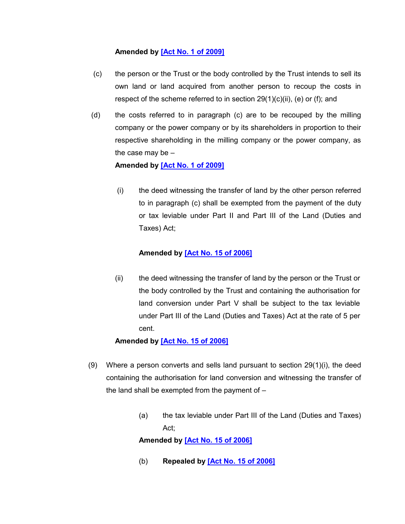### **Amended by [\[Act No. 1 of 2009\]](https://supremecourt.govmu.org/get-doc-link/Act_No._1_of_2009)**

- (c) the person or the Trust or the body controlled by the Trust intends to sell its own land or land acquired from another person to recoup the costs in respect of the scheme referred to in section  $29(1)(c)(ii)$ , (e) or (f); and
- (d) the costs referred to in paragraph (c) are to be recouped by the milling company or the power company or by its shareholders in proportion to their respective shareholding in the milling company or the power company, as the case may be –

#### **Amended by [\[Act No. 1 of 2009\]](https://supremecourt.govmu.org/get-doc-link/Act_No._1_of_2009)**

(i) the deed witnessing the transfer of land by the other person referred to in paragraph (c) shall be exempted from the payment of the duty or tax leviable under Part II and Part III of the Land (Duties and Taxes) Act;

#### **Amended by [Act No. [15 of 2006\]](https://supremecourt.govmu.org/get-doc-link/Act_No._15_of_2006)**

(ii) the deed witnessing the transfer of land by the person or the Trust or the body controlled by the Trust and containing the authorisation for land conversion under Part V shall be subject to the tax leviable under Part III of the Land (Duties and Taxes) Act at the rate of 5 per cent.

#### **Amended by [\[Act No. 15 of 2006\]](https://supremecourt.govmu.org/get-doc-link/Act_No._15_of_2006)**

- (9) Where a person converts and sells land pursuant to section  $29(1)(i)$ , the deed containing the authorisation for land conversion and witnessing the transfer of the land shall be exempted from the payment of  $-$ 
	- (a) the tax leviable under Part III of the Land (Duties and Taxes) Act;

**Amended by [\[Act No. 15 of 2006\]](https://supremecourt.govmu.org/get-doc-link/Act_No._15_of_2006)**

(b) **Repealed by [\[Act No. 15 of 2006\]](https://supremecourt.govmu.org/get-doc-link/Act_No._15_of_2006)**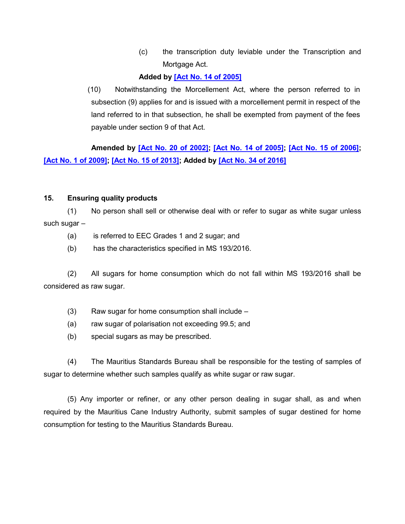(c) the transcription duty leviable under the Transcription and Mortgage Act.

### **Added by [\[Act No. 14 of 2005\]](https://supremecourt.govmu.org/get-doc-link/Act_No._14_of_2005)**

 (10) Notwithstanding the Morcellement Act, where the person referred to in subsection (9) applies for and is issued with a morcellement permit in respect of the land referred to in that subsection, he shall be exempted from payment of the fees payable under section 9 of that Act.

**Amended by [\[Act No. 20 of 2002\];](https://supremecourt.govmu.org/get-doc-link/Act_No._20_of_2002) [\[Act No. 14 of 2005\];](https://supremecourt.govmu.org/get-doc-link/Act_No._14_of_2005) [\[Act No. 15 of 2006\];](https://supremecourt.govmu.org/get-doc-link/Act_No._15_of_2006) [\[Act No. 1 of 2009\];](https://supremecourt.govmu.org/get-doc-link/Act_No._1_of_2009) [\[Act No. 15 of 2013\];](https://supremecourt.govmu.org/get-doc-link/Act_No._15_of_2013) Added by [\[Act No. 34 of 2016\]](https://supremecourt.govmu.org/get-doc-link/Act_No._34_of_2016)**

### **15. Ensuring quality products**

(1) No person shall sell or otherwise deal with or refer to sugar as white sugar unless such sugar –

- (a) is referred to EEC Grades 1 and 2 sugar; and
- (b) has the characteristics specified in MS 193/2016.

(2) All sugars for home consumption which do not fall within MS 193/2016 shall be considered as raw sugar.

- (3) Raw sugar for home consumption shall include –
- (a) raw sugar of polarisation not exceeding 99.5; and
- (b) special sugars as may be prescribed.

(4) The Mauritius Standards Bureau shall be responsible for the testing of samples of sugar to determine whether such samples qualify as white sugar or raw sugar.

(5) Any importer or refiner, or any other person dealing in sugar shall, as and when required by the Mauritius Cane Industry Authority, submit samples of sugar destined for home consumption for testing to the Mauritius Standards Bureau.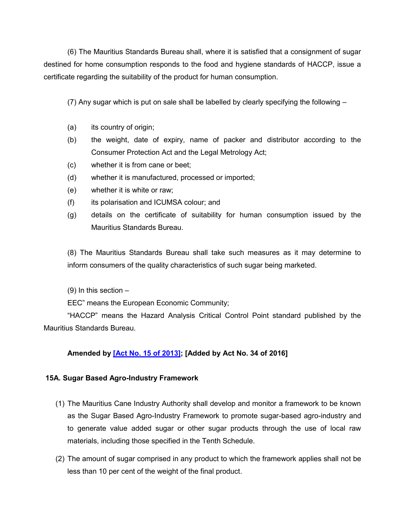(6) The Mauritius Standards Bureau shall, where it is satisfied that a consignment of sugar destined for home consumption responds to the food and hygiene standards of HACCP, issue a certificate regarding the suitability of the product for human consumption.

(7) Any sugar which is put on sale shall be labelled by clearly specifying the following –

- (a) its country of origin;
- (b) the weight, date of expiry, name of packer and distributor according to the Consumer Protection Act and the Legal Metrology Act;
- (c) whether it is from cane or beet;
- (d) whether it is manufactured, processed or imported;
- (e) whether it is white or raw;
- (f) its polarisation and ICUMSA colour; and
- (g) details on the certificate of suitability for human consumption issued by the Mauritius Standards Bureau.

(8) The Mauritius Standards Bureau shall take such measures as it may determine to inform consumers of the quality characteristics of such sugar being marketed.

(9) In this section –

EEC" means the European Economic Community;

"HACCP" means the Hazard Analysis Critical Control Point standard published by the Mauritius Standards Bureau.

### **Amended by [\[Act No. 15 of 2013\];](https://supremecourt.govmu.org/get-doc-link/Act_No._15_of_2013) [Added by Act No. 34 of 2016]**

#### **15A. Sugar Based Agro-Industry Framework**

- (1) The Mauritius Cane Industry Authority shall develop and monitor a framework to be known as the Sugar Based Agro-Industry Framework to promote sugar-based agro-industry and to generate value added sugar or other sugar products through the use of local raw materials, including those specified in the Tenth Schedule.
- (2) The amount of sugar comprised in any product to which the framework applies shall not be less than 10 per cent of the weight of the final product.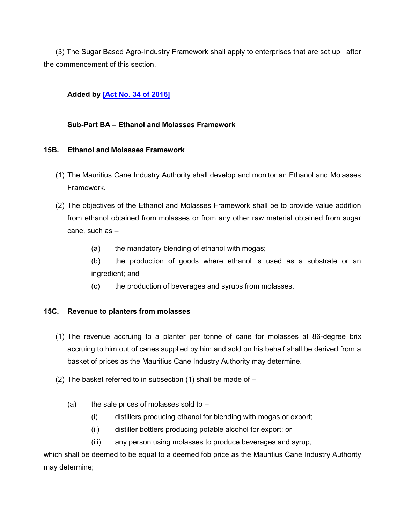(3) The Sugar Based Agro-Industry Framework shall apply to enterprises that are set up after the commencement of this section.

### **Added by [\[Act No. 34 of 2016\]](https://supremecourt.govmu.org/get-doc-link/Act_No._34_of_2016)**

#### **Sub-Part BA – Ethanol and Molasses Framework**

#### **15B. Ethanol and Molasses Framework**

- (1) The Mauritius Cane Industry Authority shall develop and monitor an Ethanol and Molasses Framework.
- (2) The objectives of the Ethanol and Molasses Framework shall be to provide value addition from ethanol obtained from molasses or from any other raw material obtained from sugar cane, such as –
	- (a) the mandatory blending of ethanol with mogas;
	- (b) the production of goods where ethanol is used as a substrate or an ingredient; and
	- (c) the production of beverages and syrups from molasses.

#### **15C. Revenue to planters from molasses**

- (1) The revenue accruing to a planter per tonne of cane for molasses at 86-degree brix accruing to him out of canes supplied by him and sold on his behalf shall be derived from a basket of prices as the Mauritius Cane Industry Authority may determine.
- (2) The basket referred to in subsection (1) shall be made of  $-$ 
	- (a) the sale prices of molasses sold to  $-$ 
		- (i) distillers producing ethanol for blending with mogas or export;
		- (ii) distiller bottlers producing potable alcohol for export; or
		- (iii) any person using molasses to produce beverages and syrup,

which shall be deemed to be equal to a deemed fob price as the Mauritius Cane Industry Authority may determine;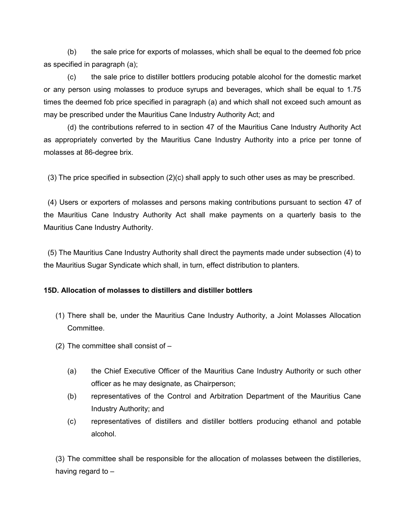(b) the sale price for exports of molasses, which shall be equal to the deemed fob price as specified in paragraph (a);

(c) the sale price to distiller bottlers producing potable alcohol for the domestic market or any person using molasses to produce syrups and beverages, which shall be equal to 1.75 times the deemed fob price specified in paragraph (a) and which shall not exceed such amount as may be prescribed under the Mauritius Cane Industry Authority Act; and

(d) the contributions referred to in section 47 of the Mauritius Cane Industry Authority Act as appropriately converted by the Mauritius Cane Industry Authority into a price per tonne of molasses at 86-degree brix.

(3) The price specified in subsection (2)(c) shall apply to such other uses as may be prescribed.

 (4) Users or exporters of molasses and persons making contributions pursuant to section 47 of the Mauritius Cane Industry Authority Act shall make payments on a quarterly basis to the Mauritius Cane Industry Authority.

 (5) The Mauritius Cane Industry Authority shall direct the payments made under subsection (4) to the Mauritius Sugar Syndicate which shall, in turn, effect distribution to planters.

### **15D. Allocation of molasses to distillers and distiller bottlers**

- (1) There shall be, under the Mauritius Cane Industry Authority, a Joint Molasses Allocation Committee.
- (2) The committee shall consist of  $-$ 
	- (a) the Chief Executive Officer of the Mauritius Cane Industry Authority or such other officer as he may designate, as Chairperson;
	- (b) representatives of the Control and Arbitration Department of the Mauritius Cane Industry Authority; and
	- (c) representatives of distillers and distiller bottlers producing ethanol and potable alcohol.

(3) The committee shall be responsible for the allocation of molasses between the distilleries, having regard to –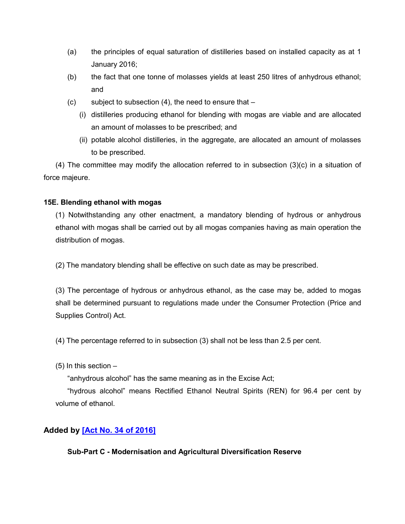- (a) the principles of equal saturation of distilleries based on installed capacity as at 1 January 2016;
- (b) the fact that one tonne of molasses yields at least 250 litres of anhydrous ethanol; and
- (c) subject to subsection  $(4)$ , the need to ensure that  $-$ 
	- (i) distilleries producing ethanol for blending with mogas are viable and are allocated an amount of molasses to be prescribed; and
	- (ii) potable alcohol distilleries, in the aggregate, are allocated an amount of molasses to be prescribed.

(4) The committee may modify the allocation referred to in subsection  $(3)(c)$  in a situation of force majeure.

#### **15E. Blending ethanol with mogas**

(1) Notwithstanding any other enactment, a mandatory blending of hydrous or anhydrous ethanol with mogas shall be carried out by all mogas companies having as main operation the distribution of mogas.

(2) The mandatory blending shall be effective on such date as may be prescribed.

(3) The percentage of hydrous or anhydrous ethanol, as the case may be, added to mogas shall be determined pursuant to regulations made under the Consumer Protection (Price and Supplies Control) Act.

(4) The percentage referred to in subsection (3) shall not be less than 2.5 per cent.

(5) In this section –

"anhydrous alcohol" has the same meaning as in the Excise Act;

"hydrous alcohol" means Rectified Ethanol Neutral Spirits (REN) for 96.4 per cent by volume of ethanol.

### **Added by [\[Act No. 34 of 2016\]](https://supremecourt.govmu.org/get-doc-link/Act_No._34_of_2016)**

**Sub-Part C - Modernisation and Agricultural Diversification Reserve**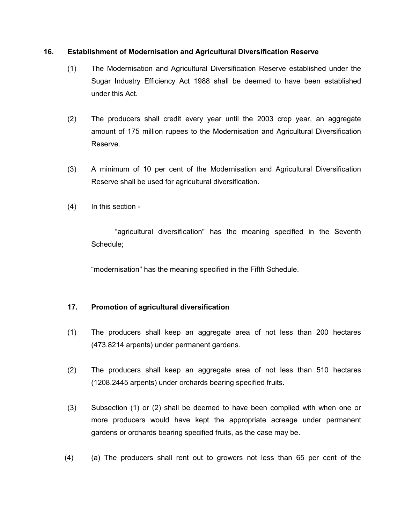#### **16. Establishment of Modernisation and Agricultural Diversification Reserve**

- <span id="page-30-0"></span>(1) The Modernisation and Agricultural Diversification Reserve established under the Sugar Industry Efficiency Act 1988 shall be deemed to have been established under this Act.
- (2) The producers shall credit every year until the 2003 crop year, an aggregate amount of 175 million rupees to the Modernisation and Agricultural Diversification Reserve.
- (3) A minimum of 10 per cent of the Modernisation and Agricultural Diversification Reserve shall be used for agricultural diversification.
- (4) In this section -

"agricultural diversification" has the meaning specified in the Seventh Schedule;

"modernisation" has the meaning specified in the Fifth Schedule.

#### <span id="page-30-1"></span>**17. Promotion of agricultural diversification**

- (1) The producers shall keep an aggregate area of not less than 200 hectares (473.8214 arpents) under permanent gardens.
- (2) The producers shall keep an aggregate area of not less than 510 hectares (1208.2445 arpents) under orchards bearing specified fruits.
- (3) Subsection (1) or (2) shall be deemed to have been complied with when one or more producers would have kept the appropriate acreage under permanent gardens or orchards bearing specified fruits, as the case may be.
- (4) (a) The producers shall rent out to growers not less than 65 per cent of the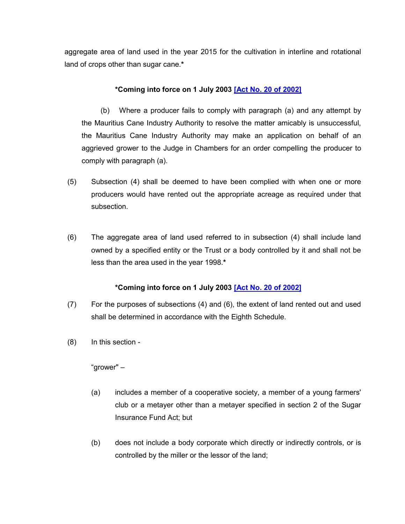aggregate area of land used in the year 2015 for the cultivation in interline and rotational land of crops other than sugar cane.**\***

### **\*Coming into force on 1 July 2003 [\[Act No. 20 of 2002\]](https://supremecourt.govmu.org/get-doc-link/Act_No._20_of_2002)**

(b) Where a producer fails to comply with paragraph (a) and any attempt by the Mauritius Cane Industry Authority to resolve the matter amicably is unsuccessful, the Mauritius Cane Industry Authority may make an application on behalf of an aggrieved grower to the Judge in Chambers for an order compelling the producer to comply with paragraph (a).

- (5) Subsection (4) shall be deemed to have been complied with when one or more producers would have rented out the appropriate acreage as required under that subsection.
- (6) The aggregate area of land used referred to in subsection (4) shall include land owned by a specified entity or the Trust or a body controlled by it and shall not be less than the area used in the year 1998.**\***

### **\*Coming into force on 1 July 2003 [\[Act No. 20 of 2002\]](https://supremecourt.govmu.org/get-doc-link/Act_No._20_of_2002)**

- (7) For the purposes of subsections (4) and (6), the extent of land rented out and used shall be determined in accordance with the Eighth Schedule.
- (8) In this section -

"grower" –

- (a) includes a member of a cooperative society, a member of a young farmers' club or a metayer other than a metayer specified in section 2 of the Sugar Insurance Fund Act; but
- (b) does not include a body corporate which directly or indirectly controls, or is controlled by the miller or the lessor of the land;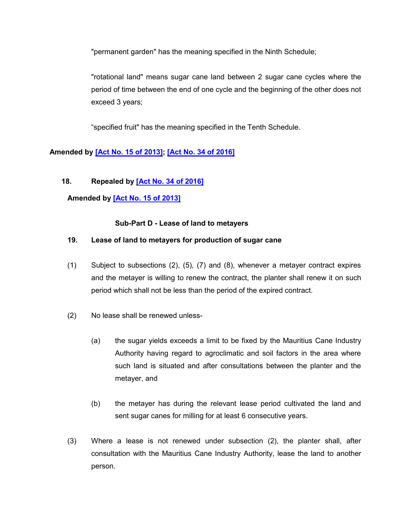"permanent garden" has the meaning specified in the Ninth Schedule;

"rotational land" means sugar cane land between 2 sugar cane cycles where the period of time between the end of one cycle and the beginning of the other does not exceed 3 years;

"specified fruit" has the meaning specified in the Tenth Schedule.

### **Amended by [\[Act No. 15 of 2013\];](https://supremecourt.govmu.org/get-doc-link/Act_No._15_of_2013) [\[Act No. 34 of 2016\]](https://supremecourt.govmu.org/get-doc-link/Act_No._34_of_2016)**

#### <span id="page-32-0"></span>**18. Repealed by [\[Act No. 34 of 2016\]](https://supremecourt.govmu.org/get-doc-link/Act_No._34_of_2016)**

**Amended by [\[Act No. 15 of 2013\]](https://supremecourt.govmu.org/get-doc-link/Act_No._15_of_2013)**

#### **Sub-Part D - Lease of land to metayers**

#### <span id="page-32-1"></span>**19. Lease of land to metayers for production of sugar cane**

- (1) Subject to subsections (2), (5), (7) and (8), whenever a metayer contract expires and the metayer is willing to renew the contract, the planter shall renew it on such period which shall not be less than the period of the expired contract.
- (2) No lease shall be renewed unless-
	- (a) the sugar yields exceeds a limit to be fixed by the Mauritius Cane Industry Authority having regard to agroclimatic and soil factors in the area where such land is situated and after consultations between the planter and the metayer, and
	- (b) the metayer has during the relevant lease period cultivated the land and sent sugar canes for milling for at least 6 consecutive years.
- (3) Where a lease is not renewed under subsection (2), the planter shall, after consultation with the Mauritius Cane Industry Authority, lease the land to another person.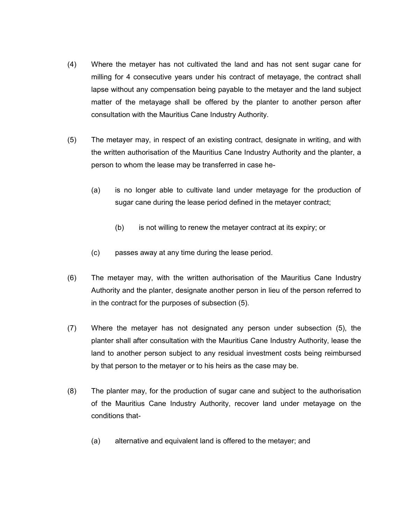- (4) Where the metayer has not cultivated the land and has not sent sugar cane for milling for 4 consecutive years under his contract of metayage, the contract shall lapse without any compensation being payable to the metayer and the land subject matter of the metayage shall be offered by the planter to another person after consultation with the Mauritius Cane Industry Authority.
- (5) The metayer may, in respect of an existing contract, designate in writing, and with the written authorisation of the Mauritius Cane Industry Authority and the planter, a person to whom the lease may be transferred in case he-
	- (a) is no longer able to cultivate land under metayage for the production of sugar cane during the lease period defined in the metayer contract;
		- (b) is not willing to renew the metayer contract at its expiry; or
	- (c) passes away at any time during the lease period.
- (6) The metayer may, with the written authorisation of the Mauritius Cane Industry Authority and the planter, designate another person in lieu of the person referred to in the contract for the purposes of subsection (5).
- (7) Where the metayer has not designated any person under subsection (5), the planter shall after consultation with the Mauritius Cane Industry Authority, lease the land to another person subject to any residual investment costs being reimbursed by that person to the metayer or to his heirs as the case may be.
- (8) The planter may, for the production of sugar cane and subject to the authorisation of the Mauritius Cane Industry Authority, recover land under metayage on the conditions that-
	- (a) alternative and equivalent land is offered to the metayer; and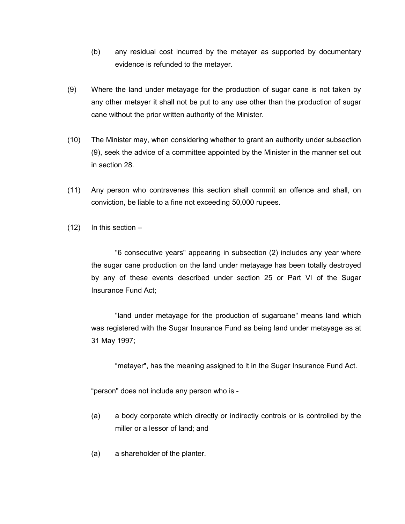- (b) any residual cost incurred by the metayer as supported by documentary evidence is refunded to the metayer.
- (9) Where the land under metayage for the production of sugar cane is not taken by any other metayer it shall not be put to any use other than the production of sugar cane without the prior written authority of the Minister.
- (10) The Minister may, when considering whether to grant an authority under subsection (9), seek the advice of a committee appointed by the Minister in the manner set out in section 28.
- (11) Any person who contravenes this section shall commit an offence and shall, on conviction, be liable to a fine not exceeding 50,000 rupees.
- $(12)$  In this section –

"6 consecutive years" appearing in subsection (2) includes any year where the sugar cane production on the land under metayage has been totally destroyed by any of these events described under section 25 or Part VI of the Sugar Insurance Fund Act;

"land under metayage for the production of sugarcane" means land which was registered with the Sugar Insurance Fund as being land under metayage as at 31 May 1997;

"metayer", has the meaning assigned to it in the Sugar Insurance Fund Act.

"person" does not include any person who is -

- (a) a body corporate which directly or indirectly controls or is controlled by the miller or a lessor of land; and
- (a) a shareholder of the planter.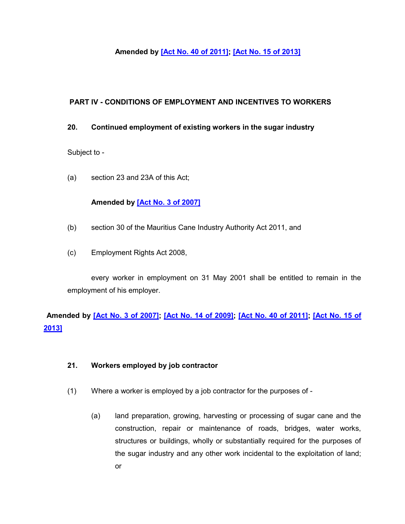### **Amended by [\[Act No. 40 of 2011\];](https://supremecourt.govmu.org/get-doc-link/Act_No._40_of_2011) [\[Act No. 15 of 2013\]](https://supremecourt.govmu.org/get-doc-link/Act_No._15_of_2013)**

### **PART IV - CONDITIONS OF EMPLOYMENT AND INCENTIVES TO WORKERS**

#### <span id="page-35-0"></span>**20. Continued employment of existing workers in the sugar industry**

Subject to -

(a) section 23 and 23A of this Act;

#### **Amended by [\[Act No. 3 of 2007\]](https://supremecourt.govmu.org/get-doc-link/Act_No._3_of_2007)**

- (b) section 30 of the Mauritius Cane Industry Authority Act 2011, and
- (c) Employment Rights Act 2008,

every worker in employment on 31 May 2001 shall be entitled to remain in the employment of his employer.

# **Amended by [\[Act No. 3 of 2007\];](https://supremecourt.govmu.org/get-doc-link/Act_No._3_of_2007) [\[Act No. 14 of 2009\];](https://supremecourt.govmu.org/get-doc-link/Act_No._14_of_2009) [\[Act No. 40 of 2011\];](https://supremecourt.govmu.org/get-doc-link/Act_No._40_of_2011) [\[Act No. 15 of](https://supremecourt.govmu.org/get-doc-link/Act_No._15_of_2013)  [2013\]](https://supremecourt.govmu.org/get-doc-link/Act_No._15_of_2013)**

#### <span id="page-35-1"></span>**21. Workers employed by job contractor**

- (1) Where a worker is employed by a job contractor for the purposes of
	- (a) land preparation, growing, harvesting or processing of sugar cane and the construction, repair or maintenance of roads, bridges, water works, structures or buildings, wholly or substantially required for the purposes of the sugar industry and any other work incidental to the exploitation of land; or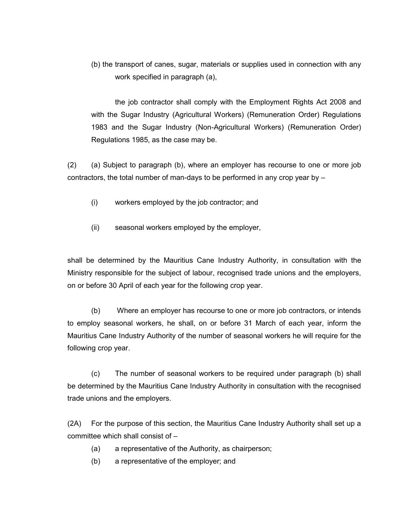(b) the transport of canes, sugar, materials or supplies used in connection with any work specified in paragraph (a),

the job contractor shall comply with the Employment Rights Act 2008 and with the Sugar Industry (Agricultural Workers) (Remuneration Order) Regulations 1983 and the Sugar Industry (Non-Agricultural Workers) (Remuneration Order) Regulations 1985, as the case may be.

(2) (a) Subject to paragraph (b), where an employer has recourse to one or more job contractors, the total number of man-days to be performed in any crop year by –

- (i) workers employed by the job contractor; and
- (ii) seasonal workers employed by the employer,

shall be determined by the Mauritius Cane Industry Authority, in consultation with the Ministry responsible for the subject of labour, recognised trade unions and the employers, on or before 30 April of each year for the following crop year.

(b) Where an employer has recourse to one or more job contractors, or intends to employ seasonal workers, he shall, on or before 31 March of each year, inform the Mauritius Cane Industry Authority of the number of seasonal workers he will require for the following crop year.

(c) The number of seasonal workers to be required under paragraph (b) shall be determined by the Mauritius Cane Industry Authority in consultation with the recognised trade unions and the employers.

(2A) For the purpose of this section, the Mauritius Cane Industry Authority shall set up a committee which shall consist of –

- (a) a representative of the Authority, as chairperson;
- (b) a representative of the employer; and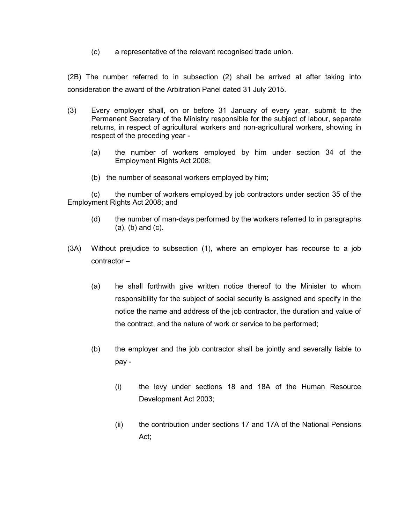(c) a representative of the relevant recognised trade union.

(2B) The number referred to in subsection (2) shall be arrived at after taking into consideration the award of the Arbitration Panel dated 31 July 2015.

- (3) Every employer shall, on or before 31 January of every year, submit to the Permanent Secretary of the Ministry responsible for the subject of labour, separate returns, in respect of agricultural workers and non-agricultural workers, showing in respect of the preceding year -
	- (a) the number of workers employed by him under section 34 of the Employment Rights Act 2008;
	- (b) the number of seasonal workers employed by him;

(c) the number of workers employed by job contractors under section 35 of the Employment Rights Act 2008; and

- (d) the number of man-days performed by the workers referred to in paragraphs (a), (b) and (c).
- (3A) Without prejudice to subsection (1), where an employer has recourse to a job contractor –
	- (a) he shall forthwith give written notice thereof to the Minister to whom responsibility for the subject of social security is assigned and specify in the notice the name and address of the job contractor, the duration and value of the contract, and the nature of work or service to be performed;
	- (b) the employer and the job contractor shall be jointly and severally liable to pay -
		- (i) the levy under sections 18 and 18A of the Human Resource Development Act 2003;
		- (ii) the contribution under sections 17 and 17A of the National Pensions Act;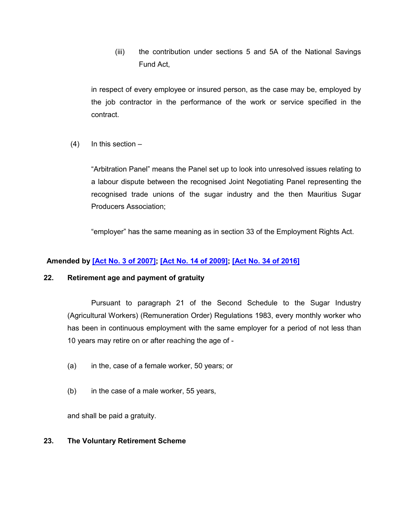(iii) the contribution under sections 5 and 5A of the National Savings Fund Act,

in respect of every employee or insured person, as the case may be, employed by the job contractor in the performance of the work or service specified in the contract.

 $(4)$  In this section –

"Arbitration Panel" means the Panel set up to look into unresolved issues relating to a labour dispute between the recognised Joint Negotiating Panel representing the recognised trade unions of the sugar industry and the then Mauritius Sugar Producers Association;

"employer" has the same meaning as in section 33 of the Employment Rights Act.

# **Amended by [\[Act No. 3 of 2007\];](https://supremecourt.govmu.org/get-doc-link/Act_No._3_of_2007) [\[Act No. 14 of 2009\];](https://supremecourt.govmu.org/get-doc-link/Act_No._14_of_2009) [\[Act No. 34 of 2016\]](https://supremecourt.govmu.org/get-doc-link/Act_No._34_of_2016)**

### **22. Retirement age and payment of gratuity**

Pursuant to paragraph 21 of the Second Schedule to the Sugar Industry (Agricultural Workers) (Remuneration Order) Regulations 1983, every monthly worker who has been in continuous employment with the same employer for a period of not less than 10 years may retire on or after reaching the age of -

- (a) in the, case of a female worker, 50 years; or
- (b) in the case of a male worker, 55 years,

and shall be paid a gratuity.

#### **23. The Voluntary Retirement Scheme**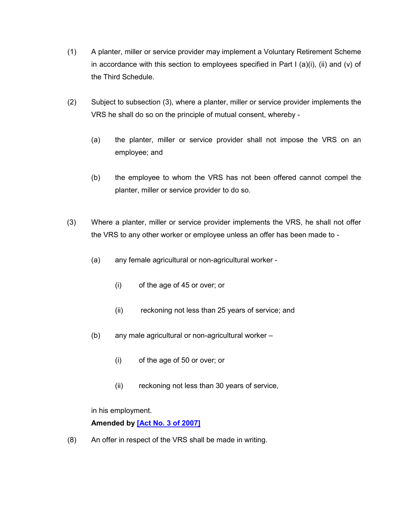- (1) A planter, miller or service provider may implement a Voluntary Retirement Scheme in accordance with this section to employees specified in Part I (a)(i), (ii) and (v) of the Third Schedule.
- (2) Subject to subsection (3), where a planter, miller or service provider implements the VRS he shall do so on the principle of mutual consent, whereby -
	- (a) the planter, miller or service provider shall not impose the VRS on an employee; and
	- (b) the employee to whom the VRS has not been offered cannot compel the planter, miller or service provider to do so.
- (3) Where a planter, miller or service provider implements the VRS, he shall not offer the VRS to any other worker or employee unless an offer has been made to -
	- (a) any female agricultural or non-agricultural worker
		- (i) of the age of 45 or over; or
		- (ii) reckoning not less than 25 years of service; and
	- (b) any male agricultural or non-agricultural worker
		- (i) of the age of 50 or over; or
		- (ii) reckoning not less than 30 years of service,

in his employment.

# **Amended by [\[Act No. 3 of 2007\]](https://supremecourt.govmu.org/get-doc-link/Act_No._3_of_2007)**

(8) An offer in respect of the VRS shall be made in writing.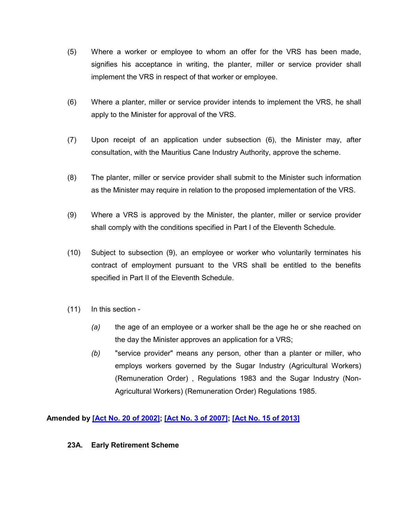- (5) Where a worker or employee to whom an offer for the VRS has been made, signifies his acceptance in writing, the planter, miller or service provider shall implement the VRS in respect of that worker or employee.
- (6) Where a planter, miller or service provider intends to implement the VRS, he shall apply to the Minister for approval of the VRS.
- (7) Upon receipt of an application under subsection (6), the Minister may, after consultation, with the Mauritius Cane Industry Authority, approve the scheme.
- (8) The planter, miller or service provider shall submit to the Minister such information as the Minister may require in relation to the proposed implementation of the VRS.
- (9) Where a VRS is approved by the Minister, the planter, miller or service provider shall comply with the conditions specified in Part I of the Eleventh Schedule.
- (10) Subject to subsection (9), an employee or worker who voluntarily terminates his contract of employment pursuant to the VRS shall be entitled to the benefits specified in Part II of the Eleventh Schedule.
- (11) In this section
	- *(a)* the age of an employee or a worker shall be the age he or she reached on the day the Minister approves an application for a VRS;
	- *(b)* "service provider" means any person, other than a planter or miller, who employs workers governed by the Sugar Industry (Agricultural Workers) (Remuneration Order) , Regulations 1983 and the Sugar Industry (Non-Agricultural Workers) (Remuneration Order) Regulations 1985.

**Amended by [\[Act No. 20 of 2002\];](https://supremecourt.govmu.org/get-doc-link/Act_No._20_of_2002) [\[Act No. 3 of 2007\];](https://supremecourt.govmu.org/get-doc-link/Act_No._3_of_2007) [\[Act No. 15 of 2013\]](https://supremecourt.govmu.org/get-doc-link/Act_No._15_of_2013)**

### **23A. Early Retirement Scheme**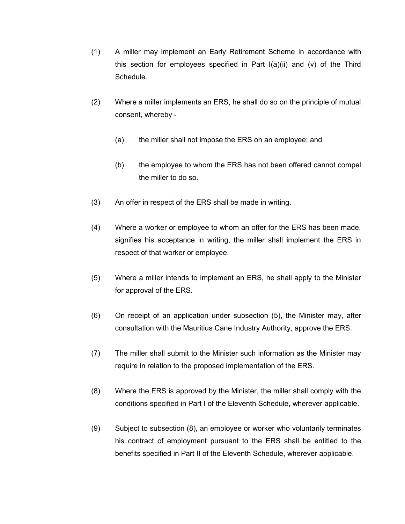- (1) A miller may implement an Early Retirement Scheme in accordance with this section for employees specified in Part  $I(a)(ii)$  and  $(v)$  of the Third Schedule.
- (2) Where a miller implements an ERS, he shall do so on the principle of mutual consent, whereby -
	- (a) the miller shall not impose the ERS on an employee; and
	- (b) the employee to whom the ERS has not been offered cannot compel the miller to do so.
- (3) An offer in respect of the ERS shall be made in writing.
- (4) Where a worker or employee to whom an offer for the ERS has been made, signifies his acceptance in writing, the miller shall implement the ERS in respect of that worker or employee.
- (5) Where a miller intends to implement an ERS, he shall apply to the Minister for approval of the ERS.
- (6) On receipt of an application under subsection (5), the Minister may, after consultation with the Mauritius Cane Industry Authority, approve the ERS.
- (7) The miller shall submit to the Minister such information as the Minister may require in relation to the proposed implementation of the ERS.
- (8) Where the ERS is approved by the Minister, the miller shall comply with the conditions specified in Part I of the Eleventh Schedule, wherever applicable.
- (9) Subject to subsection (8), an employee or worker who voluntarily terminates his contract of employment pursuant to the ERS shall be entitled to the benefits specified in Part II of the Eleventh Schedule, wherever applicable.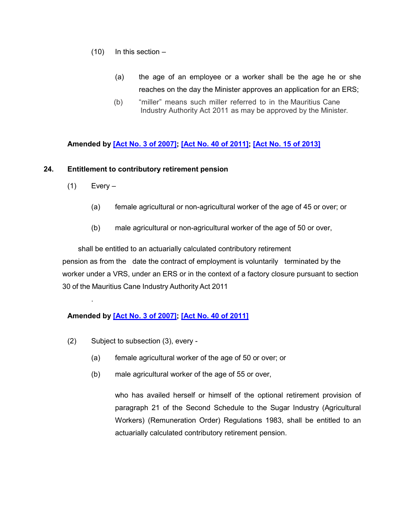- $(10)$  In this section
	- (a) the age of an employee or a worker shall be the age he or she reaches on the day the Minister approves an application for an ERS;
	- (b) "miller" means such miller referred to in the Mauritius Cane Industry Authority Act 2011 as may be approved by the Minister.

# **Amended by [\[Act No. 3 of 2007\];](https://supremecourt.govmu.org/get-doc-link/Act_No._3_of_2007) [\[Act No. 40 of 2011\];](https://supremecourt.govmu.org/get-doc-link/Act_No._40_of_2011) [\[Act No. 15 of 2013\]](https://supremecourt.govmu.org/get-doc-link/Act_No._15_of_2013)**

### **24. Entitlement to contributory retirement pension**

 $(1)$  Every –

.

- (a) female agricultural or non-agricultural worker of the age of 45 or over; or
- (b) male agricultural or non-agricultural worker of the age of 50 or over,

 shall be entitled to an actuarially calculated contributory retirement pension as from the date the contract of employment is voluntarily terminated by the worker under a VRS, under an ERS or in the context of a factory closure pursuant to section 30 of the Mauritius Cane Industry Authority Act 2011

# **Amended by [\[Act No. 3 of 2007\];](https://supremecourt.govmu.org/get-doc-link/Act_No._3_of_2007) [\[Act No. 40 of 2011\]](https://supremecourt.govmu.org/get-doc-link/Act_No._40_of_2011)**

- (2) Subject to subsection (3), every
	- (a) female agricultural worker of the age of 50 or over; or
	- (b) male agricultural worker of the age of 55 or over,

who has availed herself or himself of the optional retirement provision of paragraph 21 of the Second Schedule to the Sugar Industry (Agricultural Workers) (Remuneration Order) Regulations 1983, shall be entitled to an actuarially calculated contributory retirement pension.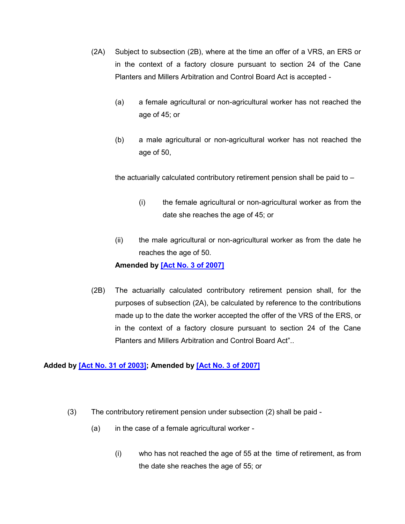- (2A) Subject to subsection (2B), where at the time an offer of a VRS, an ERS or in the context of a factory closure pursuant to section 24 of the Cane Planters and Millers Arbitration and Control Board Act is accepted -
	- (a) a female agricultural or non-agricultural worker has not reached the age of 45; or
	- (b) a male agricultural or non-agricultural worker has not reached the age of 50,

the actuarially calculated contributory retirement pension shall be paid to –

- (i) the female agricultural or non-agricultural worker as from the date she reaches the age of 45; or
- (ii) the male agricultural or non-agricultural worker as from the date he reaches the age of 50.

### **Amended by [\[Act No. 3 of 2007\]](https://supremecourt.govmu.org/get-doc-link/Act_No._3_of_2007)**

(2B) The actuarially calculated contributory retirement pension shall, for the purposes of subsection (2A), be calculated by reference to the contributions made up to the date the worker accepted the offer of the VRS of the ERS, or in the context of a factory closure pursuant to section 24 of the Cane Planters and Millers Arbitration and Control Board Act"..

### **Added by [\[Act No. 31 of 2003\];](https://supremecourt.govmu.org/get-doc-link/Act_No._31_of_2003) Amended by [\[Act No. 3 of 2007\]](https://supremecourt.govmu.org/get-doc-link/Act_No._3_of_2007)**

- (3) The contributory retirement pension under subsection (2) shall be paid
	- (a) in the case of a female agricultural worker
		- (i) who has not reached the age of 55 at the time of retirement, as from the date she reaches the age of 55; or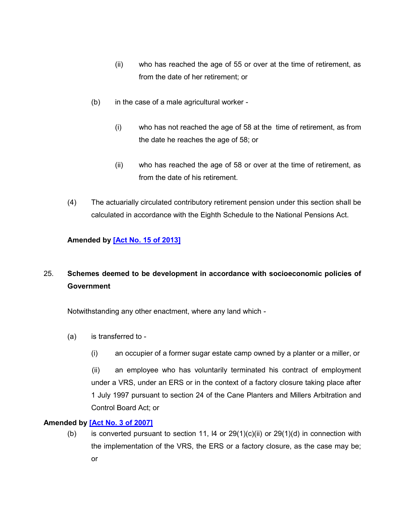- (ii) who has reached the age of 55 or over at the time of retirement, as from the date of her retirement; or
- (b) in the case of a male agricultural worker
	- (i) who has not reached the age of 58 at the time of retirement, as from the date he reaches the age of 58; or
	- (ii) who has reached the age of 58 or over at the time of retirement, as from the date of his retirement.
- (4) The actuarially circulated contributory retirement pension under this section shall be calculated in accordance with the Eighth Schedule to the National Pensions Act.

# **Amended by [\[Act No. 15 of 2013\]](https://supremecourt.govmu.org/get-doc-link/Act_No._15_of_2013)**

# 25. **Schemes deemed to be development in accordance with socioeconomic policies of Government**

Notwithstanding any other enactment, where any land which -

- (a) is transferred to
	- (i) an occupier of a former sugar estate camp owned by a planter or a miller, or

 (ii) an employee who has voluntarily terminated his contract of employment under a VRS, under an ERS or in the context of a factory closure taking place after 1 July 1997 pursuant to section 24 of the Cane Planters and Millers Arbitration and Control Board Act; or

### **Amended by [\[Act No. 3 of 2007\]](https://supremecourt.govmu.org/get-doc-link/Act_No._3_of_2007)**

(b) is converted pursuant to section 11,  $\overline{14}$  or 29(1)(c)(ii) or 29(1)(d) in connection with the implementation of the VRS, the ERS or a factory closure, as the case may be; or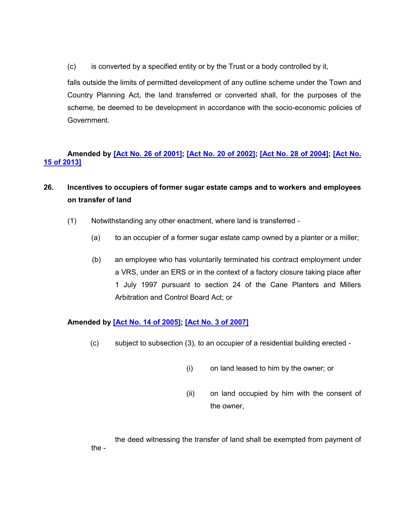(c) is converted by a specified entity or by the Trust or a body controlled by it,

falls outside the limits of permitted development of any outline scheme under the Town and Country Planning Act, the land transferred or converted shall, for the purposes of the scheme, be deemed to be development in accordance with the socio-economic policies of Government.

# **Amended by [\[Act No. 26 of 2001\];](https://supremecourt.govmu.org/get-doc-link/Act_No._26_of_2001) [\[Act No. 20 of 2002\];](https://supremecourt.govmu.org/get-doc-link/Act_No._20_of_2002) [\[Act No. 28 of 2004\];](https://supremecourt.govmu.org/get-doc-link/Act_No._28_of_2004) [\[Act No.](https://supremecourt.govmu.org/get-doc-link/Act_No._15_of_2013)  [15 of 2013\]](https://supremecourt.govmu.org/get-doc-link/Act_No._15_of_2013)**

- **26. Incentives to occupiers of former sugar estate camps and to workers and employees on transfer of land** 
	- (1) Notwithstanding any other enactment, where land is transferred
		- (a) to an occupier of a former sugar estate camp owned by a planter or a miller;
		- (b) an employee who has voluntarily terminated his contract employment under a VRS, under an ERS or in the context of a factory closure taking place after 1 July 1997 pursuant to section 24 of the Cane Planters and Millers Arbitration and Control Board Act; or

# **Amended by [\[Act No. 14 of 2005\];](https://supremecourt.govmu.org/get-doc-link/Act_No._14_of_2005) [\[Act No. 3 of 2007\]](https://supremecourt.govmu.org/get-doc-link/Act_No._3_of_2007)**

- (c) subject to subsection (3), to an occupier of a residential building erected
	- (i) on land leased to him by the owner; or
	- (ii) on land occupied by him with the consent of the owner,

the deed witnessing the transfer of land shall be exempted from payment of the -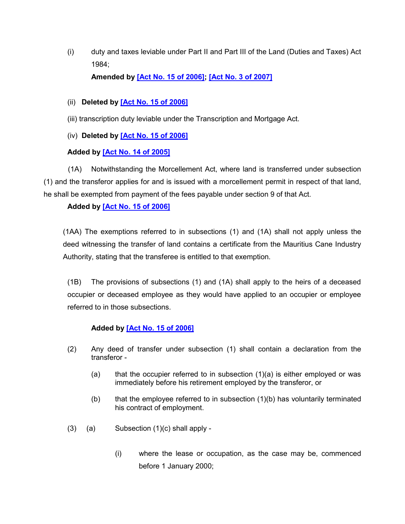(i) duty and taxes leviable under Part II and Part III of the Land (Duties and Taxes) Act 1984;

**Amended by [\[Act No. 15 of 2006\];](https://supremecourt.govmu.org/get-doc-link/Act_No._15_of_2006) [\[Act No. 3 of 2007\]](https://supremecourt.govmu.org/get-doc-link/Act_No._3_of_2007)**

- (ii) **Deleted by [\[Act No. 15 of 2006\]](https://supremecourt.govmu.org/get-doc-link/Act_No._15_of_2006)**
- (iii) transcription duty leviable under the Transcription and Mortgage Act.
- (iv) **Deleted by [\[Act No. 15 of 2006\]](https://supremecourt.govmu.org/get-doc-link/Act_No._15_of_2006)**

# **Added by [\[Act No. 14 of 2005\]](https://supremecourt.govmu.org/get-doc-link/Act_No._14_of_2005)**

 (1A) Notwithstanding the Morcellement Act, where land is transferred under subsection (1) and the transferor applies for and is issued with a morcellement permit in respect of that land, he shall be exempted from payment of the fees payable under section 9 of that Act.

# **Added by [\[Act No. 15 of 2006\]](https://supremecourt.govmu.org/get-doc-link/Act_No._15_of_2006)**

(1AA) The exemptions referred to in subsections (1) and (1A) shall not apply unless the deed witnessing the transfer of land contains a certificate from the Mauritius Cane Industry Authority, stating that the transferee is entitled to that exemption.

(1B) The provisions of subsections (1) and (1A) shall apply to the heirs of a deceased occupier or deceased employee as they would have applied to an occupier or employee referred to in those subsections.

### **Added by [\[Act No. 15 of 2006\]](https://supremecourt.govmu.org/get-doc-link/Act_No._15_of_2006)**

- (2) Any deed of transfer under subsection (1) shall contain a declaration from the transferor -
	- (a) that the occupier referred to in subsection  $(1)(a)$  is either employed or was immediately before his retirement employed by the transferor, or
	- (b) that the employee referred to in subsection (1)(b) has voluntarily terminated his contract of employment.
- $(3)$   $(a)$  Subsection  $(1)(c)$  shall apply -
	- (i) where the lease or occupation, as the case may be, commenced before 1 January 2000;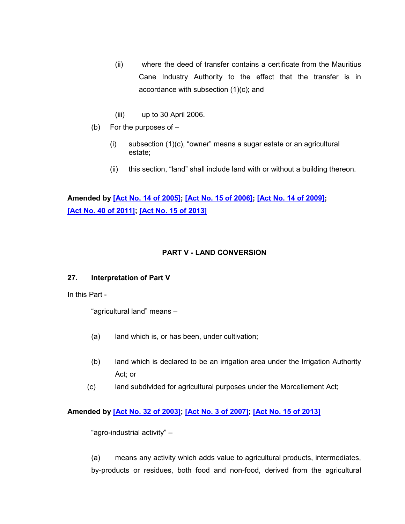- (ii) where the deed of transfer contains a certificate from the Mauritius Cane Industry Authority to the effect that the transfer is in accordance with subsection (1)(c); and
- (iii) up to 30 April 2006.
- (b) For the purposes of  $-$ 
	- (i) subsection (1)(c), "owner" means a sugar estate or an agricultural estate;
	- (ii) this section, "land" shall include land with or without a building thereon.

# **Amended by [\[Act No. 14 of 2005\];](https://supremecourt.govmu.org/get-doc-link/Act_No._14_of_2005) [\[Act No. 15 of 2006\];](https://supremecourt.govmu.org/get-doc-link/Act_No._15_of_2006) [\[Act No. 14 of 2009\];](https://supremecourt.govmu.org/get-doc-link/Act_No._14_of_2009) [\[Act No. 40 of 2011\];](https://supremecourt.govmu.org/get-doc-link/Act_No._40_of_2011) [\[Act No. 15 of 2013\]](https://supremecourt.govmu.org/get-doc-link/Act_No._15_of_2013)**

# **PART V - LAND CONVERSION**

### **27. Interpretation of Part V**

In this Part -

"agricultural land" means –

- (a) land which is, or has been, under cultivation;
- (b) land which is declared to be an irrigation area under the Irrigation Authority Act; or
- (c) land subdivided for agricultural purposes under the Morcellement Act;

# **Amended by [\[Act No. 32 of 2003\];](https://supremecourt.govmu.org/get-doc-link/Act_No._32_of_2003) [\[Act No. 3 of 2007\];](https://supremecourt.govmu.org/get-doc-link/Act_No._3_of_2007) [\[Act No. 15 of 2013\]](https://supremecourt.govmu.org/get-doc-link/Act_No._15_of_2013)**

"agro-industrial activity" –

(a) means any activity which adds value to agricultural products, intermediates, by-products or residues, both food and non-food, derived from the agricultural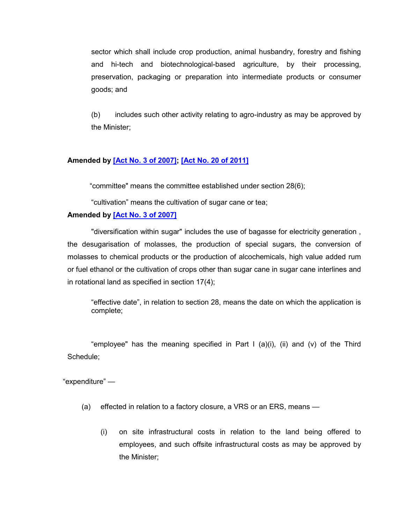sector which shall include crop production, animal husbandry, forestry and fishing and hi-tech and biotechnological-based agriculture, by their processing, preservation, packaging or preparation into intermediate products or consumer goods; and

(b) includes such other activity relating to agro-industry as may be approved by the Minister;

#### **Amended by [\[Act No. 3 of 2007\];](https://supremecourt.govmu.org/get-doc-link/Act_No._3_of_2007) [\[Act No. 20 of 2011\]](https://supremecourt.govmu.org/get-doc-link/Act_No._20_of_2011)**

"committee" means the committee established under section 28(6);

"cultivation" means the cultivation of sugar cane or tea;

#### **Amended by [\[Act No. 3 of 2007\]](https://supremecourt.govmu.org/get-doc-link/Act_No._3_of_2007)**

"diversification within sugar" includes the use of bagasse for electricity generation , the desugarisation of molasses, the production of special sugars, the conversion of molasses to chemical products or the production of alcochemicals, high value added rum or fuel ethanol or the cultivation of crops other than sugar cane in sugar cane interlines and in rotational land as specified in section 17(4);

"effective date", in relation to section 28, means the date on which the application is complete;

"employee" has the meaning specified in Part I (a)(i), (ii) and (v) of the Third Schedule;

"expenditure" —

- (a) effected in relation to a factory closure, a VRS or an ERS, means
	- (i) on site infrastructural costs in relation to the land being offered to employees, and such offsite infrastructural costs as may be approved by the Minister;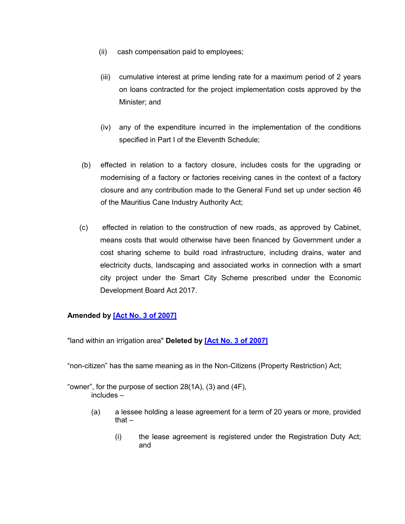- (ii) cash compensation paid to employees;
- (iii) cumulative interest at prime lending rate for a maximum period of 2 years on loans contracted for the project implementation costs approved by the Minister; and
- (iv) any of the expenditure incurred in the implementation of the conditions specified in Part I of the Eleventh Schedule;
- (b) effected in relation to a factory closure, includes costs for the upgrading or modernising of a factory or factories receiving canes in the context of a factory closure and any contribution made to the General Fund set up under section 46 of the Mauritius Cane Industry Authority Act;
- (c) effected in relation to the construction of new roads, as approved by Cabinet, means costs that would otherwise have been financed by Government under a cost sharing scheme to build road infrastructure, including drains, water and electricity ducts, landscaping and associated works in connection with a smart city project under the Smart City Scheme prescribed under the Economic Development Board Act 2017.

# **Amended by [\[Act No. 3 of 2007\]](https://supremecourt.govmu.org/get-doc-link/Act_No._3_of_2007)**

"land within an irrigation area" **Deleted by [\[Act No. 3 of 2007\]](https://supremecourt.govmu.org/get-doc-link/Act_No._3_of_2007)**

"non-citizen" has the same meaning as in the Non-Citizens (Property Restriction) Act;

"owner", for the purpose of section 28(1A), (3) and (4F), includes –

- (a) a lessee holding a lease agreement for a term of 20 years or more, provided that $-$ 
	- (i) the lease agreement is registered under the Registration Duty Act; and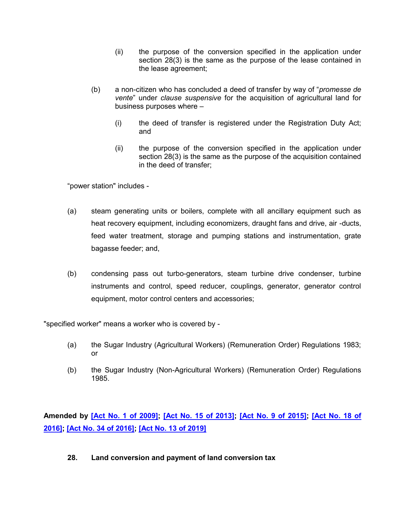- (ii) the purpose of the conversion specified in the application under section 28(3) is the same as the purpose of the lease contained in the lease agreement;
- (b) a non-citizen who has concluded a deed of transfer by way of "*promesse de vente*" under *clause suspensive* for the acquisition of agricultural land for business purposes where –
	- (i) the deed of transfer is registered under the Registration Duty Act; and
	- (ii) the purpose of the conversion specified in the application under section 28(3) is the same as the purpose of the acquisition contained in the deed of transfer;

"power station" includes -

- (a) steam generating units or boilers, complete with all ancillary equipment such as heat recovery equipment, including economizers, draught fans and drive, air -ducts, feed water treatment, storage and pumping stations and instrumentation, grate bagasse feeder; and,
- (b) condensing pass out turbo-generators, steam turbine drive condenser, turbine instruments and control, speed reducer, couplings, generator, generator control equipment, motor control centers and accessories;

"specified worker" means a worker who is covered by -

- (a) the Sugar Industry (Agricultural Workers) (Remuneration Order) Regulations 1983; or
- (b) the Sugar Industry (Non-Agricultural Workers) (Remuneration Order) Regulations 1985.

**Amended by [\[Act No. 1 of 2009\];](https://supremecourt.govmu.org/get-doc-link/Act_No._1_of_2009) [\[Act No. 15 of 2013\];](https://supremecourt.govmu.org/get-doc-link/Act_No._15_of_2013) [\[Act No. 9 of 2015\];](https://supremecourt.govmu.org/get-doc-link/Act_No._9_of_2015) [\[Act No. 18 of](https://supremecourt.govmu.org/get-doc-link/Act_No._18_of_2016)  [2016\];](https://supremecourt.govmu.org/get-doc-link/Act_No._18_of_2016) [\[Act No. 34 of 2016\];](https://supremecourt.govmu.org/get-doc-link/Act_No._34_of_2016) [\[Act No. 13 of 2019\]](https://supremecourt.govmu.org/get-doc-link/Act_No._13_of_2019)**

**28. Land conversion and payment of land conversion tax**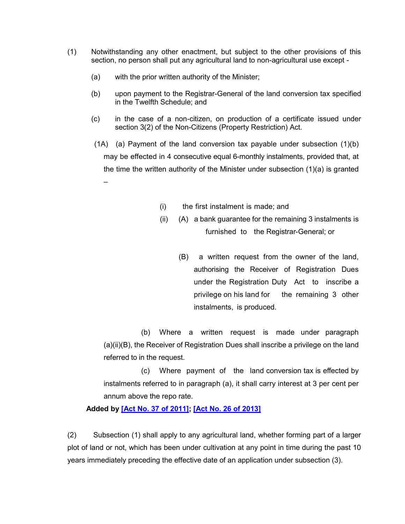- (1) Notwithstanding any other enactment, but subject to the other provisions of this section, no person shall put any agricultural land to non-agricultural use except -
	- (a) with the prior written authority of the Minister;
	- (b) upon payment to the Registrar-General of the land conversion tax specified in the Twelfth Schedule; and
	- (c) in the case of a non-citizen, on production of a certificate issued under section 3(2) of the Non-Citizens (Property Restriction) Act.
	- (1A) (a) Payment of the land conversion tax payable under subsection (1)(b) may be effected in 4 consecutive equal 6-monthly instalments, provided that, at the time the written authority of the Minister under subsection (1)(a) is granted –
		- (i) the first instalment is made; and
		- (ii) (A) a bank guarantee for the remaining 3 instalments is furnished to the Registrar-General; or
			- (B) a written request from the owner of the land, authorising the Receiver of Registration Dues under the Registration Duty Act to inscribe a privilege on his land for the remaining 3 other instalments, is produced.

(b) Where a written request is made under paragraph (a)(ii)(B), the Receiver of Registration Dues shall inscribe a privilege on the land referred to in the request.

(c) Where payment of the land conversion tax is effected by instalments referred to in paragraph (a), it shall carry interest at 3 per cent per annum above the repo rate.

### **Added by [\[Act No. 37 of 2011\];](https://supremecourt.govmu.org/get-doc-link/Act_No._37_of_2011) [\[Act No. 26 of 2013\]](https://supremecourt.govmu.org/get-doc-link/Act_No._26_of_2013)**

(2) Subsection (1) shall apply to any agricultural land, whether forming part of a larger plot of land or not, which has been under cultivation at any point in time during the past 10 years immediately preceding the effective date of an application under subsection (3).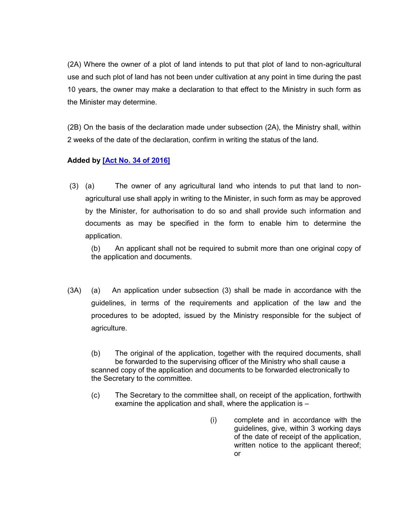(2A) Where the owner of a plot of land intends to put that plot of land to non-agricultural use and such plot of land has not been under cultivation at any point in time during the past 10 years, the owner may make a declaration to that effect to the Ministry in such form as the Minister may determine.

(2B) On the basis of the declaration made under subsection (2A), the Ministry shall, within 2 weeks of the date of the declaration, confirm in writing the status of the land.

# **Added by [\[Act No. 34 of 2016\]](https://supremecourt.govmu.org/get-doc-link/Act_No._34_of_2016)**

(3) (a) The owner of any agricultural land who intends to put that land to nonagricultural use shall apply in writing to the Minister, in such form as may be approved by the Minister, for authorisation to do so and shall provide such information and documents as may be specified in the form to enable him to determine the application.

(b) An applicant shall not be required to submit more than one original copy of the application and documents.

(3A) (a) An application under subsection (3) shall be made in accordance with the guidelines, in terms of the requirements and application of the law and the procedures to be adopted, issued by the Ministry responsible for the subject of agriculture.

(b) The original of the application, together with the required documents, shall be forwarded to the supervising officer of the Ministry who shall cause a scanned copy of the application and documents to be forwarded electronically to the Secretary to the committee.

- (c) The Secretary to the committee shall, on receipt of the application, forthwith examine the application and shall, where the application is –
	- (i) complete and in accordance with the guidelines, give, within 3 working days of the date of receipt of the application, written notice to the applicant thereof; or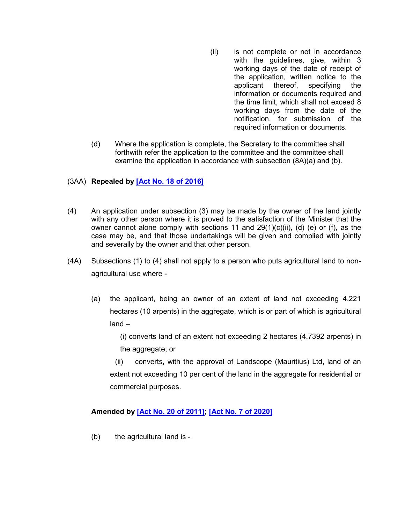- (ii) is not complete or not in accordance with the guidelines, give, within 3 working days of the date of receipt of the application, written notice to the applicant thereof, specifying the information or documents required and the time limit, which shall not exceed 8 working days from the date of the notification, for submission of the required information or documents.
- (d) Where the application is complete, the Secretary to the committee shall forthwith refer the application to the committee and the committee shall examine the application in accordance with subsection (8A)(a) and (b).

# (3AA) **Repealed by [\[Act No. 18 of 2016\]](https://supremecourt.govmu.org/get-doc-link/Act_No._18_of_2016)**

- (4) An application under subsection (3) may be made by the owner of the land jointly with any other person where it is proved to the satisfaction of the Minister that the owner cannot alone comply with sections 11 and  $29(1)(c)(ii)$ , (d) (e) or (f), as the case may be, and that those undertakings will be given and complied with jointly and severally by the owner and that other person.
- (4A) Subsections (1) to (4) shall not apply to a person who puts agricultural land to nonagricultural use where -
	- (a) the applicant, being an owner of an extent of land not exceeding 4.221 hectares (10 arpents) in the aggregate, which is or part of which is agricultural land –

(i) converts land of an extent not exceeding 2 hectares (4.7392 arpents) in the aggregate; or

(ii) converts, with the approval of Landscope (Mauritius) Ltd, land of an extent not exceeding 10 per cent of the land in the aggregate for residential or commercial purposes.

### **Amended by [\[Act No. 20 of 2011\];](https://supremecourt.govmu.org/get-doc-link/Act_No._20_of_2011) [\[Act No. 7 of 2020\]](https://supremecourt.govmu.org/get-doc-link/Act_No._7_of_2020)**

(b) the agricultural land is -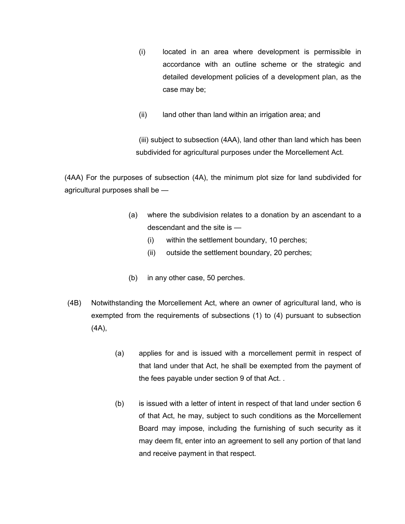- (i) located in an area where development is permissible in accordance with an outline scheme or the strategic and detailed development policies of a development plan, as the case may be;
- (ii) land other than land within an irrigation area; and

(iii) subject to subsection (4AA), land other than land which has been subdivided for agricultural purposes under the Morcellement Act.

(4AA) For the purposes of subsection (4A), the minimum plot size for land subdivided for agricultural purposes shall be —

- (a) where the subdivision relates to a donation by an ascendant to a descendant and the site is —
	- (i) within the settlement boundary, 10 perches;
	- (ii) outside the settlement boundary, 20 perches;
- (b) in any other case, 50 perches.
- (4B) Notwithstanding the Morcellement Act, where an owner of agricultural land, who is exempted from the requirements of subsections (1) to (4) pursuant to subsection (4A),
	- (a) applies for and is issued with a morcellement permit in respect of that land under that Act, he shall be exempted from the payment of the fees payable under section 9 of that Act. .
	- (b) is issued with a letter of intent in respect of that land under section 6 of that Act, he may, subject to such conditions as the Morcellement Board may impose, including the furnishing of such security as it may deem fit, enter into an agreement to sell any portion of that land and receive payment in that respect.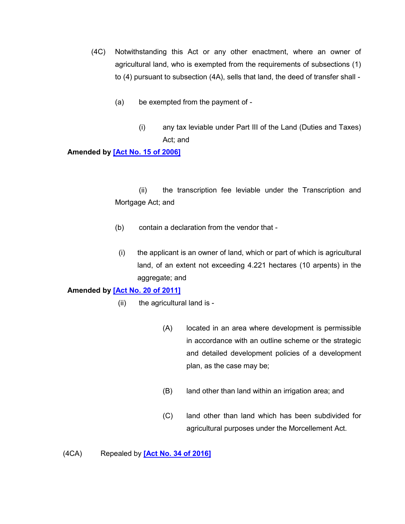- (4C) Notwithstanding this Act or any other enactment, where an owner of agricultural land, who is exempted from the requirements of subsections (1) to (4) pursuant to subsection (4A), sells that land, the deed of transfer shall -
	- (a) be exempted from the payment of
		- (i) any tax leviable under Part III of the Land (Duties and Taxes) Act; and

#### **Amended by [\[Act No. 15 of 2006\]](https://supremecourt.govmu.org/get-doc-link/Act_No._15_of_2006)**

(ii) the transcription fee leviable under the Transcription and Mortgage Act; and

- (b) contain a declaration from the vendor that -
- (i) the applicant is an owner of land, which or part of which is agricultural land, of an extent not exceeding 4.221 hectares (10 arpents) in the aggregate; and

### **Amended by [\[Act No. 20 of 2011\]](https://supremecourt.govmu.org/get-doc-link/Act_No._20_of_2011)**

- (ii) the agricultural land is
	- (A) located in an area where development is permissible in accordance with an outline scheme or the strategic and detailed development policies of a development plan, as the case may be;
	- (B) land other than land within an irrigation area; and
	- (C) land other than land which has been subdivided for agricultural purposes under the Morcellement Act.

(4CA) Repealed by **[\[Act No. 34 of 2016\]](https://supremecourt.govmu.org/get-doc-link/Act_No._34_of_2016)**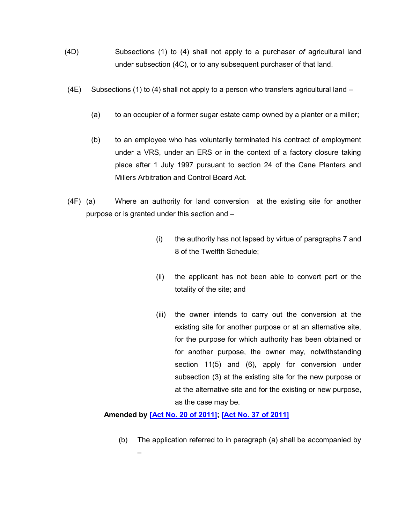- (4D) Subsections (1) to (4) shall not apply to a purchaser *of* agricultural land under subsection (4C), or to any subsequent purchaser of that land.
- (4E) Subsections (1) to (4) shall not apply to a person who transfers agricultural land  $-$ 
	- (a) to an occupier of a former sugar estate camp owned by a planter or a miller;
	- (b) to an employee who has voluntarily terminated his contract of employment under a VRS, under an ERS or in the context of a factory closure taking place after 1 July 1997 pursuant to section 24 of the Cane Planters and Millers Arbitration and Control Board Act.
- (4F) (a) Where an authority for land conversion at the existing site for another purpose or is granted under this section and –
	- (i) the authority has not lapsed by virtue of paragraphs 7 and 8 of the Twelfth Schedule;
	- (ii) the applicant has not been able to convert part or the totality of the site; and
	- (iii) the owner intends to carry out the conversion at the existing site for another purpose or at an alternative site, for the purpose for which authority has been obtained or for another purpose, the owner may, notwithstanding section 11(5) and (6), apply for conversion under subsection (3) at the existing site for the new purpose or at the alternative site and for the existing or new purpose, as the case may be.

### **Amended by [\[Act No. 20 of 2011\];](https://supremecourt.govmu.org/get-doc-link/Act_No._20_of_2011) [\[Act No. 37 of 2011\]](https://supremecourt.govmu.org/get-doc-link/Act_No._37_of_2011)**

(b) The application referred to in paragraph (a) shall be accompanied by –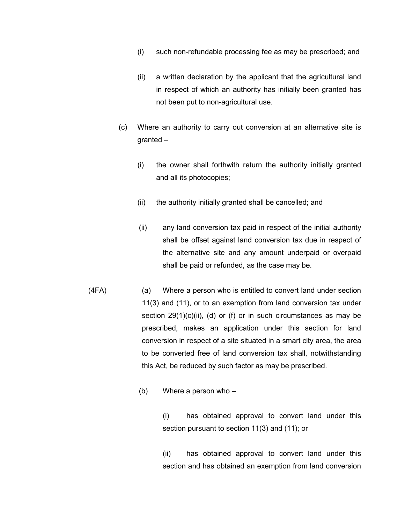- (i) such non-refundable processing fee as may be prescribed; and
- (ii) a written declaration by the applicant that the agricultural land in respect of which an authority has initially been granted has not been put to non-agricultural use.
- (c) Where an authority to carry out conversion at an alternative site is granted –
	- (i) the owner shall forthwith return the authority initially granted and all its photocopies;
	- (ii) the authority initially granted shall be cancelled; and
	- (ii) any land conversion tax paid in respect of the initial authority shall be offset against land conversion tax due in respect of the alternative site and any amount underpaid or overpaid shall be paid or refunded, as the case may be.
- (4FA) (a) Where a person who is entitled to convert land under section 11(3) and (11), or to an exemption from land conversion tax under section  $29(1)(c)(ii)$ , (d) or (f) or in such circumstances as may be prescribed, makes an application under this section for land conversion in respect of a site situated in a smart city area, the area to be converted free of land conversion tax shall, notwithstanding this Act, be reduced by such factor as may be prescribed.
	- (b) Where a person who –

(i) has obtained approval to convert land under this section pursuant to section 11(3) and (11); or

(ii) has obtained approval to convert land under this section and has obtained an exemption from land conversion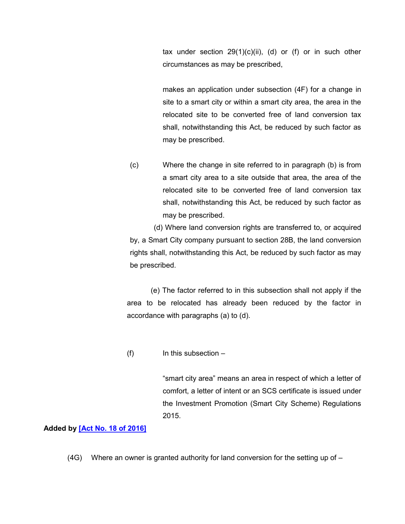tax under section  $29(1)(c)(ii)$ , (d) or (f) or in such other circumstances as may be prescribed,

makes an application under subsection (4F) for a change in site to a smart city or within a smart city area, the area in the relocated site to be converted free of land conversion tax shall, notwithstanding this Act, be reduced by such factor as may be prescribed.

(c) Where the change in site referred to in paragraph (b) is from a smart city area to a site outside that area, the area of the relocated site to be converted free of land conversion tax shall, notwithstanding this Act, be reduced by such factor as may be prescribed.

(d) Where land conversion rights are transferred to, or acquired by, a Smart City company pursuant to section 28B, the land conversion rights shall, notwithstanding this Act, be reduced by such factor as may be prescribed.

(e) The factor referred to in this subsection shall not apply if the area to be relocated has already been reduced by the factor in accordance with paragraphs (a) to (d).

 $(f)$  In this subsection  $-$ 

"smart city area" means an area in respect of which a letter of comfort, a letter of intent or an SCS certificate is issued under the Investment Promotion (Smart City Scheme) Regulations 2015.

#### **Added by [\[Act No. 18 of 2016\]](https://supremecourt.govmu.org/get-doc-link/Act_No._18_of_2016)**

 $(4G)$  Where an owner is granted authority for land conversion for the setting up of  $-$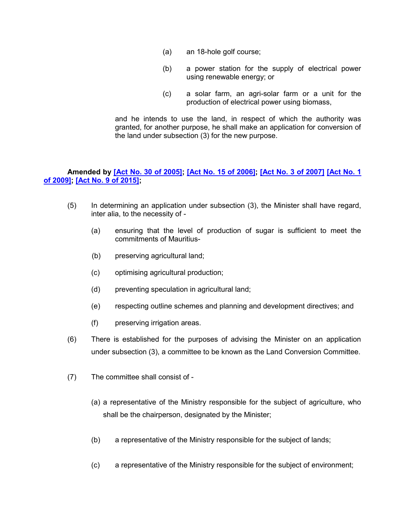- (a) an 18-hole golf course;
- (b) a power station for the supply of electrical power using renewable energy; or
- (c) a solar farm, an agri-solar farm or a unit for the production of electrical power using biomass,

and he intends to use the land, in respect of which the authority was granted, for another purpose, he shall make an application for conversion of the land under subsection (3) for the new purpose.

# **Amended by [\[Act No. 30 of 2005\];](https://supremecourt.govmu.org/get-doc-link/Act_No._30_of_2005) [\[Act No. 15 of 2006\];](https://supremecourt.govmu.org/get-doc-link/Act_No._15_of_2006) [\[Act No. 3 of 2007\]](https://supremecourt.govmu.org/get-doc-link/Act_No._3_of_2007) [\[Act No. 1](https://supremecourt.govmu.org/get-doc-link/Act_No._1_of_2009)  [of 2009\];](https://supremecourt.govmu.org/get-doc-link/Act_No._1_of_2009) [\[Act No. 9 of 2015\];](https://supremecourt.govmu.org/get-doc-link/Act_No._9_of_2015)**

- (5) In determining an application under subsection (3), the Minister shall have regard, inter alia, to the necessity of -
	- (a) ensuring that the level of production of sugar is sufficient to meet the commitments of Mauritius-
	- (b) preserving agricultural land;
	- (c) optimising agricultural production;
	- (d) preventing speculation in agricultural land;
	- (e) respecting outline schemes and planning and development directives; and
	- (f) preserving irrigation areas.
- (6) There is established for the purposes of advising the Minister on an application under subsection (3), a committee to be known as the Land Conversion Committee.
- (7) The committee shall consist of
	- (a) a representative of the Ministry responsible for the subject of agriculture, who shall be the chairperson, designated by the Minister;
	- (b) a representative of the Ministry responsible for the subject of lands;
	- (c) a representative of the Ministry responsible for the subject of environment;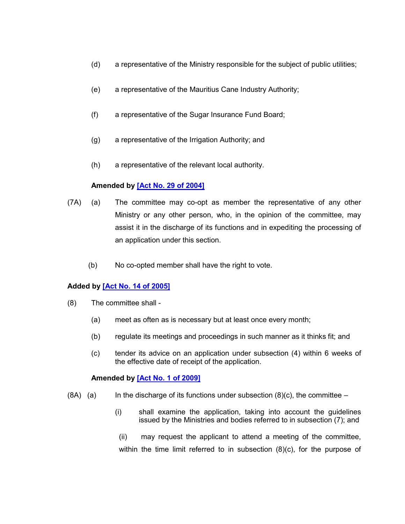- (d) a representative of the Ministry responsible for the subject of public utilities;
- (e) a representative of the Mauritius Cane Industry Authority;
- (f) a representative of the Sugar Insurance Fund Board;
- (g) a representative of the Irrigation Authority; and
- (h) a representative of the relevant local authority.

# **Amended by [\[Act No. 29 of 2004\]](https://supremecourt.govmu.org/get-doc-link/Act_No._29_of_2004)**

- (7A) (a) The committee may co-opt as member the representative of any other Ministry or any other person, who, in the opinion of the committee, may assist it in the discharge of its functions and in expediting the processing of an application under this section.
	- (b) No co-opted member shall have the right to vote.

# **Added by [\[Act No. 14 of 2005\]](https://supremecourt.govmu.org/get-doc-link/Act_No._14_of_2005)**

- (8) The committee shall
	- (a) meet as often as is necessary but at least once every month;
	- (b) regulate its meetings and proceedings in such manner as it thinks fit; and
	- (c) tender its advice on an application under subsection (4) within 6 weeks of the effective date of receipt of the application.

### **Amended by [\[Act No. 1 of 2009\]](https://supremecourt.govmu.org/get-doc-link/Act_No._1_of_2009)**

- $(8A)$  (a) In the discharge of its functions under subsection  $(8)(c)$ , the committee
	- (i) shall examine the application, taking into account the guidelines issued by the Ministries and bodies referred to in subsection (7); and
	- (ii) may request the applicant to attend a meeting of the committee, within the time limit referred to in subsection (8)(c), for the purpose of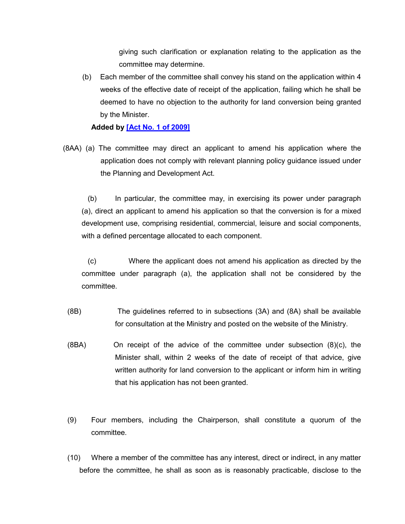giving such clarification or explanation relating to the application as the committee may determine.

(b) Each member of the committee shall convey his stand on the application within 4 weeks of the effective date of receipt of the application, failing which he shall be deemed to have no objection to the authority for land conversion being granted by the Minister.

**Added by [\[Act No. 1 of 2009\]](https://supremecourt.govmu.org/get-doc-link/Act_No._1_of_2009)**

(8AA) (a) The committee may direct an applicant to amend his application where the application does not comply with relevant planning policy guidance issued under the Planning and Development Act.

 (b) In particular, the committee may, in exercising its power under paragraph (a), direct an applicant to amend his application so that the conversion is for a mixed development use, comprising residential, commercial, leisure and social components, with a defined percentage allocated to each component.

 (c) Where the applicant does not amend his application as directed by the committee under paragraph (a), the application shall not be considered by the committee.

- (8B) The guidelines referred to in subsections (3A) and (8A) shall be available for consultation at the Ministry and posted on the website of the Ministry.
- (8BA) On receipt of the advice of the committee under subsection (8)(c), the Minister shall, within 2 weeks of the date of receipt of that advice, give written authority for land conversion to the applicant or inform him in writing that his application has not been granted.
- (9) Four members, including the Chairperson, shall constitute a quorum of the committee.
- (10) Where a member of the committee has any interest, direct or indirect, in any matter before the committee, he shall as soon as is reasonably practicable, disclose to the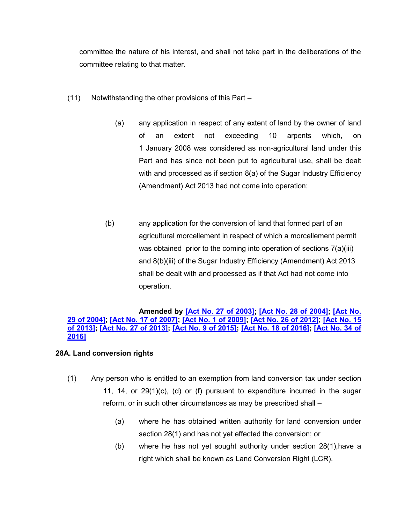committee the nature of his interest, and shall not take part in the deliberations of the committee relating to that matter.

- (11) Notwithstanding the other provisions of this Part
	- (a) any application in respect of any extent of land by the owner of land of an extent not exceeding 10 arpents which, on 1 January 2008 was considered as non-agricultural land under this Part and has since not been put to agricultural use, shall be dealt with and processed as if section 8(a) of the Sugar Industry Efficiency (Amendment) Act 2013 had not come into operation;
	- (b) any application for the conversion of land that formed part of an agricultural morcellement in respect of which a morcellement permit was obtained prior to the coming into operation of sections 7(a)(iii) and 8(b)(iii) of the Sugar Industry Efficiency (Amendment) Act 2013 shall be dealt with and processed as if that Act had not come into operation.

#### **Amended by [\[Act No. 27 of 2003\];](https://supremecourt.govmu.org/get-doc-link/Act_No._27_of_2003) [\[Act No. 28 of 2004\];](https://supremecourt.govmu.org/get-doc-link/Act_No._28_of_2004) [\[Act No.](https://supremecourt.govmu.org/get-doc-link/Act_No._29_of_2004)  [29 of 2004\];](https://supremecourt.govmu.org/get-doc-link/Act_No._29_of_2004) [\[Act No. 17 of 2007\];](https://supremecourt.govmu.org/get-doc-link/Act_No._17_of_2007) [\[Act No. 1 of 2009\];](https://supremecourt.govmu.org/get-doc-link/Act_No._1_of_2009) [\[Act No. 26 of 2012\];](https://supremecourt.govmu.org/get-doc-link/Act_No._26_of_2012) [\[Act No. 15](https://supremecourt.govmu.org/get-doc-link/Act_No._15_of_2013)  of [2013\];](https://supremecourt.govmu.org/get-doc-link/Act_No._15_of_2013) [\[Act No. 27 of 2013\];](https://supremecourt.govmu.org/get-doc-link/Act_No._27_of_2013) [\[Act No. 9 of 2015\];](https://supremecourt.govmu.org/get-doc-link/Act_No._9_of_2015) [\[Act No. 18 of 2016\];](https://supremecourt.govmu.org/get-doc-link/Act_No._18_of_2016) [\[Act No. 34 of](https://supremecourt.govmu.org/get-doc-link/Act_No._34_of_2016)  [2016\]](https://supremecourt.govmu.org/get-doc-link/Act_No._34_of_2016)**

### **28A. Land conversion rights**

- (1) Any person who is entitled to an exemption from land conversion tax under section 11, 14, or 29(1)(c), (d) or (f) pursuant to expenditure incurred in the sugar reform, or in such other circumstances as may be prescribed shall –
	- (a) where he has obtained written authority for land conversion under section 28(1) and has not yet effected the conversion; or
	- (b) where he has not yet sought authority under section 28(1),have a right which shall be known as Land Conversion Right (LCR).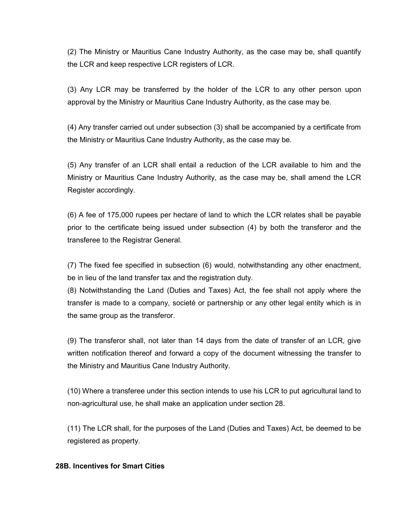(2) The Ministry or Mauritius Cane Industry Authority, as the case may be, shall quantify the LCR and keep respective LCR registers of LCR.

(3) Any LCR may be transferred by the holder of the LCR to any other person upon approval by the Ministry or Mauritius Cane Industry Authority, as the case may be.

(4) Any transfer carried out under subsection (3) shall be accompanied by a certificate from the Ministry or Mauritius Cane Industry Authority, as the case may be.

(5) Any transfer of an LCR shall entail a reduction of the LCR available to him and the Ministry or Mauritius Cane Industry Authority, as the case may be, shall amend the LCR Register accordingly.

(6) A fee of 175,000 rupees per hectare of land to which the LCR relates shall be payable prior to the certificate being issued under subsection (4) by both the transferor and the transferee to the Registrar General.

(7) The fixed fee specified in subsection (6) would, notwithstanding any other enactment, be in lieu of the land transfer tax and the registration duty.

(8) Notwithstanding the Land (Duties and Taxes) Act, the fee shall not apply where the transfer is made to a company, societé or partnership or any other legal entity which is in the same group as the transferor.

(9) The transferor shall, not later than 14 days from the date of transfer of an LCR, give written notification thereof and forward a copy of the document witnessing the transfer to the Ministry and Mauritius Cane Industry Authority.

(10) Where a transferee under this section intends to use his LCR to put agricultural land to non-agricultural use, he shall make an application under section 28.

(11) The LCR shall, for the purposes of the Land (Duties and Taxes) Act, be deemed to be registered as property.

#### **28B. Incentives for Smart Cities**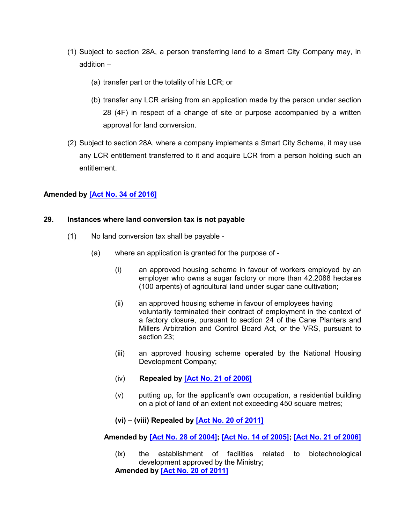- (1) Subject to section 28A, a person transferring land to a Smart City Company may, in addition –
	- (a) transfer part or the totality of his LCR; or
	- (b) transfer any LCR arising from an application made by the person under section 28 (4F) in respect of a change of site or purpose accompanied by a written approval for land conversion.
- (2) Subject to section 28A, where a company implements a Smart City Scheme, it may use any LCR entitlement transferred to it and acquire LCR from a person holding such an entitlement.

# **Amended by [\[Act No. 34 of 2016\]](https://supremecourt.govmu.org/get-doc-link/Act_No._34_of_2016)**

#### **29. Instances where land conversion tax is not payable**

- (1) No land conversion tax shall be payable
	- (a) where an application is granted for the purpose of
		- (i) an approved housing scheme in favour of workers employed by an employer who owns a sugar factory or more than 42.2088 hectares (100 arpents) of agricultural land under sugar cane cultivation;
		- (ii) an approved housing scheme in favour of employees having voluntarily terminated their contract of employment in the context of a factory closure, pursuant to section 24 of the Cane Planters and Millers Arbitration and Control Board Act, or the VRS, pursuant to section 23;
		- (iii) an approved housing scheme operated by the National Housing Development Company;
		- (iv) **Repealed by [\[Act No. 21 of 2006\]](https://supremecourt.govmu.org/get-doc-link/Act_No._21_of_2006)**
		- (v) putting up, for the applicant's own occupation, a residential building on a plot of land of an extent not exceeding 450 square metres;
		- **(vi) – (viii) Repealed by [\[Act No. 20 of 2011\]](https://supremecourt.govmu.org/get-doc-link/Act_No._20_of_2011)**

 **Amended by [\[Act No. 28 of 2004\];](https://supremecourt.govmu.org/get-doc-link/Act_No._28_of_2004) [\[Act No. 14 of 2005\];](https://supremecourt.govmu.org/get-doc-link/Act_No._14_of_2005) [\[Act No. 21 of 2006\]](https://supremecourt.govmu.org/get-doc-link/Act_No._21_of_2006)**

(ix) the establishment of facilities related to biotechnological development approved by the Ministry; **Amended by [\[Act No. 20 of 2011\]](https://supremecourt.govmu.org/get-doc-link/Act_No._20_of_2011)**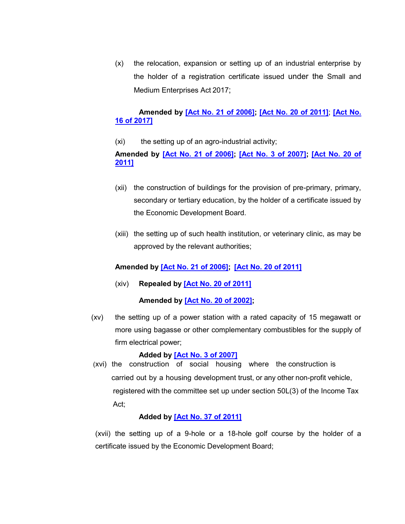(x) the relocation, expansion or setting up of an industrial enterprise by the holder of a registration certificate issued under the Small and Medium Enterprises Act 2017;

# **Amended by [\[Act No. 21 of 2006\];](https://supremecourt.govmu.org/get-doc-link/Act_No._21_of_2006) [\[Act No. 20 of 2011\]](https://supremecourt.govmu.org/get-doc-link/Act_No._20_of_2011)**; **[\[Act No.](https://supremecourt.govmu.org/get-doc-link/Act_No._16_of_2017)  [16 of 2017\]](https://supremecourt.govmu.org/get-doc-link/Act_No._16_of_2017)**

(xi) the setting up of an agro-industrial activity;

# **Amended by [\[Act No. 21 of 2006\];](https://supremecourt.govmu.org/get-doc-link/Act_No._21_of_2006) [\[Act No. 3 of 2007\];](https://supremecourt.govmu.org/get-doc-link/Act_No._3_of_2007) [\[Act No. 20 of](https://supremecourt.govmu.org/get-doc-link/Act_No._20_of_2011)  [2011\]](https://supremecourt.govmu.org/get-doc-link/Act_No._20_of_2011)**

- (xii) the construction of buildings for the provision of pre-primary, primary, secondary or tertiary education, by the holder of a certificate issued by the Economic Development Board.
- (xiii) the setting up of such health institution, or veterinary clinic, as may be approved by the relevant authorities;

# **Amended by [\[Act No. 21 of 2006\];](https://supremecourt.govmu.org/get-doc-link/Act_No._21_of_2006) [\[Act No. 20 of 2011\]](https://supremecourt.govmu.org/get-doc-link/Act_No._20_of_2011)**

(xiv) **Repealed by [\[Act No. 20 of 2011\]](https://supremecourt.govmu.org/get-doc-link/Act_No._20_of_2011)**

### **Amended by [\[Act No. 20 of 2002\];](https://supremecourt.govmu.org/get-doc-link/Act_No._20_of_2002)**

(xv) the setting up of a power station with a rated capacity of 15 megawatt or more using bagasse or other complementary combustibles for the supply of firm electrical power;

### **Added by [\[Act No. 3 of 2007\]](https://supremecourt.govmu.org/get-doc-link/Act_No._3_of_2007)**

 (xvi) the construction of social housing where the construction is carried out by a housing development trust, or any other non-profit vehicle, registered with the committee set up under section 50L(3) of the Income Tax Act;

### **Added by [\[Act No. 37 of 2011\]](https://supremecourt.govmu.org/get-doc-link/Act_No._37_of_2011)**

(xvii) the setting up of a 9-hole or a 18-hole golf course by the holder of a certificate issued by the Economic Development Board;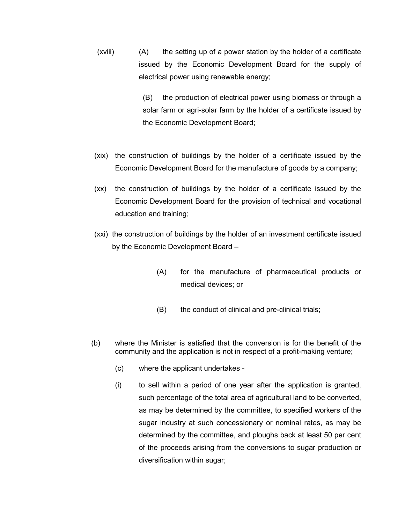(xviii) (A) the setting up of a power station by the holder of a certificate issued by the Economic Development Board for the supply of electrical power using renewable energy;

> (B) the production of electrical power using biomass or through a solar farm or agri-solar farm by the holder of a certificate issued by the Economic Development Board;

- (xix) the construction of buildings by the holder of a certificate issued by the Economic Development Board for the manufacture of goods by a company;
- (xx) the construction of buildings by the holder of a certificate issued by the Economic Development Board for the provision of technical and vocational education and training;
- (xxi) the construction of buildings by the holder of an investment certificate issued by the Economic Development Board –
	- (A) for the manufacture of pharmaceutical products or medical devices; or
	- (B) the conduct of clinical and pre-clinical trials;
- (b) where the Minister is satisfied that the conversion is for the benefit of the community and the application is not in respect of a profit-making venture;
	- (c) where the applicant undertakes -
	- (i) to sell within a period of one year after the application is granted, such percentage of the total area of agricultural land to be converted, as may be determined by the committee, to specified workers of the sugar industry at such concessionary or nominal rates, as may be determined by the committee, and ploughs back at least 50 per cent of the proceeds arising from the conversions to sugar production or diversification within sugar;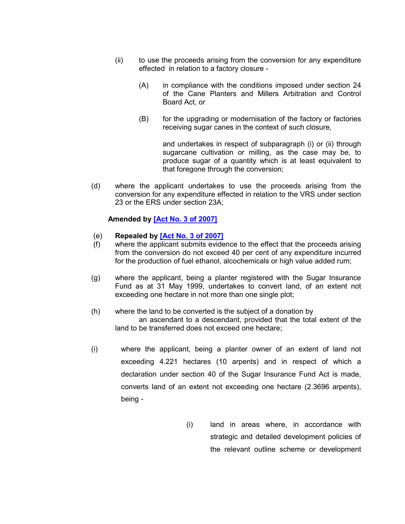- (ii) to use the proceeds arising from the conversion for any expenditure effected in relation to a factory closure -
	- (A) in compliance with the conditions imposed under section 24 of the Cane Planters and Millers Arbitration and Control Board Act, or
	- (B) for the upgrading or modernisation of the factory or factories receiving sugar canes in the context of such closure,

and undertakes in respect of subparagraph (i) or (ii) through sugarcane cultivation or milling, as the case may be, to produce sugar of a quantity which is at least equivalent to that foregone through the conversion;

(d) where the applicant undertakes to use the proceeds arising from the conversion for any expenditure effected in relation to the VRS under section 23 or the ERS under section 23A;

#### **Amended by [\[Act No. 3 of 2007\]](https://supremecourt.govmu.org/get-doc-link/Act_No._3_of_2007)**

#### (e) **Repealed by [\[Act No. 3 of 2007\]](https://supremecourt.govmu.org/get-doc-link/Act_No._3_of_2007)**

- (f) where the applicant submits evidence to the effect that the proceeds arising from the conversion do not exceed 40 per cent of any expenditure incurred for the production of fuel ethanol, alcochemicals or high value added rum;
- (g) where the applicant, being a planter registered with the Sugar Insurance Fund as at 31 May 1999, undertakes to convert land, of an extent not exceeding one hectare in not more than one single plot;
- (h) where the land to be converted is the subject of a donation by an ascendant to a descendant, provided that the total extent of the land to be transferred does not exceed one hectare;
- (i) where the applicant, being a planter owner of an extent of land not exceeding 4.221 hectares (10 arpents) and in respect of which a declaration under section 40 of the Sugar Insurance Fund Act is made, converts land of an extent not exceeding one hectare (2.3696 arpents), being -
	- (i) land in areas where, in accordance with strategic and detailed development policies of the relevant outline scheme or development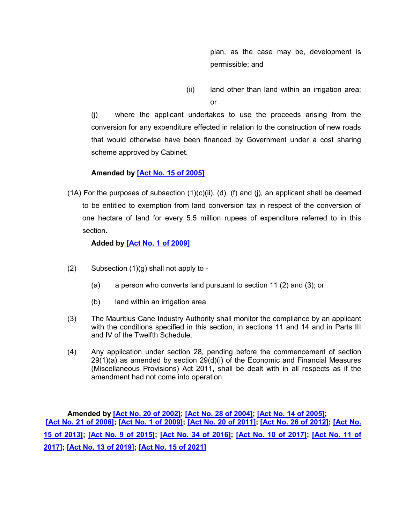plan, as the case may be, development is permissible; and

(ii) land other than land within an irrigation area; or

(j) where the applicant undertakes to use the proceeds arising from the conversion for any expenditure effected in relation to the construction of new roads that would otherwise have been financed by Government under a cost sharing scheme approved by Cabinet.

# **Amended by [\[Act No. 15 of 2005\]](https://supremecourt.govmu.org/get-doc-link/Act_No._15_of_2005)**

 $(1A)$  For the purposes of subsection  $(1)(c)(ii)$ ,  $(d)$ ,  $(f)$  and  $(j)$ , an applicant shall be deemed to be entitled to exemption from land conversion tax in respect of the conversion of one hectare of land for every 5.5 million rupees of expenditure referred to in this section.

# **Added by [\[Act No. 1 of 2009\]](https://supremecourt.govmu.org/get-doc-link/Act_No._1_of_2009)**

- $(2)$  Subsection  $(1)(g)$  shall not apply to -
	- (a) a person who converts land pursuant to section 11 (2) and (3); or
	- (b) land within an irrigation area.
- (3) The Mauritius Cane Industry Authority shall monitor the compliance by an applicant with the conditions specified in this section, in sections 11 and 14 and in Parts III and IV of the Twelfth Schedule.
- (4) Any application under section 28, pending before the commencement of section  $29(1)(a)$  as amended by section  $29(d)(i)$  of the Economic and Financial Measures (Miscellaneous Provisions) Act 2011, shall be dealt with in all respects as if the amendment had not come into operation.

**Amended by [\[Act No. 20 of 2002\];](https://supremecourt.govmu.org/get-doc-link/Act_No._20_of_2002) [\[Act No. 28 of 2004\];](https://supremecourt.govmu.org/get-doc-link/Act_No._28_of_2004) [\[Act No. 14 of 2005\];](https://supremecourt.govmu.org/get-doc-link/Act_No._14_of_2005) [\[Act No. 21 of 2006\];](https://supremecourt.govmu.org/get-doc-link/Act_No._21_of_2006) [\[Act No. 1 of 2009\];](https://supremecourt.govmu.org/get-doc-link/Act_No._1_of_2009) [\[Act No. 20 of 2011\];](https://supremecourt.govmu.org/get-doc-link/Act_No._20_of_2011) [\[Act No. 26 of 2012\];](https://supremecourt.govmu.org/get-doc-link/Act_No._26_of_2012) [\[Act No.](https://supremecourt.govmu.org/get-doc-link/Act_No._15_of_2013)  [15 of 2013\];](https://supremecourt.govmu.org/get-doc-link/Act_No._15_of_2013) [\[Act No. 9 of 2015\];](https://supremecourt.govmu.org/get-doc-link/Act_No._9_of_2015) [\[Act No. 34 of 2016\];](https://supremecourt.govmu.org/get-doc-link/Act_No._34_of_2016) [\[Act No. 10 of 2017\];](https://supremecourt.govmu.org/get-doc-link/Act_No._10_of_2017) [\[Act No. 11 of](https://supremecourt.govmu.org/get-doc-link/Act_No._11_of_2017)  [2017\];](https://supremecourt.govmu.org/get-doc-link/Act_No._11_of_2017) [\[Act No. 13 of 2019\];](https://supremecourt.govmu.org/get-doc-link/Act_No._13_of_2019) [\[Act No. 15 of 2021\]](https://supremecourt.govmu.org/get-doc-link/Act_No._15_of_2021)**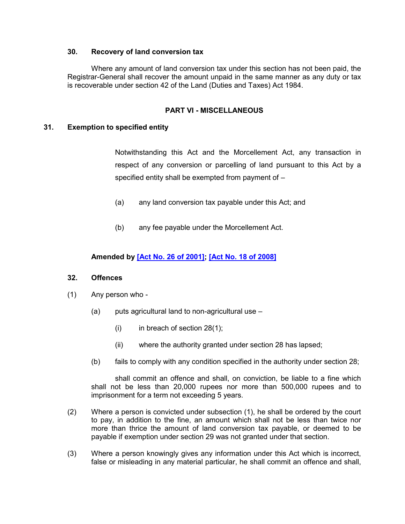### **30. Recovery of land conversion tax**

Where any amount of land conversion tax under this section has not been paid, the Registrar-General shall recover the amount unpaid in the same manner as any duty or tax is recoverable under section 42 of the Land (Duties and Taxes) Act 1984.

### **PART VI - MISCELLANEOUS**

#### **31. Exemption to specified entity**

Notwithstanding this Act and the Morcellement Act, any transaction in respect of any conversion or parcelling of land pursuant to this Act by a specified entity shall be exempted from payment of –

- (a) any land conversion tax payable under this Act; and
- (b) any fee payable under the Morcellement Act.

#### **Amended by [\[Act No. 26 of 2001\];](https://supremecourt.govmu.org/get-doc-link/Act_No._26_of_2001) [\[Act No. 18 of 2008\]](https://supremecourt.govmu.org/get-doc-link/Act_No._18_of_2008)**

#### **32. Offences**

- (1) Any person who
	- $(a)$  puts agricultural land to non-agricultural use  $-$ 
		- (i) in breach of section  $28(1)$ ;
		- (ii) where the authority granted under section 28 has lapsed;
	- (b) fails to comply with any condition specified in the authority under section 28;

shall commit an offence and shall, on conviction, be liable to a fine which shall not be less than 20,000 rupees nor more than 500,000 rupees and to imprisonment for a term not exceeding 5 years.

- (2) Where a person is convicted under subsection (1), he shall be ordered by the court to pay, in addition to the fine, an amount which shall not be less than twice nor more than thrice the amount of land conversion tax payable, or deemed to be payable if exemption under section 29 was not granted under that section.
- (3) Where a person knowingly gives any information under this Act which is incorrect, false or misleading in any material particular, he shall commit an offence and shall,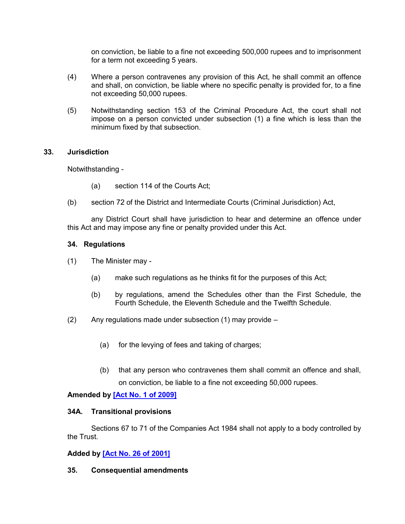on conviction, be liable to a fine not exceeding 500,000 rupees and to imprisonment for a term not exceeding 5 years.

- (4) Where a person contravenes any provision of this Act, he shall commit an offence and shall, on conviction, be liable where no specific penalty is provided for, to a fine not exceeding 50,000 rupees.
- (5) Notwithstanding section 153 of the Criminal Procedure Act, the court shall not impose on a person convicted under subsection (1) a fine which is less than the minimum fixed by that subsection.

#### **33. Jurisdiction**

Notwithstanding -

- (a) section 114 of the Courts Act;
- (b) section 72 of the District and Intermediate Courts (Criminal Jurisdiction) Act,

any District Court shall have jurisdiction to hear and determine an offence under this Act and may impose any fine or penalty provided under this Act.

#### **34. Regulations**

- (1) The Minister may
	- (a) make such regulations as he thinks fit for the purposes of this Act;
	- (b) by regulations, amend the Schedules other than the First Schedule, the Fourth Schedule, the Eleventh Schedule and the Twelfth Schedule.
- $(2)$  Any regulations made under subsection  $(1)$  may provide
	- (a) for the levying of fees and taking of charges;
	- (b) that any person who contravenes them shall commit an offence and shall, on conviction, be liable to a fine not exceeding 50,000 rupees.

### **Amended by [\[Act No. 1 of 2009\]](https://supremecourt.govmu.org/get-doc-link/Act_No._1_of_2009)**

#### **34A. Transitional provisions**

Sections 67 to 71 of the Companies Act 1984 shall not apply to a body controlled by the Trust.

### **Added by [\[Act No. 26 of 2001\]](https://supremecourt.govmu.org/get-doc-link/Act_No._26_of_2001)**

#### **35. Consequential amendments**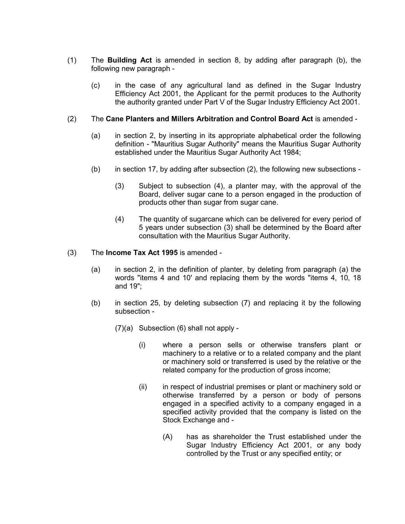- (1) The **Building Act** is amended in section 8, by adding after paragraph (b), the following new paragraph -
	- (c) in the case of any agricultural land as defined in the Sugar Industry Efficiency Act 2001, the Applicant for the permit produces to the Authority the authority granted under Part V of the Sugar Industry Efficiency Act 2001.

#### (2) The **Cane Planters and Millers Arbitration and Control Board Act** is amended -

- (a) in section 2, by inserting in its appropriate alphabetical order the following definition - "Mauritius Sugar Authority" means the Mauritius Sugar Authority established under the Mauritius Sugar Authority Act 1984;
- (b) in section 17, by adding after subsection (2), the following new subsections
	- (3) Subject to subsection (4), a planter may, with the approval of the Board, deliver sugar cane to a person engaged in the production of products other than sugar from sugar cane.
	- (4) The quantity of sugarcane which can be delivered for every period of 5 years under subsection (3) shall be determined by the Board after consultation with the Mauritius Sugar Authority.

#### (3) The **Income Tax Act 1995** is amended -

- (a) in section 2, in the definition of planter, by deleting from paragraph (a) the words "items 4 and 10' and replacing them by the words "items 4, 10, 18 and 19";
- (b) in section 25, by deleting subsection (7) and replacing it by the following subsection -
	- (7)(a) Subsection (6) shall not apply
		- (i) where a person sells or otherwise transfers plant or machinery to a relative or to a related company and the plant or machinery sold or transferred is used by the relative or the related company for the production of gross income;
		- (ii) in respect of industrial premises or plant or machinery sold or otherwise transferred by a person or body of persons engaged in a specified activity to a company engaged in a specified activity provided that the company is listed on the Stock Exchange and -
			- (A) has as shareholder the Trust established under the Sugar Industry Efficiency Act 2001, or any body controlled by the Trust or any specified entity; or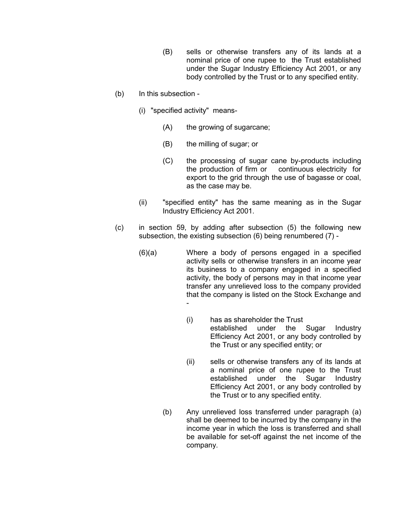- (B) sells or otherwise transfers any of its lands at a nominal price of one rupee to the Trust established under the Sugar Industry Efficiency Act 2001, or any body controlled by the Trust or to any specified entity.
- (b) In this subsection
	- (i) "specified activity" means-
		- (A) the growing of sugarcane;
		- (B) the milling of sugar; or
		- (C) the processing of sugar cane by-products including the production of firm or continuous electricity for export to the grid through the use of bagasse or coal, as the case may be.
	- (ii) "specified entity" has the same meaning as in the Sugar Industry Efficiency Act 2001.
- (c) in section 59, by adding after subsection (5) the following new subsection, the existing subsection (6) being renumbered (7) -
	- (6)(a) Where a body of persons engaged in a specified activity sells or otherwise transfers in an income year its business to a company engaged in a specified activity, the body of persons may in that income year transfer any unrelieved loss to the company provided that the company is listed on the Stock Exchange and -
		- (i) has as shareholder the Trust established under the Sugar Industry Efficiency Act 2001, or any body controlled by the Trust or any specified entity; or
		- (ii) sells or otherwise transfers any of its lands at a nominal price of one rupee to the Trust established under the Sugar Industry Efficiency Act 2001, or any body controlled by the Trust or to any specified entity.
		- (b) Any unrelieved loss transferred under paragraph (a) shall be deemed to be incurred by the company in the income year in which the loss is transferred and shall be available for set-off against the net income of the company.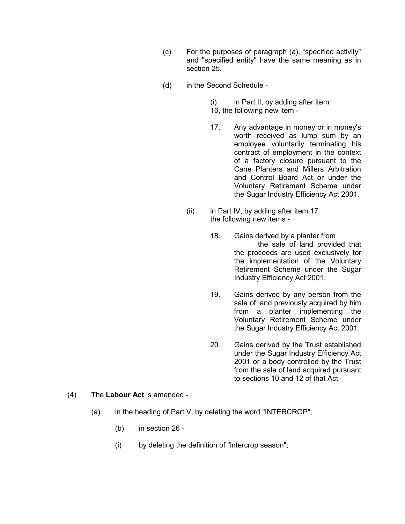- (c) For the purposes of paragraph (a), "specified activity" and "specified entity" have the same meaning as in section 25.
- (d) in the Second Schedule
	- (i) in Part II, by adding after item
	- 16, the following new item -
	- 17. Any advantage in money or in money's worth received as lump sum by an employee voluntarily terminating his contract of employment in the context of a factory closure pursuant to the Cane Planters and Millers Arbitration and Control Board Act or under the Voluntary Retirement Scheme under the Sugar Industry Efficiency Act 2001.
	- (ii) in Part IV, by adding after item 17 the following new items -
		- 18. Gains derived by a planter from the sale of land provided that the proceeds are used exclusively for the implementation of the Voluntary Retirement Scheme under the Sugar Industry Efficiency Act 2001.
		- 19. Gains derived by any person from the sale of land previously acquired by him from a planter implementing the Voluntary Retirement Scheme under the Sugar Industry Efficiency Act 2001.
		- 20. Gains derived by the Trust established under the Sugar Industry Efficiency Act 2001 or a body controlled by the Trust from the sale of land acquired pursuant to sections 10 and 12 of that Act.
- (4) The **Labour Act** is amended
	- (a) in the heading of Part V, by deleting the word "INTERCROP";
		- (b) in section 26 -
		- (i) by deleting the definition of "intercrop season";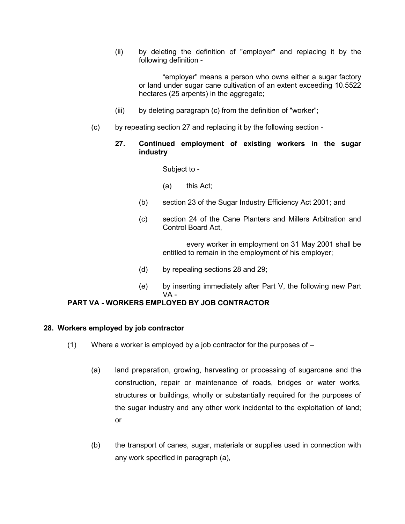(ii) by deleting the definition of "employer" and replacing it by the following definition -

"employer" means a person who owns either a sugar factory or land under sugar cane cultivation of an extent exceeding 10.5522 hectares (25 arpents) in the aggregate;

- (iii) by deleting paragraph (c) from the definition of "worker";
- (c) by repeating section 27 and replacing it by the following section
	- **27. Continued employment of existing workers in the sugar industry**

#### Subject to -

- (a) this Act;
- (b) section 23 of the Sugar Industry Efficiency Act 2001; and
- (c) section 24 of the Cane Planters and Millers Arbitration and Control Board Act,

every worker in employment on 31 May 2001 shall be entitled to remain in the employment of his employer;

- (d) by repealing sections 28 and 29;
- (e) by inserting immediately after Part V, the following new Part VA -

### **PART VA - WORKERS EMPLOYED BY JOB CONTRACTOR**

#### **28. Workers employed by job contractor**

- (1) Where a worker is employed by a job contractor for the purposes of
	- (a) land preparation, growing, harvesting or processing of sugarcane and the construction, repair or maintenance of roads, bridges or water works, structures or buildings, wholly or substantially required for the purposes of the sugar industry and any other work incidental to the exploitation of land; or
	- (b) the transport of canes, sugar, materials or supplies used in connection with any work specified in paragraph (a),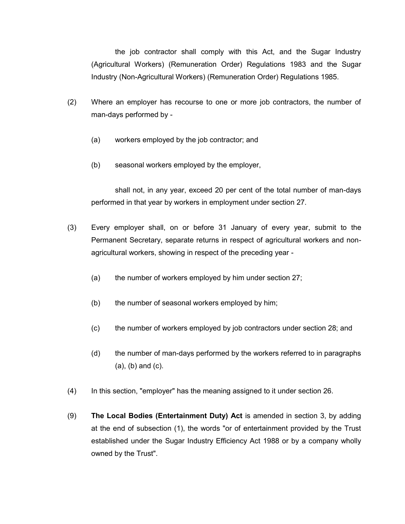the job contractor shall comply with this Act, and the Sugar Industry (Agricultural Workers) (Remuneration Order) Regulations 1983 and the Sugar Industry (Non-Agricultural Workers) (Remuneration Order) Regulations 1985.

- (2) Where an employer has recourse to one or more job contractors, the number of man-days performed by -
	- (a) workers employed by the job contractor; and
	- (b) seasonal workers employed by the employer,

shall not, in any year, exceed 20 per cent of the total number of man-days performed in that year by workers in employment under section 27.

- (3) Every employer shall, on or before 31 January of every year, submit to the Permanent Secretary, separate returns in respect of agricultural workers and nonagricultural workers, showing in respect of the preceding year -
	- (a) the number of workers employed by him under section 27;
	- (b) the number of seasonal workers employed by him;
	- (c) the number of workers employed by job contractors under section 28; and
	- (d) the number of man-days performed by the workers referred to in paragraphs (a), (b) and (c).
- (4) In this section, "employer" has the meaning assigned to it under section 26.
- (9) **The Local Bodies (Entertainment Duty) Act** is amended in section 3, by adding at the end of subsection (1), the words "or of entertainment provided by the Trust established under the Sugar Industry Efficiency Act 1988 or by a company wholly owned by the Trust".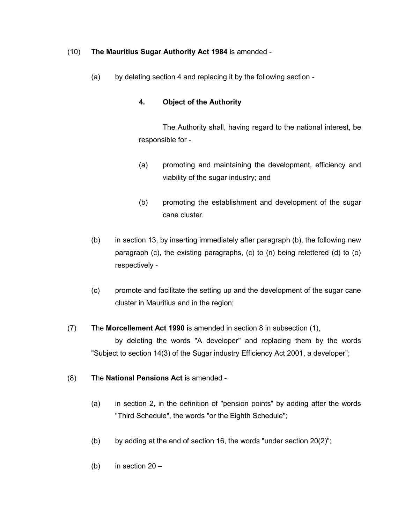## (10) **The Mauritius Sugar Authority Act 1984** is amended -

(a) by deleting section 4 and replacing it by the following section -

# **4. Object of the Authority**

The Authority shall, having regard to the national interest, be responsible for -

- (a) promoting and maintaining the development, efficiency and viability of the sugar industry; and
- (b) promoting the establishment and development of the sugar cane cluster.
- (b) in section 13, by inserting immediately after paragraph (b), the following new paragraph (c), the existing paragraphs, (c) to (n) being relettered (d) to (o) respectively -
- (c) promote and facilitate the setting up and the development of the sugar cane cluster in Mauritius and in the region;

# (7) The **Morcellement Act 1990** is amended in section 8 in subsection (1),

by deleting the words "A developer" and replacing them by the words "Subject to section 14(3) of the Sugar industry Efficiency Act 2001, a developer";

# (8) The **National Pensions Act** is amended -

- (a) in section 2, in the definition of "pension points" by adding after the words "Third Schedule", the words "or the Eighth Schedule";
- (b) by adding at the end of section 16, the words "under section  $20(2)$ ";
- (b) in section  $20 -$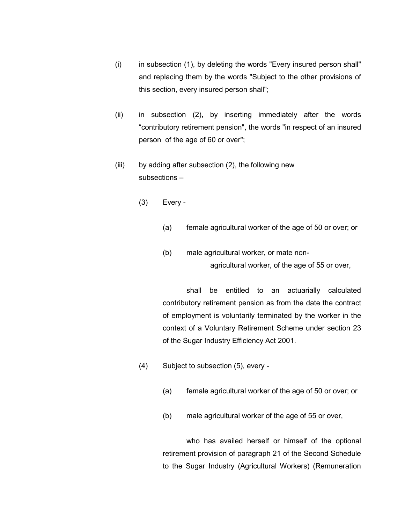- (i) in subsection (1), by deleting the words "Every insured person shall" and replacing them by the words "Subject to the other provisions of this section, every insured person shall";
- (ii) in subsection (2), by inserting immediately after the words "contributory retirement pension", the words "in respect of an insured person of the age of 60 or over";
- (iii) by adding after subsection (2), the following new subsections –
	- (3) Every
		- (a) female agricultural worker of the age of 50 or over; or
		- (b) male agricultural worker, or mate nonagricultural worker, of the age of 55 or over,

shall be entitled to an actuarially calculated contributory retirement pension as from the date the contract of employment is voluntarily terminated by the worker in the context of a Voluntary Retirement Scheme under section 23 of the Sugar Industry Efficiency Act 2001.

- (4) Subject to subsection (5), every
	- (a) female agricultural worker of the age of 50 or over; or
	- (b) male agricultural worker of the age of 55 or over,

who has availed herself or himself of the optional retirement provision of paragraph 21 of the Second Schedule to the Sugar Industry (Agricultural Workers) (Remuneration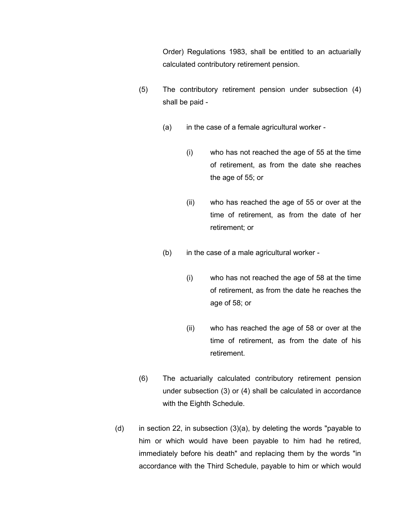Order) Regulations 1983, shall be entitled to an actuarially calculated contributory retirement pension.

- (5) The contributory retirement pension under subsection (4) shall be paid -
	- (a) in the case of a female agricultural worker
		- (i) who has not reached the age of 55 at the time of retirement, as from the date she reaches the age of 55; or
		- (ii) who has reached the age of 55 or over at the time of retirement, as from the date of her retirement; or
	- (b) in the case of a male agricultural worker
		- (i) who has not reached the age of 58 at the time of retirement, as from the date he reaches the age of 58; or
		- (ii) who has reached the age of 58 or over at the time of retirement, as from the date of his retirement.
- (6) The actuarially calculated contributory retirement pension under subsection (3) or (4) shall be calculated in accordance with the Eighth Schedule.
- (d) in section 22, in subsection  $(3)(a)$ , by deleting the words "payable to him or which would have been payable to him had he retired, immediately before his death" and replacing them by the words "in accordance with the Third Schedule, payable to him or which would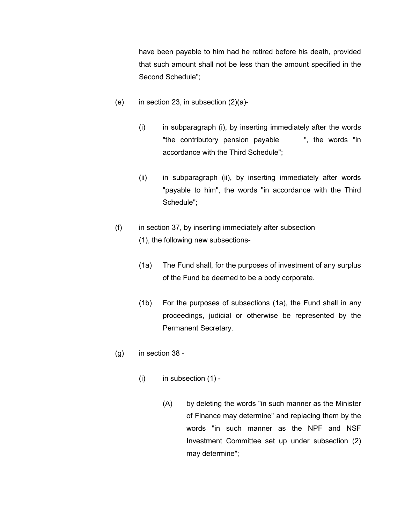have been payable to him had he retired before his death, provided that such amount shall not be less than the amount specified in the Second Schedule";

- (e) in section 23, in subsection  $(2)(a)$ -
	- (i) in subparagraph (i), by inserting immediately after the words "the contributory pension payable ", the words "in accordance with the Third Schedule";
	- (ii) in subparagraph (ii), by inserting immediately after words "payable to him", the words "in accordance with the Third Schedule";
- (f) in section 37, by inserting immediately after subsection (1), the following new subsections-
	- (1a) The Fund shall, for the purposes of investment of any surplus of the Fund be deemed to be a body corporate.
	- (1b) For the purposes of subsections (1a), the Fund shall in any proceedings, judicial or otherwise be represented by the Permanent Secretary.
- (g) in section 38
	- $(i)$  in subsection  $(1)$  -
		- (A) by deleting the words "in such manner as the Minister of Finance may determine" and replacing them by the words "in such manner as the NPF and NSF Investment Committee set up under subsection (2) may determine";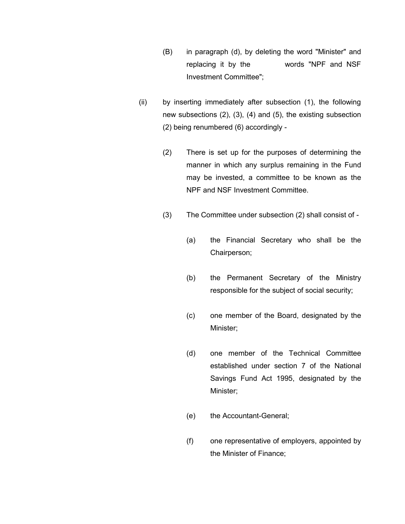- (B) in paragraph (d), by deleting the word "Minister" and replacing it by the words "NPF and NSF Investment Committee";
- (ii) by inserting immediately after subsection (1), the following new subsections (2), (3), (4) and (5), the existing subsection (2) being renumbered (6) accordingly -
	- (2) There is set up for the purposes of determining the manner in which any surplus remaining in the Fund may be invested, a committee to be known as the NPF and NSF Investment Committee.
	- (3) The Committee under subsection (2) shall consist of
		- (a) the Financial Secretary who shall be the Chairperson;
		- (b) the Permanent Secretary of the Ministry responsible for the subject of social security;
		- (c) one member of the Board, designated by the Minister;
		- (d) one member of the Technical Committee established under section 7 of the National Savings Fund Act 1995, designated by the Minister;
		- (e) the Accountant-General;
		- (f) one representative of employers, appointed by the Minister of Finance;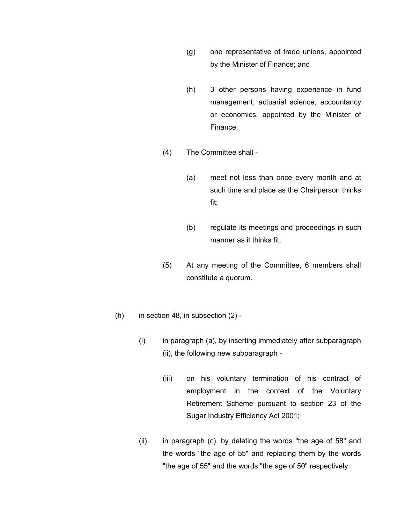- (g) one representative of trade unions, appointed by the Minister of Finance; and
- (h) 3 other persons having experience in fund management, actuarial science, accountancy or economics, appointed by the Minister of Finance.
- (4) The Committee shall
	- (a) meet not less than once every month and at such time and place as the Chairperson thinks fit;
	- (b) regulate its meetings and proceedings in such manner as it thinks fit;
- (5) At any meeting of the Committee, 6 members shall constitute a quorum.
- $(h)$  in section 48, in subsection  $(2)$  -
	- (i) in paragraph (a), by inserting immediately after subparagraph (ii), the following new subparagraph -
		- (iii) on his voluntary termination of his contract of employment in the context of the Voluntary Retirement Scheme pursuant to section 23 of the Sugar Industry Efficiency Act 2001;
	- (ii) in paragraph (c), by deleting the words "the age of 58" and the words "the age of 55" and replacing them by the words "the age of 55" and the words "the age of 50" respectively.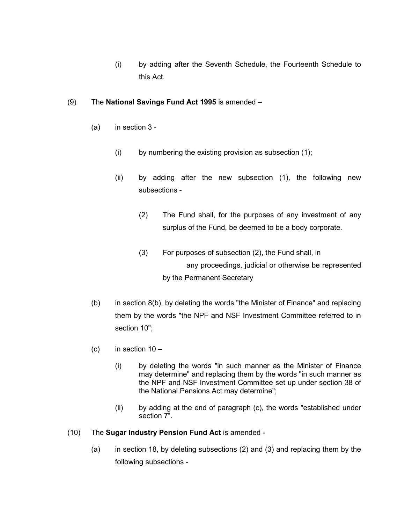(i) by adding after the Seventh Schedule, the Fourteenth Schedule to this Act.

## (9) The **National Savings Fund Act 1995** is amended –

- (a) in section 3
	- (i) by numbering the existing provision as subsection (1);
	- (ii) by adding after the new subsection (1), the following new subsections -
		- (2) The Fund shall, for the purposes of any investment of any surplus of the Fund, be deemed to be a body corporate.
		- (3) For purposes of subsection (2), the Fund shall, in any proceedings, judicial or otherwise be represented by the Permanent Secretary
- (b) in section 8(b), by deleting the words "the Minister of Finance" and replacing them by the words "the NPF and NSF Investment Committee referred to in section 10";
- (c) in section  $10 -$ 
	- (i) by deleting the words "in such manner as the Minister of Finance may determine" and replacing them by the words "in such manner as the NPF and NSF Investment Committee set up under section 38 of the National Pensions Act may determine";
	- (ii) by adding at the end of paragraph (c), the words "established under section 7".
- (10) The **Sugar Industry Pension Fund Act** is amended
	- (a) in section 18, by deleting subsections (2) and (3) and replacing them by the following subsections -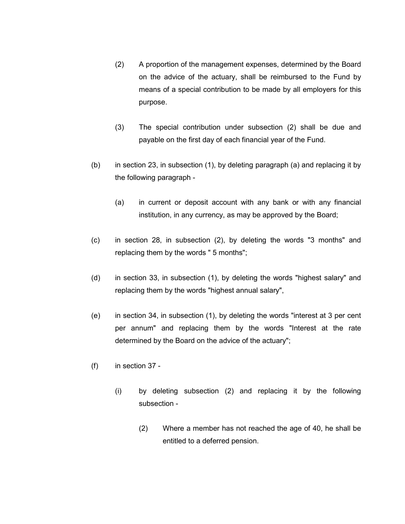- (2) A proportion of the management expenses, determined by the Board on the advice of the actuary, shall be reimbursed to the Fund by means of a special contribution to be made by all employers for this purpose.
- (3) The special contribution under subsection (2) shall be due and payable on the first day of each financial year of the Fund.
- (b) in section 23, in subsection (1), by deleting paragraph (a) and replacing it by the following paragraph -
	- (a) in current or deposit account with any bank or with any financial institution, in any currency, as may be approved by the Board;
- (c) in section 28, in subsection (2), by deleting the words "3 months" and replacing them by the words " 5 months";
- (d) in section 33, in subsection (1), by deleting the words "highest salary" and replacing them by the words "highest annual salary",
- (e) in section 34, in subsection (1), by deleting the words "interest at 3 per cent per annum" and replacing them by the words "Interest at the rate determined by the Board on the advice of the actuary";
- (f) in section 37
	- (i) by deleting subsection (2) and replacing it by the following subsection -
		- (2) Where a member has not reached the age of 40, he shall be entitled to a deferred pension.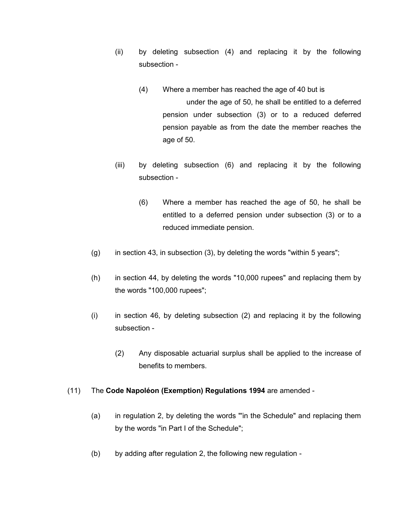- (ii) by deleting subsection (4) and replacing it by the following subsection -
	- (4) Where a member has reached the age of 40 but is under the age of 50, he shall be entitled to a deferred pension under subsection (3) or to a reduced deferred pension payable as from the date the member reaches the age of 50.
- (iii) by deleting subsection (6) and replacing it by the following subsection -
	- (6) Where a member has reached the age of 50, he shall be entitled to a deferred pension under subsection (3) or to a reduced immediate pension.
- $(q)$  in section 43, in subsection (3), by deleting the words "within 5 years";
- (h) in section 44, by deleting the words "10,000 rupees" and replacing them by the words "100,000 rupees";
- (i) in section 46, by deleting subsection (2) and replacing it by the following subsection -
	- (2) Any disposable actuarial surplus shall be applied to the increase of benefits to members.

### (11) The **Code Napoléon (Exemption) Regulations 1994** are amended -

- (a) in regulation 2, by deleting the words "'in the Schedule" and replacing them by the words "in Part I of the Schedule";
- (b) by adding after regulation 2, the following new regulation -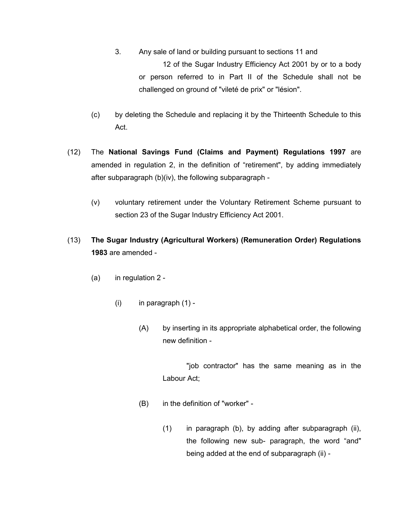- 3. Any sale of land or building pursuant to sections 11 and 12 of the Sugar Industry Efficiency Act 2001 by or to a body or person referred to in Part II of the Schedule shall not be challenged on ground of "vileté de prix" or "lésion".
- (c) by deleting the Schedule and replacing it by the Thirteenth Schedule to this Act.
- (12) The **National Savings Fund (Claims and Payment) Regulations 1997** are amended in regulation 2, in the definition of "retirement", by adding immediately after subparagraph (b)(iv), the following subparagraph -
	- (v) voluntary retirement under the Voluntary Retirement Scheme pursuant to section 23 of the Sugar Industry Efficiency Act 2001.
- (13) **The Sugar Industry (Agricultural Workers) (Remuneration Order) Regulations 1983** are amended -
	- (a) in regulation 2
		- $(i)$  in paragraph  $(1)$  -
			- (A) by inserting in its appropriate alphabetical order, the following new definition -

"job contractor" has the same meaning as in the Labour Act;

- (B) in the definition of "worker"
	- (1) in paragraph (b), by adding after subparagraph (ii), the following new sub- paragraph, the word "and" being added at the end of subparagraph (ii) -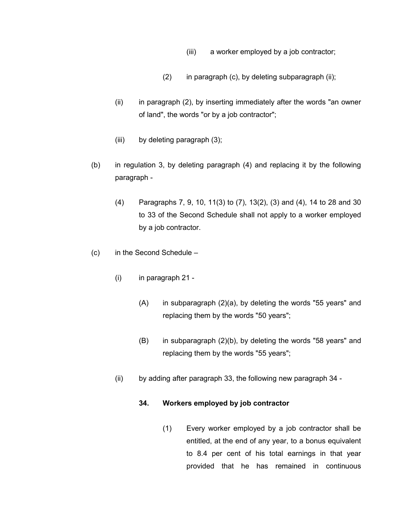- (iii) a worker employed by a job contractor;
- (2) in paragraph (c), by deleting subparagraph (ii);
- $(i)$  in paragraph  $(2)$ , by inserting immediately after the words "an owner of land", the words "or by a job contractor";
- (iii) by deleting paragraph (3);
- (b) in regulation 3, by deleting paragraph (4) and replacing it by the following paragraph -
	- (4) Paragraphs 7, 9, 10, 11(3) to (7), 13(2), (3) and (4), 14 to 28 and 30 to 33 of the Second Schedule shall not apply to a worker employed by a job contractor.
- (c) in the Second Schedule
	- (i) in paragraph 21
		- (A) in subparagraph (2)(a), by deleting the words "55 years" and replacing them by the words "50 years";
		- (B) in subparagraph (2)(b), by deleting the words "58 years" and replacing them by the words "55 years";
	- (ii) by adding after paragraph 33, the following new paragraph 34 -

### **34. Workers employed by job contractor**

(1) Every worker employed by a job contractor shall be entitled, at the end of any year, to a bonus equivalent to 8.4 per cent of his total earnings in that year provided that he has remained in continuous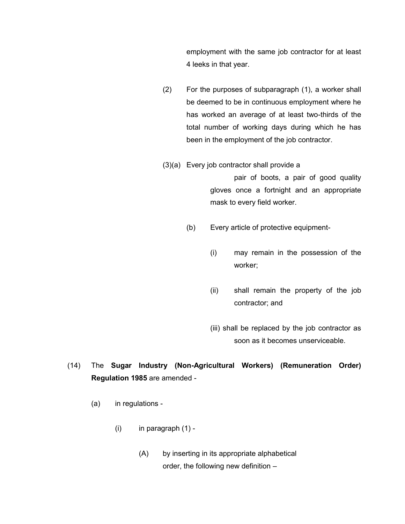employment with the same job contractor for at least 4 leeks in that year.

- (2) For the purposes of subparagraph (1), a worker shall be deemed to be in continuous employment where he has worked an average of at least two-thirds of the total number of working days during which he has been in the employment of the job contractor.
- (3)(a) Every job contractor shall provide a

pair of boots, a pair of good quality gloves once a fortnight and an appropriate mask to every field worker.

- (b) Every article of protective equipment-
	- (i) may remain in the possession of the worker;
	- (ii) shall remain the property of the job contractor; and
	- (iii) shall be replaced by the job contractor as soon as it becomes unserviceable.
- (14) The **Sugar Industry (Non-Agricultural Workers) (Remuneration Order) Regulation 1985** are amended -
	- (a) in regulations
		- $(i)$  in paragraph  $(1)$  -
			- (A) by inserting in its appropriate alphabetical order, the following new definition –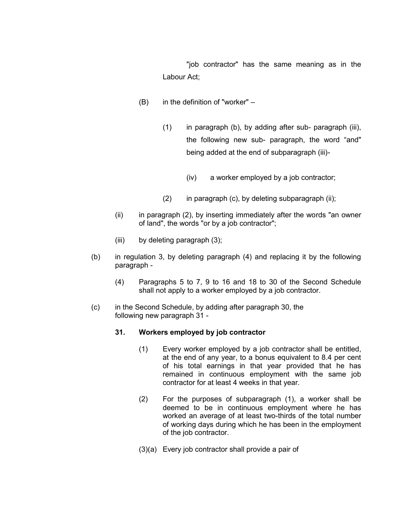"job contractor" has the same meaning as in the Labour Act;

- (B) in the definition of "worker"
	- (1) in paragraph (b), by adding after sub- paragraph (iii), the following new sub- paragraph, the word "and" being added at the end of subparagraph (iii)-
		- (iv) a worker employed by a job contractor;
	- $(2)$  in paragraph  $(c)$ , by deleting subparagraph  $(ii)$ ;
- (ii) in paragraph (2), by inserting immediately after the words "an owner of land", the words "or by a job contractor";
- (iii) by deleting paragraph (3);
- (b) in regulation 3, by deleting paragraph (4) and replacing it by the following paragraph -
	- (4) Paragraphs 5 to 7, 9 to 16 and 18 to 30 of the Second Schedule shall not apply to a worker employed by a job contractor.
- (c) in the Second Schedule, by adding after paragraph 30, the following new paragraph 31 -

#### **31. Workers employed by job contractor**

- (1) Every worker employed by a job contractor shall be entitled, at the end of any year, to a bonus equivalent to 8.4 per cent of his total earnings in that year provided that he has remained in continuous employment with the same job contractor for at least 4 weeks in that year.
- (2) For the purposes of subparagraph (1), a worker shall be deemed to be in continuous employment where he has worked an average of at least two-thirds of the total number of working days during which he has been in the employment of the job contractor.
- (3)(a) Every job contractor shall provide a pair of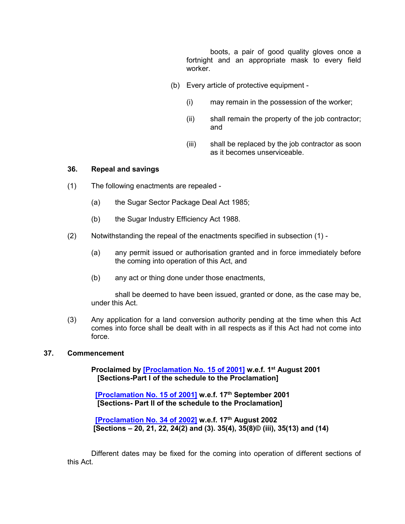boots, a pair of good quality gloves once a fortnight and an appropriate mask to every field worker.

- (b) Every article of protective equipment
	- (i) may remain in the possession of the worker;
	- (ii) shall remain the property of the job contractor; and
	- (iii) shall be replaced by the job contractor as soon as it becomes unserviceable.

#### **36. Repeal and savings**

- (1) The following enactments are repealed
	- (a) the Sugar Sector Package Deal Act 1985;
	- (b) the Sugar Industry Efficiency Act 1988.
- (2) Notwithstanding the repeal of the enactments specified in subsection (1)
	- (a) any permit issued or authorisation granted and in force immediately before the coming into operation of this Act, and
	- (b) any act or thing done under those enactments,

shall be deemed to have been issued, granted or done, as the case may be, under this Act.

(3) Any application for a land conversion authority pending at the time when this Act comes into force shall be dealt with in all respects as if this Act had not come into force.

#### **37. Commencement**

**Proclaimed by [\[Proclamation No. 15 of 2001\]](https://supremecourt.govmu.org/get-doc-link/Proclamation_No._15_of_2001) w.e.f. 1st August 2001 [Sections-Part I of the schedule to the Proclamation]**

 **[\[Proclamation No. 15 of 2001\]](https://supremecourt.govmu.org/get-doc-link/Proclamation_No._15_of_2001) w.e.f. 17th September 2001 [Sections- Part II of the schedule to the Proclamation]**

 **[\[Proclamation No. 34 of 2002\]](https://supremecourt.govmu.org/get-doc-link/Proclamation_No._34_of_2002) w.e.f. 17th August 2002 [Sections – 20, 21, 22, 24(2) and (3). 35(4), 35(8)© (iii), 35(13) and (14)**

Different dates may be fixed for the coming into operation of different sections of this Act.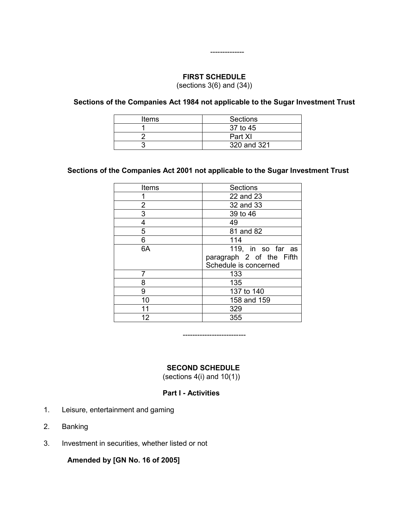## **FIRST SCHEDULE** (sections  $3(6)$  and  $(34)$ )

--------------

**Sections of the Companies Act 1984 not applicable to the Sugar Investment Trust**

| Items | Sections    |
|-------|-------------|
|       | 37 to 45    |
|       | Part XI     |
|       | 320 and 321 |

## **Sections of the Companies Act 2001 not applicable to the Sugar Investment Trust**

| Items | Sections                                                               |
|-------|------------------------------------------------------------------------|
|       | 22 and 23                                                              |
| 2     | 32 and 33                                                              |
| 3     | 39 to 46                                                               |
| 4     | 49                                                                     |
| 5     | 81 and 82                                                              |
| 6     | 114                                                                    |
| 6A    | 119, in so far as<br>paragraph 2 of the Fifth<br>Schedule is concerned |
| 7     | 133                                                                    |
| 8     | 135                                                                    |
| 9     | 137 to 140                                                             |
| 10    | 158 and 159                                                            |
| 11    | 329                                                                    |
| 12    | 355                                                                    |

--------------------------

### **SECOND SCHEDULE**

(sections  $4(i)$  and  $10(1)$ )

#### **Part I - Activities**

- 1. Leisure, entertainment and gaming
- 2. Banking
- 3. Investment in securities, whether listed or not

**Amended by [GN No. 16 of 2005]**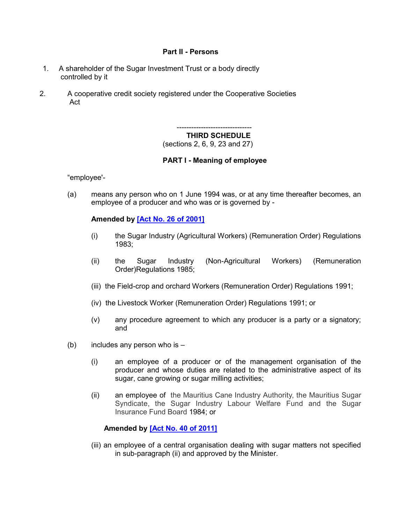#### **Part II - Persons**

- 1. A shareholder of the Sugar Investment Trust or a body directly controlled by it
- 2. A cooperative credit society registered under the Cooperative Societies Act

------------------------------- **THIRD SCHEDULE** 

(sections 2, 6, 9, 23 and 27)

### **PART I - Meaning of employee**

"employee'-

(a) means any person who on 1 June 1994 was, or at any time thereafter becomes, an employee of a producer and who was or is governed by -

#### **Amended by [\[Act No. 26 of 2001\]](https://supremecourt.govmu.org/get-doc-link/Act_No._26_of_2001)**

- (i) the Sugar Industry (Agricultural Workers) (Remuneration Order) Regulations 1983;
- (ii) the Sugar Industry (Non-Agricultural Workers) (Remuneration Order)Regulations 1985;
- (iii) the Field-crop and orchard Workers (Remuneration Order) Regulations 1991;
- (iv) the Livestock Worker (Remuneration Order) Regulations 1991; or
- (v) any procedure agreement to which any producer is a party or a signatory; and
- (b) includes any person who is  $-$ 
	- (i) an employee of a producer or of the management organisation of the producer and whose duties are related to the administrative aspect of its sugar, cane growing or sugar milling activities;
	- (ii) an employee of the Mauritius Cane Industry Authority, the Mauritius Sugar Syndicate, the Sugar Industry Labour Welfare Fund and the Sugar Insurance Fund Board 1984; or

### **Amended by [\[Act No. 40 of 2011\]](https://supremecourt.govmu.org/get-doc-link/Act_No._40_of_2011)**

(iii) an employee of a central organisation dealing with sugar matters not specified in sub-paragraph (ii) and approved by the Minister.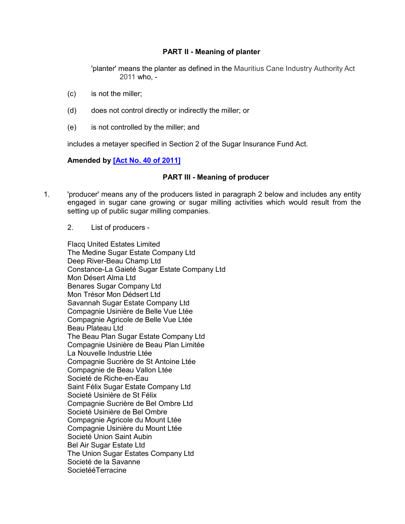## **PART II - Meaning of planter**

'planter' means the planter as defined in the Mauritius Cane Industry Authority Act 2011 who, -

- (c) is not the miller;
- (d) does not control directly or indirectly the miller; or
- (e) is not controlled by the miller; and

includes a metayer specified in Section 2 of the Sugar Insurance Fund Act.

#### **Amended by [\[Act No. 40 of 2011\]](https://supremecourt.govmu.org/get-doc-link/Act_No._40_of_2011)**

#### **PART III - Meaning of producer**

- 1. 'producer' means any of the producers listed in paragraph 2 below and includes any entity engaged in sugar cane growing or sugar milling activities which would result from the setting up of public sugar milling companies.
	- 2. List of producers -

Flacq United Estates Limited The Medine Sugar Estate Company Ltd Deep River-Beau Champ Ltd Constance-La Gaieté Sugar Estate Company Ltd Mon Désert Alma Ltd Benares Sugar Company Ltd Mon Trésor Mon Dédsert Ltd Savannah Sugar Estate Company Ltd Compagnie Usinière de Belle Vue Ltée Compagnie Agricole de Belle Vue Ltée Beau Plateau Ltd The Beau Plan Sugar Estate Company Ltd Compagnie Usinière de Beau Plan Limitée La Nouvelle Industrie Ltée Compagnie Sucrière de St Antoine Ltée Compagnie de Beau Vallon Ltée Societé de Riche-en-Eau Saint Félix Sugar Estate Company Ltd Societé Usinière de St Félix Compagnie Sucrière de Bel Ombre Ltd Societé Usinière de Bel Ombre Compagnie Agricole du Mount Ltée Compagnie Usinière du Mount Ltée Societé Union Saint Aubin Bel Air Sugar Estate Ltd The Union Sugar Estates Company Ltd Societé de la Savanne SocietééTerracine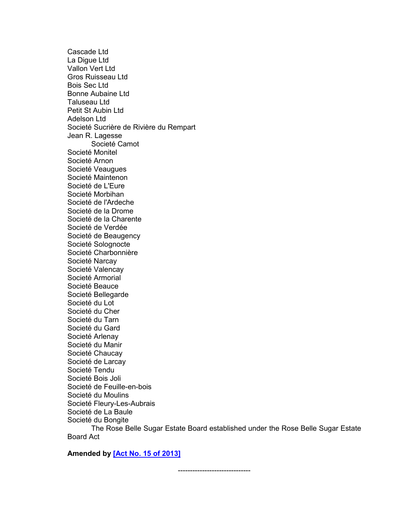Cascade Ltd La Digue Ltd Vallon Vert Ltd Gros Ruisseau Ltd Bois Sec Ltd Bonne Aubaine Ltd Taluseau Ltd Petit St Aubin Ltd Adelson Ltd Societé Sucrière de Rivière du Rempart Jean R. Lagesse Societé Camot Societé Monitel Societé Arnon Societé Veaugues Societé Maintenon Societé de L'Eure Societé Morbihan Societé de l'Ardeche Societé de la Drome Societé de la Charente Societé de Verdée Societé de Beaugency Societé Solognocte Societé Charbonnière Societé Narcay Societé Valencay Societé Armorial Societé Beauce Societé Bellegarde Societé du Lot Societé du Cher Societé du Tarn Societé du Gard Societé Arlenay Societé du Manir Societé Chaucay Societé de Larcay Societé Tendu Societé Bois Joli Societé de Feuille-en-bois Societé du Moulins Societé Fleury-Les-Aubrais Societé de La Baule Societé du Bongite The Rose Belle Sugar Estate Board established under the Rose Belle Sugar Estate Board Act

**Amended by [\[Act No. 15 of 2013\]](https://supremecourt.govmu.org/get-doc-link/Act_No._15_of_2013)**

------------------------------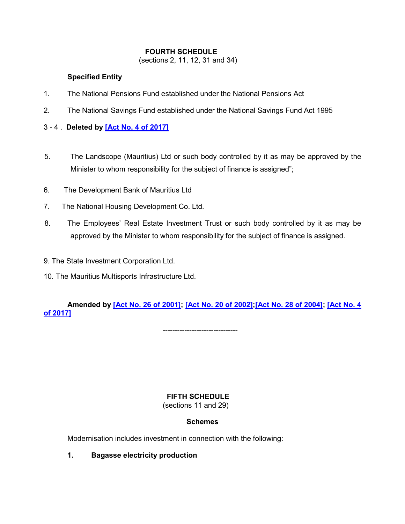## **FOURTH SCHEDULE**

(sections 2, 11, 12, 31 and 34)

## **Specified Entity**

- 1. The National Pensions Fund established under the National Pensions Act
- 2. The National Savings Fund established under the National Savings Fund Act 1995

## 3 - 4 . **Deleted by [\[Act No. 4 of 2017\]](https://supremecourt.govmu.org/get-doc-link/Act_No._4_of_2017)**

- 5. The Landscope (Mauritius) Ltd or such body controlled by it as may be approved by the Minister to whom responsibility for the subject of finance is assigned";
- 6. The Development Bank of Mauritius Ltd
- 7. The National Housing Development Co. Ltd.
- 8. The Employees' Real Estate Investment Trust or such body controlled by it as may be approved by the Minister to whom responsibility for the subject of finance is assigned.
- 9. The State Investment Corporation Ltd.
- 10. The Mauritius Multisports Infrastructure Ltd.

# **Amended by [\[Act No. 26 of 2001\];](https://supremecourt.govmu.org/get-doc-link/Act_No._26_of_2001) [\[Act No. 20 of 2002\]](https://supremecourt.govmu.org/get-doc-link/Act_No._20_of_2002)[;\[Act No. 28 of 2004\];](https://supremecourt.govmu.org/get-doc-link/Act_No._28_of_2004) [\[Act No. 4](https://supremecourt.govmu.org/get-doc-link/Act_No._4_of_2017)  [of 2017\]](https://supremecourt.govmu.org/get-doc-link/Act_No._4_of_2017)**

-------------------------------

**FIFTH SCHEDULE** 

(sections 11 and 29)

# **Schemes**

Modernisation includes investment in connection with the following:

**1. Bagasse electricity production**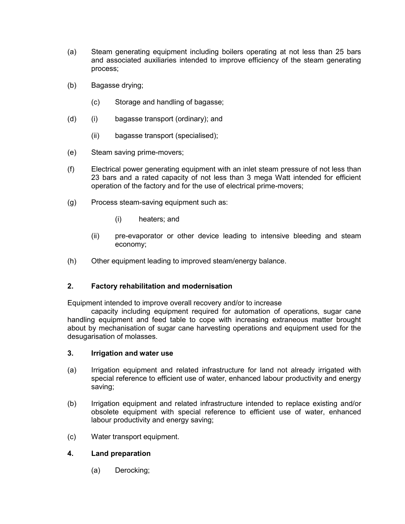- (a) Steam generating equipment including boilers operating at not less than 25 bars and associated auxiliaries intended to improve efficiency of the steam generating process;
- (b) Bagasse drying;
	- (c) Storage and handling of bagasse;
- (d) (i) bagasse transport (ordinary); and
	- (ii) bagasse transport (specialised);
- (e) Steam saving prime-movers;
- (f) Electrical power generating equipment with an inlet steam pressure of not less than 23 bars and a rated capacity of not less than 3 mega Watt intended for efficient operation of the factory and for the use of electrical prime-movers;
- (g) Process steam-saving equipment such as:
	- (i) heaters; and
	- (ii) pre-evaporator or other device leading to intensive bleeding and steam economy;
- (h) Other equipment leading to improved steam/energy balance.

### **2. Factory rehabilitation and modernisation**

Equipment intended to improve overall recovery and/or to increase

capacity including equipment required for automation of operations, sugar cane handling equipment and feed table to cope with increasing extraneous matter brought about by mechanisation of sugar cane harvesting operations and equipment used for the desugarisation of molasses.

#### **3. Irrigation and water use**

- (a) Irrigation equipment and related infrastructure for land not already irrigated with special reference to efficient use of water, enhanced labour productivity and energy saving;
- (b) Irrigation equipment and related infrastructure intended to replace existing and/or obsolete equipment with special reference to efficient use of water, enhanced labour productivity and energy saving;
- (c) Water transport equipment.

### **4. Land preparation**

(a) Derocking;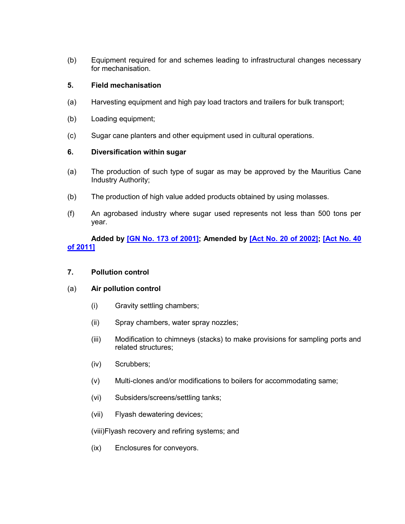(b) Equipment required for and schemes leading to infrastructural changes necessary for mechanisation.

## **5. Field mechanisation**

- (a) Harvesting equipment and high pay load tractors and trailers for bulk transport;
- (b) Loading equipment;
- (c) Sugar cane planters and other equipment used in cultural operations.

### **6. Diversification within sugar**

- (a) The production of such type of sugar as may be approved by the Mauritius Cane Industry Authority;
- (b) The production of high value added products obtained by using molasses.
- (f) An agrobased industry where sugar used represents not less than 500 tons per year.

## **Added by [\[GN No. 173 of 2001\];](https://supremecourt.govmu.org/get-doc-link/GN_No._173_of_2001) Amended by [\[Act No. 20 of 2002\];](https://supremecourt.govmu.org/get-doc-link/Act_No._20_of_2002) [\[Act No. 40](https://supremecourt.govmu.org/get-doc-link/Act_No._40_of_2011)  [of 2011\]](https://supremecourt.govmu.org/get-doc-link/Act_No._40_of_2011)**

#### **7. Pollution control**

#### (a) **Air pollution control**

- (i) Gravity settling chambers;
- (ii) Spray chambers, water spray nozzles;
- (iii) Modification to chimneys (stacks) to make provisions for sampling ports and related structures;
- (iv) Scrubbers;
- (v) Multi-clones and/or modifications to boilers for accommodating same;
- (vi) Subsiders/screens/settling tanks;
- (vii) Flyash dewatering devices;

#### (viii)Flyash recovery and refiring systems; and

(ix) Enclosures for conveyors.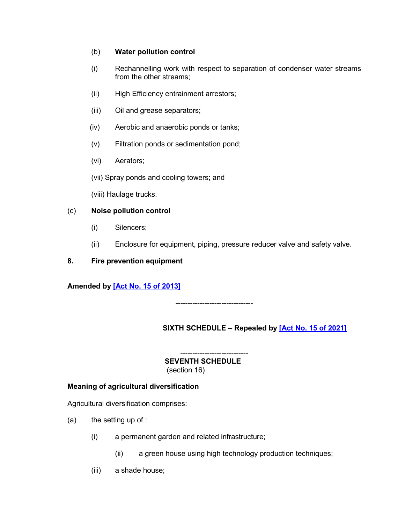## (b) **Water pollution control**

- (i) Rechannelling work with respect to separation of condenser water streams from the other streams;
- (ii) High Efficiency entrainment arrestors;
- (iii) Oil and grease separators;
- (iv) Aerobic and anaerobic ponds or tanks;
- (v) Filtration ponds or sedimentation pond;
- (vi) Aerators;
- (vii) Spray ponds and cooling towers; and
- (viii) Haulage trucks.

## (c) **Noise pollution control**

- (i) Silencers;
- (ii) Enclosure for equipment, piping, pressure reducer valve and safety valve.
- **8. Fire prevention equipment**

# **Amended by [\[Act No. 15 of 2013\]](https://supremecourt.govmu.org/get-doc-link/Act_No._15_of_2013)**

--------------------------------

# **SIXTH SCHEDULE – Repealed by [\[Act No. 15 of 2021\]](https://supremecourt.govmu.org/get-doc-link/Act_No._15_of_2021)**

---------------------------- **SEVENTH SCHEDULE**  (section 16)

### **Meaning of agricultural diversification**

Agricultural diversification comprises:

- $(a)$  the setting up of :
	- (i) a permanent garden and related infrastructure;
		- (ii) a green house using high technology production techniques;
	- (iii) a shade house;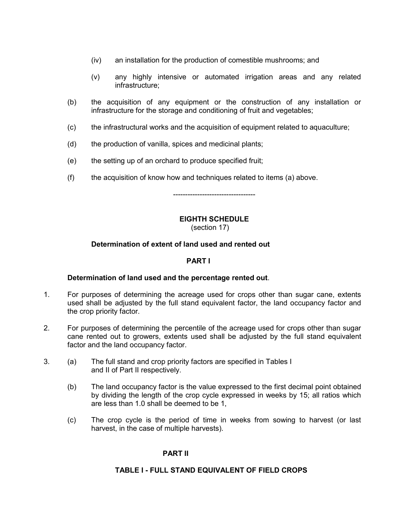- (iv) an installation for the production of comestible mushrooms; and
- (v) any highly intensive or automated irrigation areas and any related infrastructure;
- (b) the acquisition of any equipment or the construction of any installation or infrastructure for the storage and conditioning of fruit and vegetables;
- (c) the infrastructural works and the acquisition of equipment related to aquaculture;
- (d) the production of vanilla, spices and medicinal plants;
- (e) the setting up of an orchard to produce specified fruit;
- (f) the acquisition of know how and techniques related to items (a) above.

----------------------------------

### **EIGHTH SCHEDULE**

(section 17)

### **Determination of extent of land used and rented out**

#### **PART I**

### **Determination of land used and the percentage rented out**.

- 1. For purposes of determining the acreage used for crops other than sugar cane, extents used shall be adjusted by the full stand equivalent factor, the land occupancy factor and the crop priority factor.
- 2. For purposes of determining the percentile of the acreage used for crops other than sugar cane rented out to growers, extents used shall be adjusted by the full stand equivalent factor and the land occupancy factor.
- 3. (a) The full stand and crop priority factors are specified in Tables I and II of Part II respectively.
	- (b) The land occupancy factor is the value expressed to the first decimal point obtained by dividing the length of the crop cycle expressed in weeks by 15; all ratios which are less than 1.0 shall be deemed to be 1,
	- (c) The crop cycle is the period of time in weeks from sowing to harvest (or last harvest, in the case of multiple harvests).

### **PART II**

### **TABLE I - FULL STAND EQUIVALENT OF FIELD CROPS**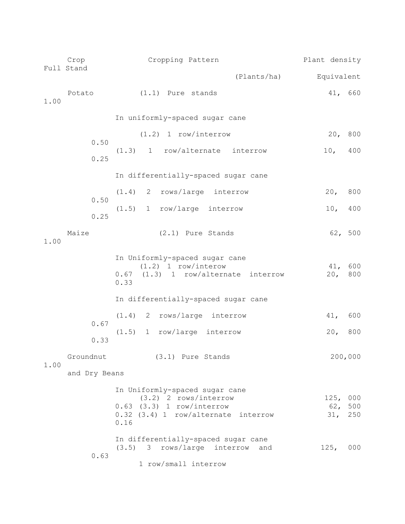|      | Crop<br>Full Stand | Cropping Pattern                                                                                                                          | Plant density              |            |
|------|--------------------|-------------------------------------------------------------------------------------------------------------------------------------------|----------------------------|------------|
|      |                    | (Plants/ha)                                                                                                                               | Equivalent                 |            |
| 1.00 | Potato             | $(1.1)$ Pure stands                                                                                                                       | 41, 660                    |            |
|      |                    | In uniformly-spaced sugar cane                                                                                                            |                            |            |
|      | 0.50<br>0.25       | $(1.2)$ 1 row/interrow<br>$(1.3)$ 1 row/alternate<br>interrow                                                                             | 20, 800<br>10,             | 400        |
|      |                    | In differentially-spaced sugar cane                                                                                                       |                            |            |
|      | 0.50               | $(1.4)$ 2 rows/large interrow                                                                                                             | 20 <sub>r</sub>            | 800        |
|      | 0.25               | (1.5)<br>row/large<br>interrow<br>1                                                                                                       | 10 <sub>r</sub>            | 400        |
| 1.00 | Maize              | (2.1) Pure Stands                                                                                                                         | 62, 500                    |            |
|      |                    | In Uniformly-spaced sugar cane<br>$(1.2)$ 1 row/interow<br>(1.3) 1 row/alternate interrow<br>0.67<br>0.33                                 | 41,<br>20 <sub>r</sub>     | 600<br>800 |
|      |                    | In differentially-spaced sugar cane                                                                                                       |                            |            |
|      | 0.67<br>0.33       | 2 rows/large interrow<br>(1.4)<br>1 row/large interrow<br>(1.5)                                                                           | 41,<br>20 <sub>1</sub>     | 600<br>800 |
|      | Groundnut          | (3.1) Pure Stands                                                                                                                         |                            | 200,000    |
| 1.00 | and Dry Beans      |                                                                                                                                           |                            |            |
|      |                    | In Uniformly-spaced sugar cane<br>$(3.2)$ 2 rows/interrow<br>$0.63$ $(3.3)$ 1 row/interrow<br>0.32 (3.4) 1 row/alternate interrow<br>0.16 | 125, 000<br>62, 500<br>31, | 250        |
|      | 0.63               | In differentially-spaced sugar cane<br>$(3.5)$ 3 rows/large<br>interrow<br>and<br>1 row/small interrow                                    | 125,                       | 000        |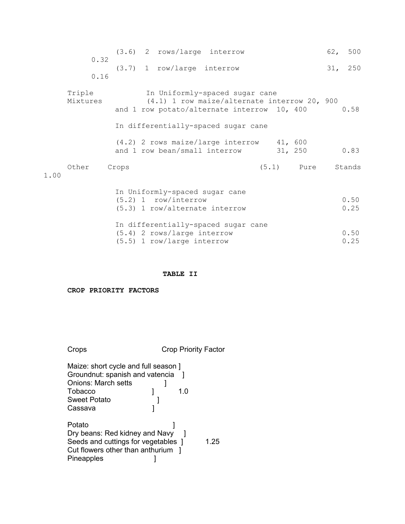|      | 0.32               |       | $(3.6)$ 2 rows/large interrow                                                                                                                                        |  |              | 62, 500      |
|------|--------------------|-------|----------------------------------------------------------------------------------------------------------------------------------------------------------------------|--|--------------|--------------|
|      | 0.16               |       | $(3.7)$ 1 row/large interrow                                                                                                                                         |  |              | 31, 250      |
|      | Triple<br>Mixtures |       | In Uniformly-spaced sugar cane<br>(4.1) 1 row maize/alternate interrow 20, 900<br>and 1 row potato/alternate interrow 10, 400<br>In differentially-spaced sugar cane |  |              | 0.58         |
|      |                    |       | (4.2) 2 rows maize/large interrow 41, 600<br>and 1 row bean/small interrow                                                                                           |  | 31, 250      | 0.83         |
| . 00 | Other              | Crops |                                                                                                                                                                      |  | $(5.1)$ Pure | Stands       |
|      |                    |       | In Uniformly-spaced sugar cane<br>$(5.2)$ 1 row/interrow<br>$(5.3)$ 1 row/alternate interrow                                                                         |  |              | 0.50<br>0.25 |
|      |                    |       | In differentially-spaced sugar cane<br>$(5.4)$ 2 rows/large interrow<br>(5.5) 1 row/large interrow                                                                   |  |              | 0.50<br>0.25 |

#### **TABLE II**

**CROP PRIORITY FACTORS** 

1.00

Crops Crop Priority Factor Maize: short cycle and full season ] Groundnut: spanish and vatencia ] Onions: March setts ]<br>Tobacco ] Tobacco 1 1.0 Sweet Potato [19]<br>Cassava [19] Cassava Potato [1] Dry beans: Red kidney and Navy ] Seeds and cuttings for vegetables 1 1.25 Cut flowers other than anthurium ] Pineapples **Disk is a set of the set of the set of the set of the set of the set of the set of the set of the s**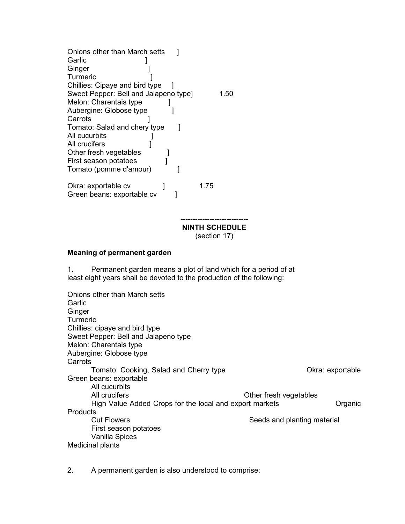| Onions other than March setts<br>Garlic<br>Ginger |      |      |
|---------------------------------------------------|------|------|
| Turmeric                                          |      |      |
| Chillies: Cipaye and bird type                    |      |      |
| Sweet Pepper: Bell and Jalapeno type]             |      | 1.50 |
| Melon: Charentais type                            |      |      |
| Aubergine: Globose type                           |      |      |
| Carrots                                           |      |      |
| Tomato: Salad and chery type                      |      |      |
| All cucurbits                                     |      |      |
| All crucifers                                     |      |      |
| Other fresh vegetables                            |      |      |
| First season potatoes                             |      |      |
| Tomato (pomme d'amour)                            |      |      |
|                                                   |      |      |
| Okra: exportable cv                               | 1.75 |      |
| Green beans: exportable cv                        |      |      |
|                                                   |      |      |
|                                                   |      |      |
|                                                   |      |      |

**NINTH SCHEDULE** (section 17)

#### **Meaning of permanent garden**

1. Permanent garden means a plot of land which for a period of at least eight years shall be devoted to the production of the following:

Onions other than March setts **Garlic Ginger Turmeric** Chillies: cipaye and bird type Sweet Pepper: Bell and Jalapeno type Melon: Charentais type Aubergine: Globose type **Carrots** Tomato: Cooking, Salad and Cherry type **Character Cookranding** Okra: exportable Green beans: exportable All cucurbits All crucifers **All crucifers All crucifers Other fresh vegetables** High Value Added Crops for the local and export markets **Canadian Cryanic** Organic **Products** Cut Flowers **Seeds** and planting material First season potatoes Vanilla Spices Medicinal plants

2. A permanent garden is also understood to comprise: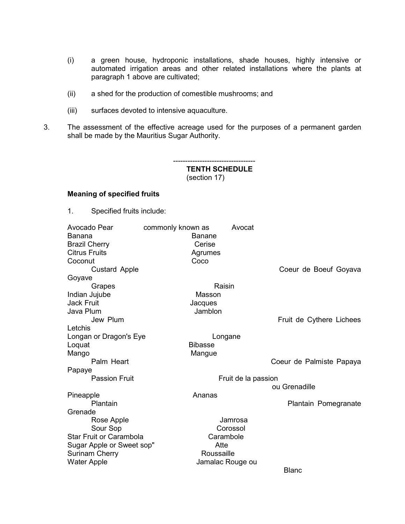- (i) a green house, hydroponic installations, shade houses, highly intensive or automated irrigation areas and other related installations where the plants at paragraph 1 above are cultivated;
- (ii) a shed for the production of comestible mushrooms; and
- (iii) surfaces devoted to intensive aquaculture.
- 3. The assessment of the effective acreage used for the purposes of a permanent garden shall be made by the Mauritius Sugar Authority.

#### ---------------------------------- **TENTH SCHEDULE**  (section 17)

#### **Meaning of specified fruits**

1. Specified fruits include:

| Avocado Pear                   | commonly known as<br>Avocat |                          |
|--------------------------------|-----------------------------|--------------------------|
| Banana                         | Banane                      |                          |
| <b>Brazil Cherry</b>           | Cerise                      |                          |
| <b>Citrus Fruits</b>           | Agrumes                     |                          |
| Coconut                        | Coco                        |                          |
| <b>Custard Apple</b>           |                             | Coeur de Boeuf Goyava    |
| Goyave                         |                             |                          |
| Grapes                         | Raisin                      |                          |
| Indian Jujube                  | Masson                      |                          |
| <b>Jack Fruit</b>              | Jacques                     |                          |
| Java Plum                      | Jamblon                     |                          |
| Jew Plum                       |                             | Fruit de Cythere Lichees |
| Letchis                        |                             |                          |
| Longan or Dragon's Eye         | Longane                     |                          |
| Loquat                         | <b>Bibasse</b>              |                          |
| Mango                          | Mangue                      |                          |
| Palm Heart                     |                             | Coeur de Palmiste Papaya |
| Papaye                         |                             |                          |
| <b>Passion Fruit</b>           | Fruit de la passion         |                          |
|                                |                             | ou Grenadille            |
| Pineapple                      | Ananas                      |                          |
| Plantain                       |                             | Plantain Pomegranate     |
| Grenade                        |                             |                          |
| Rose Apple                     | Jamrosa                     |                          |
| Sour Sop                       | Corossol                    |                          |
| <b>Star Fruit or Carambola</b> | Carambole                   |                          |
| Sugar Apple or Sweet sop"      | Atte                        |                          |
| <b>Surinam Cherry</b>          | Roussaille                  |                          |
| <b>Water Apple</b>             | Jamalac Rouge ou            |                          |
|                                |                             | <b>Blanc</b>             |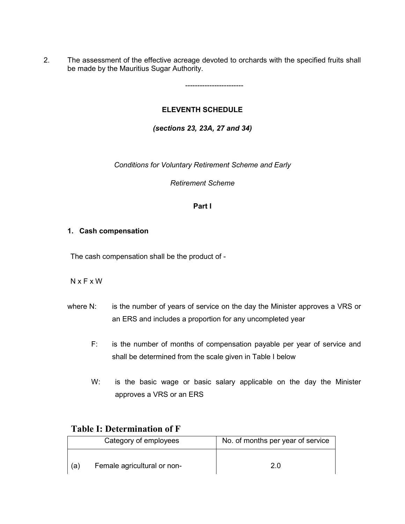2. The assessment of the effective acreage devoted to orchards with the specified fruits shall be made by the Mauritius Sugar Authority.

------------------------

# **ELEVENTH SCHEDULE**

*(sections 23, 23A, 27 and 34)*

*Conditions for Voluntary Retirement Scheme and Early* 

*Retirement Scheme*

### **Part I**

### **1. Cash compensation**

The cash compensation shall be the product of -

### N x F x W

- where N: is the number of years of service on the day the Minister approves a VRS or an ERS and includes a proportion for any uncompleted year
	- F: is the number of months of compensation payable per year of service and shall be determined from the scale given in Table I below
	- W: is the basic wage or basic salary applicable on the day the Minister approves a VRS or an ERS

# **Table I: Determination of F**

|    | Category of employees       | No. of months per year of service |
|----|-----------------------------|-----------------------------------|
| (a | Female agricultural or non- | 2.0                               |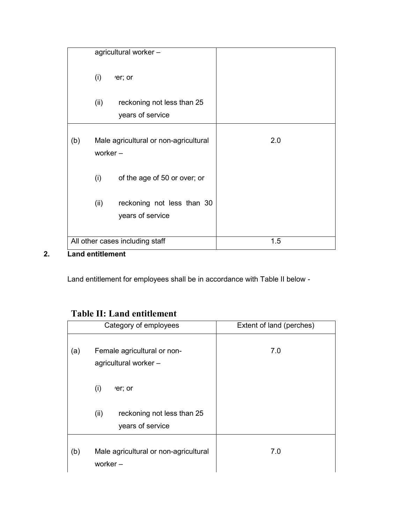|     | agricultural worker -                                  |     |
|-----|--------------------------------------------------------|-----|
|     | (i)<br>'er; or                                         |     |
|     | reckoning not less than 25<br>(ii)<br>years of service |     |
| (b) | Male agricultural or non-agricultural<br>worker $-$    | 2.0 |
|     | (i)<br>of the age of 50 or over; or                    |     |
|     | (ii)<br>reckoning not less than 30<br>years of service |     |
|     | All other cases including staff                        | 1.5 |

# **2. Land entitlement**

Land entitlement for employees shall be in accordance with Table II below -

# **Table II: Land entitlement**

|     | Category of employees                                  | Extent of land (perches) |
|-----|--------------------------------------------------------|--------------------------|
| (a) | Female agricultural or non-<br>agricultural worker -   | 7.0                      |
|     | (i)<br>er; or                                          |                          |
|     | (ii)<br>reckoning not less than 25<br>years of service |                          |
| (b) | Male agricultural or non-agricultural<br>worker $-$    | 7.0                      |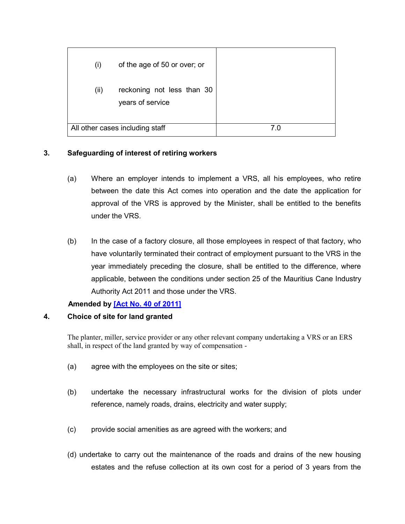| $\mathsf{(i)}$ | of the age of 50 or over; or                   |  |
|----------------|------------------------------------------------|--|
| (ii)           | reckoning not less than 30<br>years of service |  |
|                | All other cases including staff                |  |

# **3. Safeguarding of interest of retiring workers**

- (a) Where an employer intends to implement a VRS, all his employees, who retire between the date this Act comes into operation and the date the application for approval of the VRS is approved by the Minister, shall be entitled to the benefits under the VRS.
- (b) In the case of a factory closure, all those employees in respect of that factory, who have voluntarily terminated their contract of employment pursuant to the VRS in the year immediately preceding the closure, shall be entitled to the difference, where applicable, between the conditions under section 25 of the Mauritius Cane Industry Authority Act 2011 and those under the VRS.

### **Amended by [Act No. [40 of 2011\]](https://supremecourt.govmu.org/get-doc-link/Act_No._40_of_2011)**

### **4. Choice of site for land granted**

The planter, miller, service provider or any other relevant company undertaking a VRS or an ERS shall, in respect of the land granted by way of compensation -

- (a) agree with the employees on the site or sites;
- (b) undertake the necessary infrastructural works for the division of plots under reference, namely roads, drains, electricity and water supply;
- (c) provide social amenities as are agreed with the workers; and
- (d) undertake to carry out the maintenance of the roads and drains of the new housing estates and the refuse collection at its own cost for a period of 3 years from the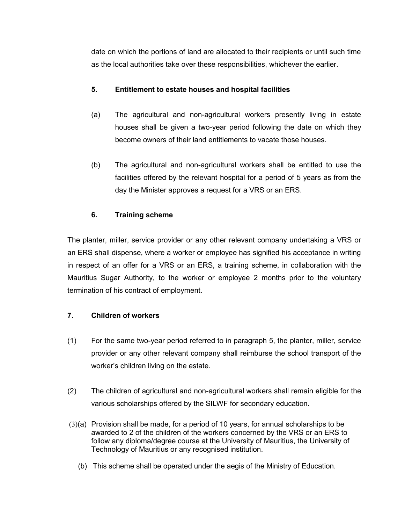date on which the portions of land are allocated to their recipients or until such time as the local authorities take over these responsibilities, whichever the earlier.

# **5. Entitlement to estate houses and hospital facilities**

- (a) The agricultural and non-agricultural workers presently living in estate houses shall be given a two-year period following the date on which they become owners of their land entitlements to vacate those houses.
- (b) The agricultural and non-agricultural workers shall be entitled to use the facilities offered by the relevant hospital for a period of 5 years as from the day the Minister approves a request for a VRS or an ERS.

# **6. Training scheme**

The planter, miller, service provider or any other relevant company undertaking a VRS or an ERS shall dispense, where a worker or employee has signified his acceptance in writing in respect of an offer for a VRS or an ERS, a training scheme, in collaboration with the Mauritius Sugar Authority, to the worker or employee 2 months prior to the voluntary termination of his contract of employment.

# **7. Children of workers**

- (1) For the same two-year period referred to in paragraph 5, the planter, miller, service provider or any other relevant company shall reimburse the school transport of the worker's children living on the estate.
- (2) The children of agricultural and non-agricultural workers shall remain eligible for the various scholarships offered by the SILWF for secondary education.
- (3)(a) Provision shall be made, for a period of 10 years, for annual scholarships to be awarded to 2 of the children of the workers concerned by the VRS or an ERS to follow any diploma/degree course at the University of Mauritius, the University of Technology of Mauritius or any recognised institution.
	- (b) This scheme shall be operated under the aegis of the Ministry of Education.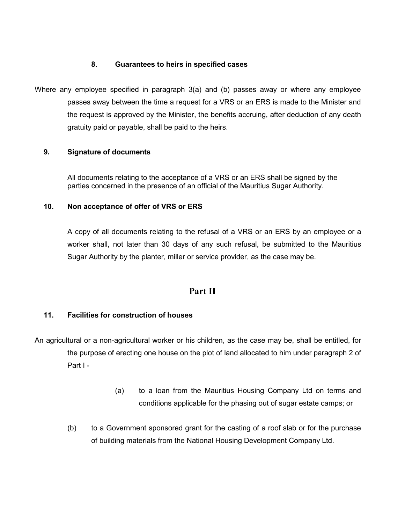## **8. Guarantees to heirs in specified cases**

Where any employee specified in paragraph 3(a) and (b) passes away or where any employee passes away between the time a request for a VRS or an ERS is made to the Minister and the request is approved by the Minister, the benefits accruing, after deduction of any death gratuity paid or payable, shall be paid to the heirs.

## **9. Signature of documents**

All documents relating to the acceptance of a VRS or an ERS shall be signed by the parties concerned in the presence of an official of the Mauritius Sugar Authority.

## **10. Non acceptance of offer of VRS or ERS**

A copy of all documents relating to the refusal of a VRS or an ERS by an employee or a worker shall, not later than 30 days of any such refusal, be submitted to the Mauritius Sugar Authority by the planter, miller or service provider, as the case may be.

# **Part II**

### **11. Facilities for construction of houses**

- An agricultural or a non-agricultural worker or his children, as the case may be, shall be entitled, for the purpose of erecting one house on the plot of land allocated to him under paragraph 2 of Part I -
	- (a) to a loan from the Mauritius Housing Company Ltd on terms and conditions applicable for the phasing out of sugar estate camps; or
	- (b) to a Government sponsored grant for the casting of a roof slab or for the purchase of building materials from the National Housing Development Company Ltd.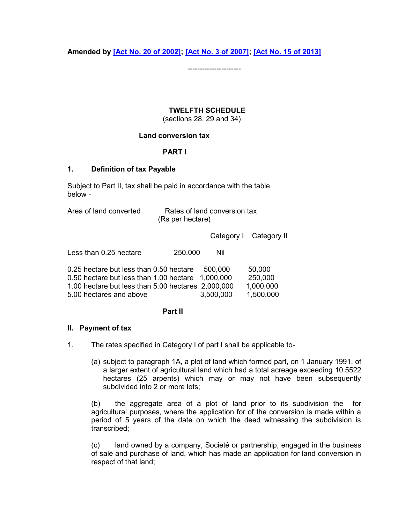**Amended by [\[Act No. 20 of 2002\];](https://supremecourt.govmu.org/get-doc-link/Act_No._20_of_2002) [\[Act No. 3 of 2007\];](https://supremecourt.govmu.org/get-doc-link/Act_No._3_of_2007) [\[Act No. 15 of 2013\]](https://supremecourt.govmu.org/get-doc-link/Act_No._15_of_2013)**

----------------------

## **TWELFTH SCHEDULE**

(sections 28, 29 and 34)

## **Land conversion tax**

## **PART I**

#### **1. Definition of tax Payable**

Subject to Part II, tax shall be paid in accordance with the table below -

| Area of land converted | Rates of land conversion tax |
|------------------------|------------------------------|
|                        | (Rs per hectare)             |

Category I Category II

| Less than 0.25 hectare | 250,000 | Nil |
|------------------------|---------|-----|
|                        |         |     |

| 0.25 hectare but less than 0.50 hectare            | 500.000   | 50,000    |
|----------------------------------------------------|-----------|-----------|
| 0.50 hectare but less than 1.00 hectare 1,000,000  |           | 250,000   |
| 1.00 hectare but less than 5.00 hectares 2,000,000 |           | 1,000,000 |
| 5.00 hectares and above                            | 3.500.000 | 1,500,000 |

#### **Part II**

#### **II. Payment of tax**

1. The rates specified in Category I of part I shall be applicable to-

(a) subject to paragraph 1A, a plot of land which formed part, on 1 January 1991, of a larger extent of agricultural land which had a total acreage exceeding 10.5522 hectares (25 arpents) which may or may not have been subsequently subdivided into 2 or more lots;

(b) the aggregate area of a plot of land prior to its subdivision the for agricultural purposes, where the application for of the conversion is made within a period of 5 years of the date on which the deed witnessing the subdivision is transcribed;

(c) land owned by a company, Societé or partnership, engaged in the business of sale and purchase of land, which has made an application for land conversion in respect of that land;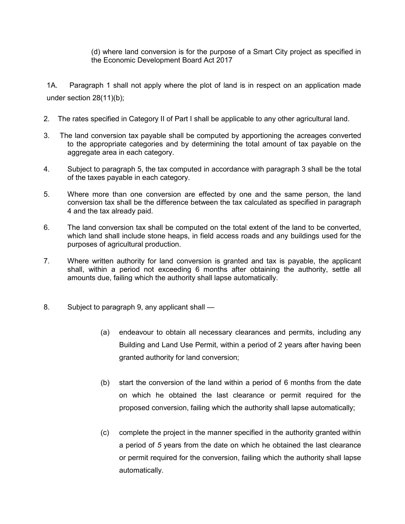(d) where land conversion is for the purpose of a Smart City project as specified in the Economic Development Board Act 2017

1A. Paragraph 1 shall not apply where the plot of land is in respect on an application made under section 28(11)(b);

- 2. The rates specified in Category II of Part I shall be applicable to any other agricultural land.
- 3. The land conversion tax payable shall be computed by apportioning the acreages converted to the appropriate categories and by determining the total amount of tax payable on the aggregate area in each category.
- 4. Subject to paragraph 5, the tax computed in accordance with paragraph 3 shall be the total of the taxes payable in each category.
- 5. Where more than one conversion are effected by one and the same person, the land conversion tax shall be the difference between the tax calculated as specified in paragraph 4 and the tax already paid.
- 6. The land conversion tax shall be computed on the total extent of the land to be converted, which land shall include stone heaps, in field access roads and any buildings used for the purposes of agricultural production.
- 7. Where written authority for land conversion is granted and tax is payable, the applicant shall, within a period not exceeding 6 months after obtaining the authority, settle all amounts due, failing which the authority shall lapse automatically.
- 8. Subject to paragraph 9, any applicant shall
	- (a) endeavour to obtain all necessary clearances and permits, including any Building and Land Use Permit, within a period of 2 years after having been granted authority for land conversion;
	- (b) start the conversion of the land within a period of 6 months from the date on which he obtained the last clearance or permit required for the proposed conversion, failing which the authority shall lapse automatically;
	- (c) complete the project in the manner specified in the authority granted within a period of *5* years from the date on which he obtained the last clearance or permit required for the conversion, failing which the authority shall lapse automatically.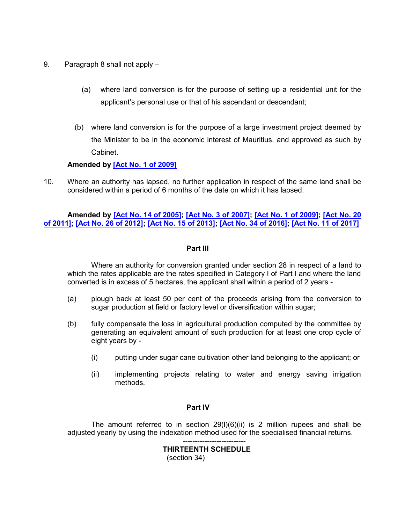- 9. Paragraph 8 shall not apply
	- (a) where land conversion is for the purpose of setting up a residential unit for the applicant's personal use or that of his ascendant or descendant;
	- (b) where land conversion is for the purpose of a large investment project deemed by the Minister to be in the economic interest of Mauritius, and approved as such by Cabinet.

# **Amended by [\[Act No. 1 of 2009\]](https://supremecourt.govmu.org/get-doc-link/Act_No._1_of_2009)**

10. Where an authority has lapsed, no further application in respect of the same land shall be considered within a period of 6 months of the date on which it has lapsed.

# **Amended by [\[Act No. 14 of 2005\];](https://supremecourt.govmu.org/get-doc-link/Act_No._14_of_2005) [\[Act No. 3 of 2007\];](https://supremecourt.govmu.org/get-doc-link/Act_No._3_of_2007) [\[Act No. 1 of 2009\];](https://supremecourt.govmu.org/get-doc-link/Act_No._1_of_2009) [\[Act No. 20](https://supremecourt.govmu.org/get-doc-link/Act_No._20_of_2011)  [of 2011\];](https://supremecourt.govmu.org/get-doc-link/Act_No._20_of_2011) [\[Act No. 26 of 2012\];](https://supremecourt.govmu.org/get-doc-link/Act_No._26_of_2012) [\[Act No. 15 of 2013\];](https://supremecourt.govmu.org/get-doc-link/Act_No._15_of_2013) [\[Act No. 34 of 2016\];](https://supremecourt.govmu.org/get-doc-link/Act_No._34_of_2016) [\[Act No. 11 of 2017\]](https://supremecourt.govmu.org/get-doc-link/Act_No._11_of_2017)**

#### **Part III**

Where an authority for conversion granted under section 28 in respect of a land to which the rates applicable are the rates specified in Category I of Part I and where the land converted is in excess of 5 hectares, the applicant shall within a period of 2 years -

- (a) plough back at least 50 per cent of the proceeds arising from the conversion to sugar production at field or factory level or diversification within sugar;
- (b) fully compensate the loss in agricultural production computed by the committee by generating an equivalent amount of such production for at least one crop cycle of eight years by -
	- (i) putting under sugar cane cultivation other land belonging to the applicant; or
	- (ii) implementing projects relating to water and energy saving irrigation methods.

#### **Part IV**

The amount referred to in section 29(l)(6)(ii) is 2 million rupees and shall be adjusted yearly by using the indexation method used for the specialised financial returns.

> -------------------------- **THIRTEENTH SCHEDULE**  (section 34)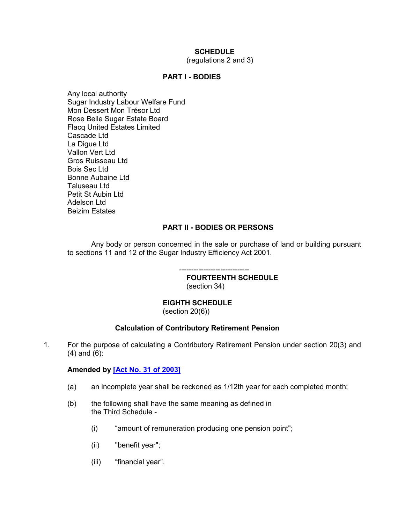# **SCHEDULE**

(regulations 2 and 3)

# **PART I - BODIES**

Any local authority Sugar Industry Labour Welfare Fund Mon Dessert Mon Trésor Ltd Rose Belle Sugar Estate Board Flacq United Estates Limited Cascade Ltd La Digue Ltd Vallon Vert Ltd Gros Ruisseau Ltd Bois Sec Ltd Bonne Aubaine Ltd Taluseau Ltd Petit St Aubin Ltd Adelson Ltd Beizim Estates

# **PART II - BODIES OR PERSONS**

Any body or person concerned in the sale or purchase of land or building pursuant to sections 11 and 12 of the Sugar Industry Efficiency Act 2001.

> ----------------------------- **FOURTEENTH SCHEDULE**  (section 34)

# **EIGHTH SCHEDULE**

(section 20(6))

# **Calculation of Contributory Retirement Pension**

1. For the purpose of calculating a Contributory Retirement Pension under section 20(3) and (4) and (6):

# **Amended by [\[Act No. 31 of 2003\]](https://supremecourt.govmu.org/get-doc-link/Act_No._31_of_2003)**

- (a) an incomplete year shall be reckoned as 1/12th year for each completed month;
- (b) the following shall have the same meaning as defined in the Third Schedule -
	- (i) "amount of remuneration producing one pension point";
	- (ii) "benefit year";
	- (iii) "financial year".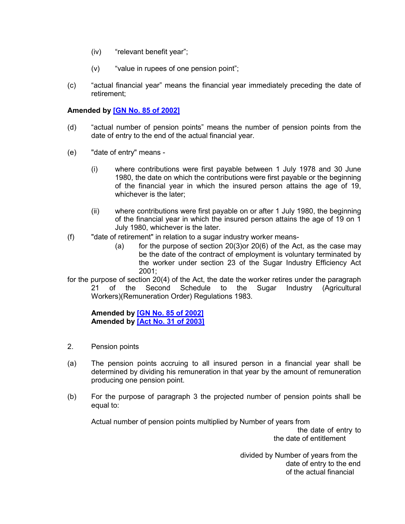- (iv) "relevant benefit year";
- (v) "value in rupees of one pension point";
- (c) "actual financial year" means the financial year immediately preceding the date of retirement;

## **Amended by [\[GN No. 85 of 2002\]](https://supremecourt.govmu.org/get-doc-link/GN_No._85_of_2002)**

- (d) "actual number of pension points" means the number of pension points from the date of entry to the end of the actual financial year.
- (e) "date of entry" means
	- (i) where contributions were first payable between 1 July 1978 and 30 June 1980, the date on which the contributions were first payable or the beginning of the financial year in which the insured person attains the age of 19, whichever is the later;
	- (ii) where contributions were first payable on or after 1 July 1980, the beginning of the financial year in which the insured person attains the age of 19 on 1 July 1980, whichever is the later.
- (f) "date of retirement" in relation to a sugar industry worker means-
	- (a) for the purpose of section 20(3) or 20(6) of the Act, as the case may be the date of the contract of employment is voluntary terminated by the worker under section 23 of the Sugar Industry Efficiency Act 2001;
- for the purpose of section 20(4) of the Act, the date the worker retires under the paragraph 21 of the Second Schedule to the Sugar Industry (Agricultural Workers)(Remuneration Order) Regulations 1983.

**Amended by [\[GN No. 85 of 2002\]](https://supremecourt.govmu.org/get-doc-link/GN_No._85_of_2002) Amended by [\[Act No. 31 of 2003\]](https://supremecourt.govmu.org/get-doc-link/Act_No._31_of_2003)**

- 2. Pension points
- (a) The pension points accruing to all insured person in a financial year shall be determined by dividing his remuneration in that year by the amount of remuneration producing one pension point.
- (b) For the purpose of paragraph 3 the projected number of pension points shall be equal to:

Actual number of pension points multiplied by Number of years from

the date of entry to the date of entitlement

 divided by Number of years from the date of entry to the end of the actual financial